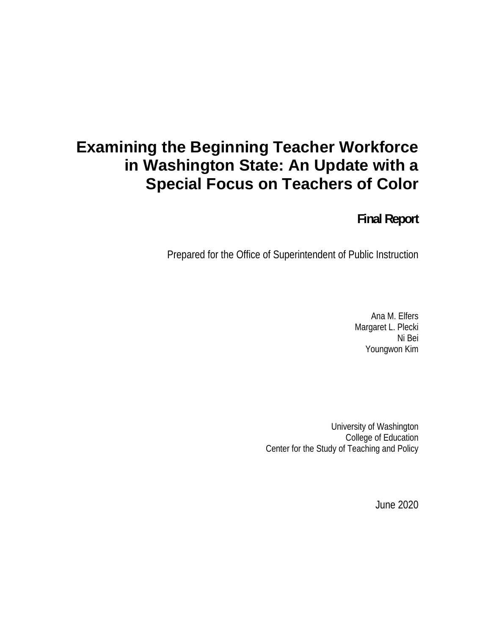# **Examining the Beginning Teacher Workforce in Washington State: An Update with a Special Focus on Teachers of Color**

**Final Report** 

Prepared for the Office of Superintendent of Public Instruction

Ana M. Elfers Margaret L. Plecki Ni Bei Youngwon Kim

University of Washington College of Education Center for the Study of Teaching and Policy

June 2020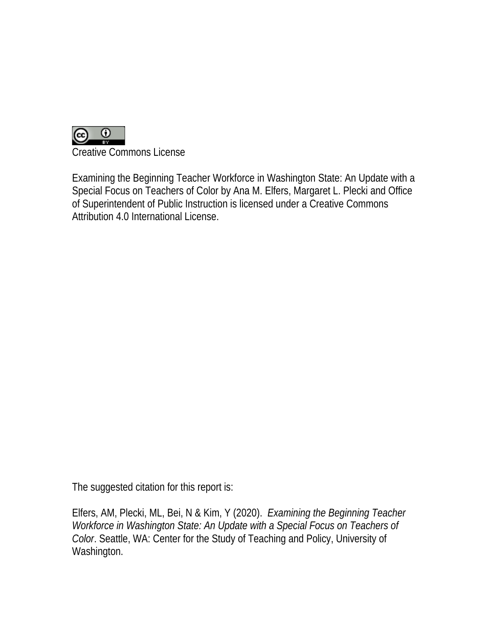

Creative Commons License

Examining the Beginning Teacher Workforce in Washington State: An Update with a Special Focus on Teachers of Color by Ana M. Elfers, Margaret L. Plecki and Office of Superintendent of Public Instruction is licensed under a Creative Commons Attribution 4.0 International License.

The suggested citation for this report is:

Elfers, AM, Plecki, ML, Bei, N & Kim, Y (2020). *Examining the Beginning Teacher Workforce in Washington State: An Update with a Special Focus on Teachers of Color*. Seattle, WA: Center for the Study of Teaching and Policy, University of Washington.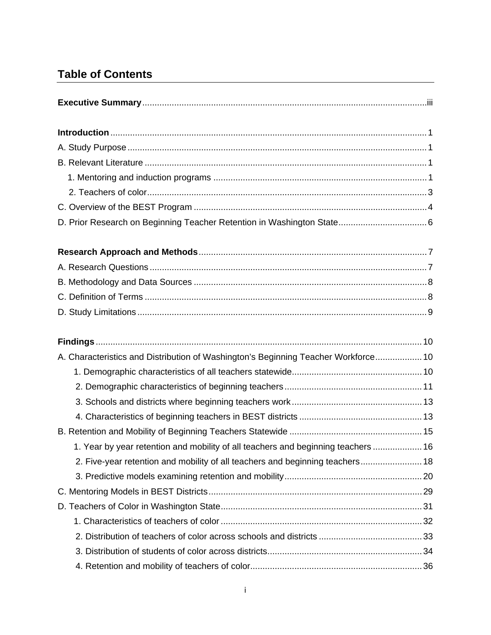# **Table of Contents**

| A. Characteristics and Distribution of Washington's Beginning Teacher Workforce 10 |  |
|------------------------------------------------------------------------------------|--|
|                                                                                    |  |
|                                                                                    |  |
|                                                                                    |  |
|                                                                                    |  |
|                                                                                    |  |
| 1. Year by year retention and mobility of all teachers and beginning teachers  16  |  |
| 2. Five-year retention and mobility of all teachers and beginning teachers 18      |  |
|                                                                                    |  |
|                                                                                    |  |
|                                                                                    |  |
|                                                                                    |  |
|                                                                                    |  |
|                                                                                    |  |
|                                                                                    |  |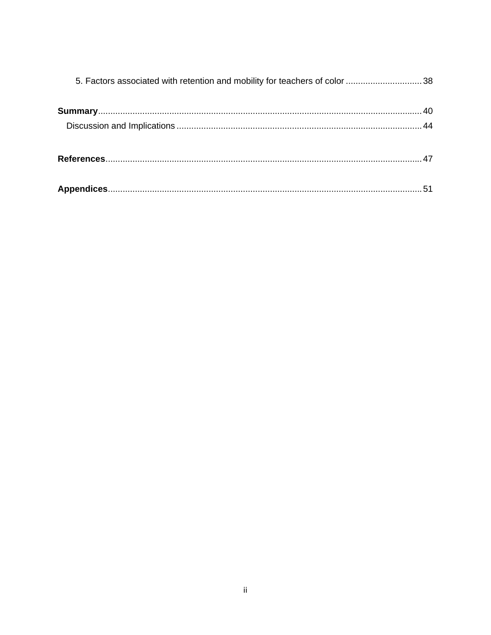| 5. Factors associated with retention and mobility for teachers of color 38 |  |
|----------------------------------------------------------------------------|--|
|                                                                            |  |
|                                                                            |  |
|                                                                            |  |
|                                                                            |  |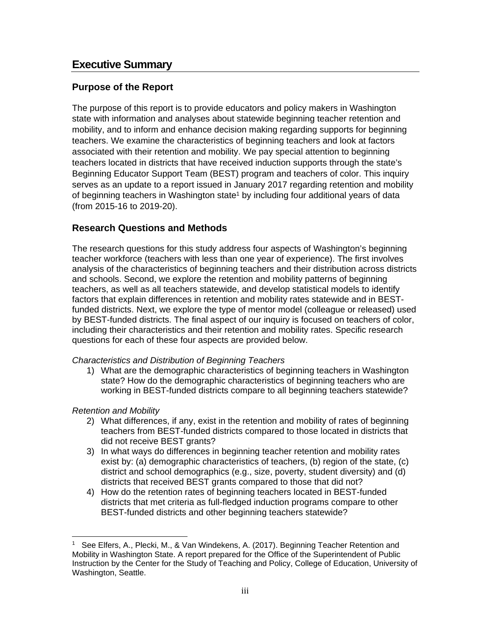## **Executive Summary**

#### **Purpose of the Report**

The purpose of this report is to provide educators and policy makers in Washington state with information and analyses about statewide beginning teacher retention and mobility, and to inform and enhance decision making regarding supports for beginning teachers. We examine the characteristics of beginning teachers and look at factors associated with their retention and mobility. We pay special attention to beginning teachers located in districts that have received induction supports through the state's Beginning Educator Support Team (BEST) program and teachers of color. This inquiry serves as an update to a report issued in January 2017 regarding retention and mobility of beginning teachers in Washington state<sup>1</sup> by including four additional years of data (from 2015-16 to 2019-20).

#### **Research Questions and Methods**

The research questions for this study address four aspects of Washington's beginning teacher workforce (teachers with less than one year of experience). The first involves analysis of the characteristics of beginning teachers and their distribution across districts and schools. Second, we explore the retention and mobility patterns of beginning teachers, as well as all teachers statewide, and develop statistical models to identify factors that explain differences in retention and mobility rates statewide and in BESTfunded districts. Next, we explore the type of mentor model (colleague or released) used by BEST-funded districts. The final aspect of our inquiry is focused on teachers of color, including their characteristics and their retention and mobility rates. Specific research questions for each of these four aspects are provided below.

#### *Characteristics and Distribution of Beginning Teachers*

1) What are the demographic characteristics of beginning teachers in Washington state? How do the demographic characteristics of beginning teachers who are working in BEST-funded districts compare to all beginning teachers statewide?

#### *Retention and Mobility*

- 2) What differences, if any, exist in the retention and mobility of rates of beginning teachers from BEST-funded districts compared to those located in districts that did not receive BEST grants?
- 3) In what ways do differences in beginning teacher retention and mobility rates exist by: (a) demographic characteristics of teachers, (b) region of the state, (c) district and school demographics (e.g., size, poverty, student diversity) and (d) districts that received BEST grants compared to those that did not?
- 4) How do the retention rates of beginning teachers located in BEST-funded districts that met criteria as full-fledged induction programs compare to other BEST-funded districts and other beginning teachers statewide?

<sup>1</sup> See Elfers, A., Plecki, M., & Van Windekens, A. (2017). Beginning Teacher Retention and Mobility in Washington State. A report prepared for the Office of the Superintendent of Public Instruction by the Center for the Study of Teaching and Policy, College of Education, University of Washington, Seattle.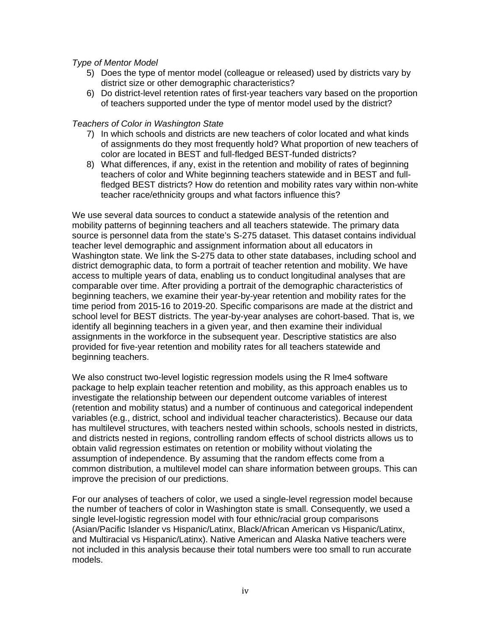#### *Type of Mentor Model*

- 5) Does the type of mentor model (colleague or released) used by districts vary by district size or other demographic characteristics?
- 6) Do district-level retention rates of first-year teachers vary based on the proportion of teachers supported under the type of mentor model used by the district?

#### *Teachers of Color in Washington State*

- 7) In which schools and districts are new teachers of color located and what kinds of assignments do they most frequently hold? What proportion of new teachers of color are located in BEST and full-fledged BEST-funded districts?
- 8) What differences, if any, exist in the retention and mobility of rates of beginning teachers of color and White beginning teachers statewide and in BEST and fullfledged BEST districts? How do retention and mobility rates vary within non-white teacher race/ethnicity groups and what factors influence this?

We use several data sources to conduct a statewide analysis of the retention and mobility patterns of beginning teachers and all teachers statewide. The primary data source is personnel data from the state's S-275 dataset. This dataset contains individual teacher level demographic and assignment information about all educators in Washington state. We link the S-275 data to other state databases, including school and district demographic data, to form a portrait of teacher retention and mobility. We have access to multiple years of data, enabling us to conduct longitudinal analyses that are comparable over time. After providing a portrait of the demographic characteristics of beginning teachers, we examine their year-by-year retention and mobility rates for the time period from 2015-16 to 2019-20. Specific comparisons are made at the district and school level for BEST districts. The year-by-year analyses are cohort-based. That is, we identify all beginning teachers in a given year, and then examine their individual assignments in the workforce in the subsequent year. Descriptive statistics are also provided for five-year retention and mobility rates for all teachers statewide and beginning teachers.

We also construct two-level logistic regression models using the R lme4 software package to help explain teacher retention and mobility, as this approach enables us to investigate the relationship between our dependent outcome variables of interest (retention and mobility status) and a number of continuous and categorical independent variables (e.g., district, school and individual teacher characteristics). Because our data has multilevel structures, with teachers nested within schools, schools nested in districts, and districts nested in regions, controlling random effects of school districts allows us to obtain valid regression estimates on retention or mobility without violating the assumption of independence. By assuming that the random effects come from a common distribution, a multilevel model can share information between groups. This can improve the precision of our predictions.

For our analyses of teachers of color, we used a single-level regression model because the number of teachers of color in Washington state is small. Consequently, we used a single level-logistic regression model with four ethnic/racial group comparisons (Asian/Pacific Islander vs Hispanic/Latinx, Black/African American vs Hispanic/Latinx, and Multiracial vs Hispanic/Latinx). Native American and Alaska Native teachers were not included in this analysis because their total numbers were too small to run accurate models.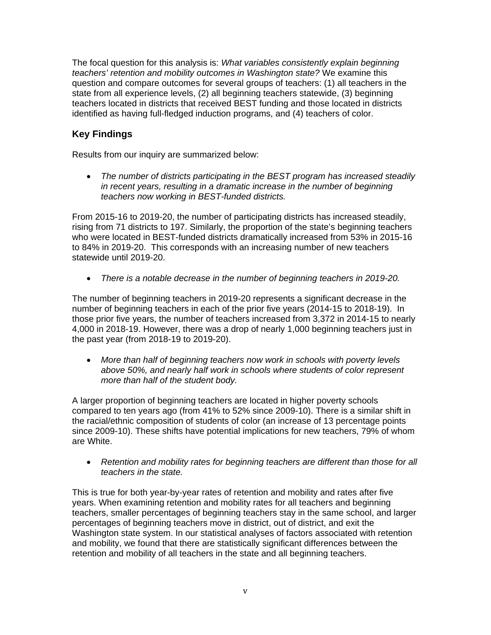The focal question for this analysis is: *What variables consistently explain beginning teachers' retention and mobility outcomes in Washington state?* We examine this question and compare outcomes for several groups of teachers: (1) all teachers in the state from all experience levels, (2) all beginning teachers statewide, (3) beginning teachers located in districts that received BEST funding and those located in districts identified as having full-fledged induction programs, and (4) teachers of color.

## **Key Findings**

Results from our inquiry are summarized below:

 *The number of districts participating in the BEST program has increased steadily in recent years, resulting in a dramatic increase in the number of beginning teachers now working in BEST-funded districts.* 

From 2015-16 to 2019-20, the number of participating districts has increased steadily, rising from 71 districts to 197. Similarly, the proportion of the state's beginning teachers who were located in BEST-funded districts dramatically increased from 53% in 2015-16 to 84% in 2019-20. This corresponds with an increasing number of new teachers statewide until 2019-20.

*There is a notable decrease in the number of beginning teachers in 2019-20.*

The number of beginning teachers in 2019-20 represents a significant decrease in the number of beginning teachers in each of the prior five years (2014-15 to 2018-19). In those prior five years, the number of teachers increased from 3,372 in 2014-15 to nearly 4,000 in 2018-19. However, there was a drop of nearly 1,000 beginning teachers just in the past year (from 2018-19 to 2019-20).

 *More than half of beginning teachers now work in schools with poverty levels above 50%, and nearly half work in schools where students of color represent more than half of the student body.* 

A larger proportion of beginning teachers are located in higher poverty schools compared to ten years ago (from 41% to 52% since 2009-10). There is a similar shift in the racial/ethnic composition of students of color (an increase of 13 percentage points since 2009-10). These shifts have potential implications for new teachers, 79% of whom are White.

 *Retention and mobility rates for beginning teachers are different than those for all teachers in the state.* 

This is true for both year-by-year rates of retention and mobility and rates after five years. When examining retention and mobility rates for all teachers and beginning teachers, smaller percentages of beginning teachers stay in the same school, and larger percentages of beginning teachers move in district, out of district, and exit the Washington state system. In our statistical analyses of factors associated with retention and mobility, we found that there are statistically significant differences between the retention and mobility of all teachers in the state and all beginning teachers.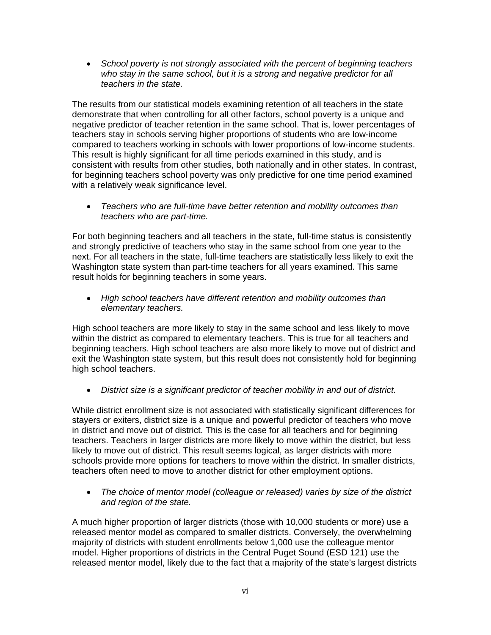*School poverty is not strongly associated with the percent of beginning teachers who stay in the same school, but it is a strong and negative predictor for all teachers in the state.* 

The results from our statistical models examining retention of all teachers in the state demonstrate that when controlling for all other factors, school poverty is a unique and negative predictor of teacher retention in the same school. That is, lower percentages of teachers stay in schools serving higher proportions of students who are low-income compared to teachers working in schools with lower proportions of low-income students. This result is highly significant for all time periods examined in this study, and is consistent with results from other studies, both nationally and in other states. In contrast, for beginning teachers school poverty was only predictive for one time period examined with a relatively weak significance level.

 *Teachers who are full-time have better retention and mobility outcomes than teachers who are part-time.* 

For both beginning teachers and all teachers in the state, full-time status is consistently and strongly predictive of teachers who stay in the same school from one year to the next. For all teachers in the state, full-time teachers are statistically less likely to exit the Washington state system than part-time teachers for all years examined. This same result holds for beginning teachers in some years.

 *High school teachers have different retention and mobility outcomes than elementary teachers.* 

High school teachers are more likely to stay in the same school and less likely to move within the district as compared to elementary teachers. This is true for all teachers and beginning teachers. High school teachers are also more likely to move out of district and exit the Washington state system, but this result does not consistently hold for beginning high school teachers.

*District size is a significant predictor of teacher mobility in and out of district.*

While district enrollment size is not associated with statistically significant differences for stayers or exiters, district size is a unique and powerful predictor of teachers who move in district and move out of district. This is the case for all teachers and for beginning teachers. Teachers in larger districts are more likely to move within the district, but less likely to move out of district. This result seems logical, as larger districts with more schools provide more options for teachers to move within the district. In smaller districts, teachers often need to move to another district for other employment options.

 *The choice of mentor model (colleague or released) varies by size of the district and region of the state.* 

A much higher proportion of larger districts (those with 10,000 students or more) use a released mentor model as compared to smaller districts. Conversely, the overwhelming majority of districts with student enrollments below 1,000 use the colleague mentor model. Higher proportions of districts in the Central Puget Sound (ESD 121) use the released mentor model, likely due to the fact that a majority of the state's largest districts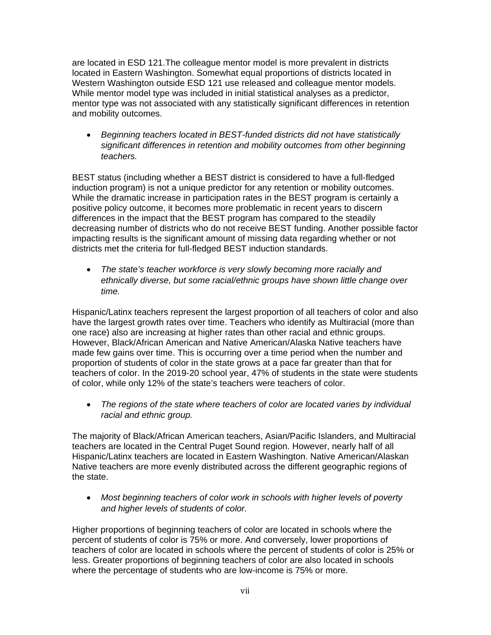are located in ESD 121.The colleague mentor model is more prevalent in districts located in Eastern Washington. Somewhat equal proportions of districts located in Western Washington outside ESD 121 use released and colleague mentor models. While mentor model type was included in initial statistical analyses as a predictor. mentor type was not associated with any statistically significant differences in retention and mobility outcomes.

 *Beginning teachers located in BEST-funded districts did not have statistically significant differences in retention and mobility outcomes from other beginning teachers.* 

BEST status (including whether a BEST district is considered to have a full-fledged induction program) is not a unique predictor for any retention or mobility outcomes. While the dramatic increase in participation rates in the BEST program is certainly a positive policy outcome, it becomes more problematic in recent years to discern differences in the impact that the BEST program has compared to the steadily decreasing number of districts who do not receive BEST funding. Another possible factor impacting results is the significant amount of missing data regarding whether or not districts met the criteria for full-fledged BEST induction standards.

 *The state's teacher workforce is very slowly becoming more racially and ethnically diverse, but some racial/ethnic groups have shown little change over time.* 

Hispanic/Latinx teachers represent the largest proportion of all teachers of color and also have the largest growth rates over time. Teachers who identify as Multiracial (more than one race) also are increasing at higher rates than other racial and ethnic groups. However, Black/African American and Native American/Alaska Native teachers have made few gains over time. This is occurring over a time period when the number and proportion of students of color in the state grows at a pace far greater than that for teachers of color. In the 2019-20 school year, 47% of students in the state were students of color, while only 12% of the state's teachers were teachers of color.

 *The regions of the state where teachers of color are located varies by individual racial and ethnic group.* 

The majority of Black/African American teachers, Asian/Pacific Islanders, and Multiracial teachers are located in the Central Puget Sound region. However, nearly half of all Hispanic/Latinx teachers are located in Eastern Washington. Native American/Alaskan Native teachers are more evenly distributed across the different geographic regions of the state.

 *Most beginning teachers of color work in schools with higher levels of poverty and higher levels of students of color.* 

Higher proportions of beginning teachers of color are located in schools where the percent of students of color is 75% or more. And conversely, lower proportions of teachers of color are located in schools where the percent of students of color is 25% or less. Greater proportions of beginning teachers of color are also located in schools where the percentage of students who are low-income is 75% or more.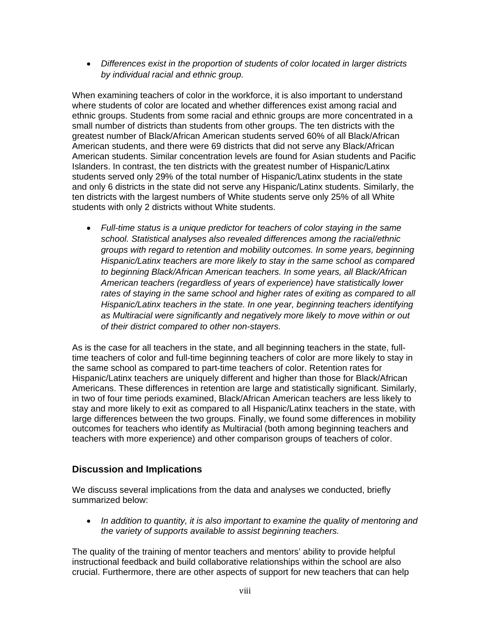*Differences exist in the proportion of students of color located in larger districts by individual racial and ethnic group.* 

When examining teachers of color in the workforce, it is also important to understand where students of color are located and whether differences exist among racial and ethnic groups. Students from some racial and ethnic groups are more concentrated in a small number of districts than students from other groups. The ten districts with the greatest number of Black/African American students served 60% of all Black/African American students, and there were 69 districts that did not serve any Black/African American students. Similar concentration levels are found for Asian students and Pacific Islanders. In contrast, the ten districts with the greatest number of Hispanic/Latinx students served only 29% of the total number of Hispanic/Latinx students in the state and only 6 districts in the state did not serve any Hispanic/Latinx students. Similarly, the ten districts with the largest numbers of White students serve only 25% of all White students with only 2 districts without White students.

 *Full-time status is a unique predictor for teachers of color staying in the same school. Statistical analyses also revealed differences among the racial/ethnic groups with regard to retention and mobility outcomes. In some years, beginning Hispanic/Latinx teachers are more likely to stay in the same school as compared to beginning Black/African American teachers. In some years, all Black/African American teachers (regardless of years of experience) have statistically lower*  rates of staying in the same school and higher rates of exiting as compared to all *Hispanic/Latinx teachers in the state. In one year, beginning teachers identifying as Multiracial were significantly and negatively more likely to move within or out of their district compared to other non-stayers.*

As is the case for all teachers in the state, and all beginning teachers in the state, fulltime teachers of color and full-time beginning teachers of color are more likely to stay in the same school as compared to part-time teachers of color. Retention rates for Hispanic/Latinx teachers are uniquely different and higher than those for Black/African Americans. These differences in retention are large and statistically significant. Similarly, in two of four time periods examined, Black/African American teachers are less likely to stay and more likely to exit as compared to all Hispanic/Latinx teachers in the state, with large differences between the two groups. Finally, we found some differences in mobility outcomes for teachers who identify as Multiracial (both among beginning teachers and teachers with more experience) and other comparison groups of teachers of color.

#### **Discussion and Implications**

We discuss several implications from the data and analyses we conducted, briefly summarized below:

 *In addition to quantity, it is also important to examine the quality of mentoring and the variety of supports available to assist beginning teachers.* 

The quality of the training of mentor teachers and mentors' ability to provide helpful instructional feedback and build collaborative relationships within the school are also crucial. Furthermore, there are other aspects of support for new teachers that can help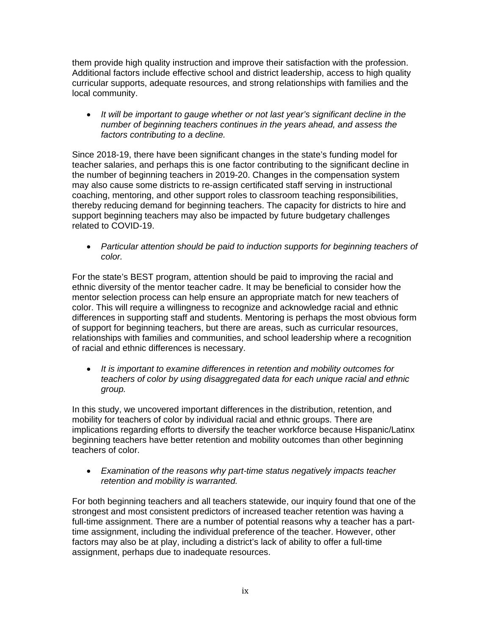them provide high quality instruction and improve their satisfaction with the profession. Additional factors include effective school and district leadership, access to high quality curricular supports, adequate resources, and strong relationships with families and the local community.

 *It will be important to gauge whether or not last year's significant decline in the number of beginning teachers continues in the years ahead, and assess the factors contributing to a decline.* 

Since 2018-19, there have been significant changes in the state's funding model for teacher salaries, and perhaps this is one factor contributing to the significant decline in the number of beginning teachers in 2019-20. Changes in the compensation system may also cause some districts to re-assign certificated staff serving in instructional coaching, mentoring, and other support roles to classroom teaching responsibilities, thereby reducing demand for beginning teachers. The capacity for districts to hire and support beginning teachers may also be impacted by future budgetary challenges related to COVID-19.

 *Particular attention should be paid to induction supports for beginning teachers of color.* 

For the state's BEST program, attention should be paid to improving the racial and ethnic diversity of the mentor teacher cadre. It may be beneficial to consider how the mentor selection process can help ensure an appropriate match for new teachers of color. This will require a willingness to recognize and acknowledge racial and ethnic differences in supporting staff and students. Mentoring is perhaps the most obvious form of support for beginning teachers, but there are areas, such as curricular resources, relationships with families and communities, and school leadership where a recognition of racial and ethnic differences is necessary.

 *It is important to examine differences in retention and mobility outcomes for teachers of color by using disaggregated data for each unique racial and ethnic group.* 

In this study, we uncovered important differences in the distribution, retention, and mobility for teachers of color by individual racial and ethnic groups. There are implications regarding efforts to diversify the teacher workforce because Hispanic/Latinx beginning teachers have better retention and mobility outcomes than other beginning teachers of color.

 *Examination of the reasons why part-time status negatively impacts teacher retention and mobility is warranted.* 

For both beginning teachers and all teachers statewide, our inquiry found that one of the strongest and most consistent predictors of increased teacher retention was having a full-time assignment. There are a number of potential reasons why a teacher has a parttime assignment, including the individual preference of the teacher. However, other factors may also be at play, including a district's lack of ability to offer a full-time assignment, perhaps due to inadequate resources.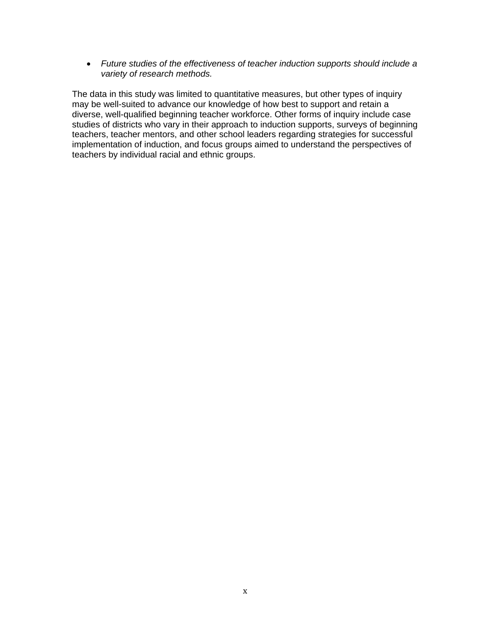*Future studies of the effectiveness of teacher induction supports should include a variety of research methods.* 

The data in this study was limited to quantitative measures, but other types of inquiry may be well-suited to advance our knowledge of how best to support and retain a diverse, well-qualified beginning teacher workforce. Other forms of inquiry include case studies of districts who vary in their approach to induction supports, surveys of beginning teachers, teacher mentors, and other school leaders regarding strategies for successful implementation of induction, and focus groups aimed to understand the perspectives of teachers by individual racial and ethnic groups.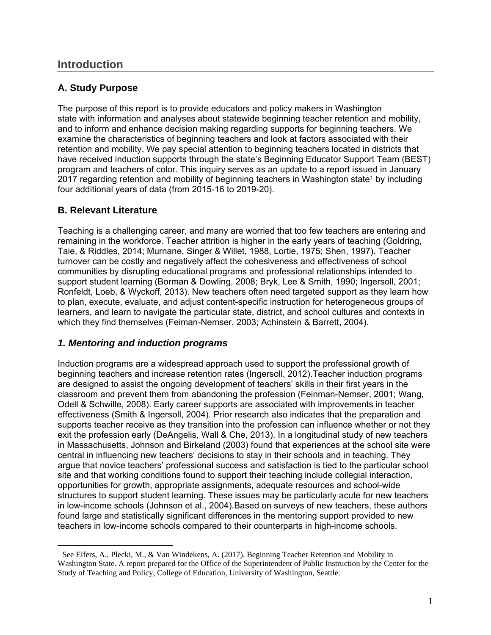## **Introduction**

## **A. Study Purpose**

The purpose of this report is to provide educators and policy makers in Washington state with information and analyses about statewide beginning teacher retention and mobility, and to inform and enhance decision making regarding supports for beginning teachers. We examine the characteristics of beginning teachers and look at factors associated with their retention and mobility. We pay special attention to beginning teachers located in districts that have received induction supports through the state's Beginning Educator Support Team (BEST) program and teachers of color. This inquiry serves as an update to a report issued in January 2017 regarding retention and mobility of beginning teachers in Washington state<sup>1</sup> by including four additional years of data (from 2015-16 to 2019-20).

#### **B. Relevant Literature**

Teaching is a challenging career, and many are worried that too few teachers are entering and remaining in the workforce. Teacher attrition is higher in the early years of teaching (Goldring, Taie, & Riddles, 2014; Murnane, Singer & Willet, 1988, Lortie, 1975; Shen, 1997). Teacher turnover can be costly and negatively affect the cohesiveness and effectiveness of school communities by disrupting educational programs and professional relationships intended to support student learning (Borman & Dowling, 2008; Bryk, Lee & Smith, 1990; Ingersoll, 2001; Ronfeldt, Loeb, & Wyckoff, 2013). New teachers often need targeted support as they learn how to plan, execute, evaluate, and adjust content-specific instruction for heterogeneous groups of learners, and learn to navigate the particular state, district, and school cultures and contexts in which they find themselves (Feiman-Nemser, 2003; Achinstein & Barrett, 2004).

#### *1. Mentoring and induction programs*

Induction programs are a widespread approach used to support the professional growth of beginning teachers and increase retention rates (Ingersoll, 2012).Teacher induction programs are designed to assist the ongoing development of teachers' skills in their first years in the classroom and prevent them from abandoning the profession (Feinman-Nemser, 2001; Wang, Odell & Schwille, 2008). Early career supports are associated with improvements in teacher effectiveness (Smith & Ingersoll, 2004). Prior research also indicates that the preparation and supports teacher receive as they transition into the profession can influence whether or not they exit the profession early (DeAngelis, Wall & Che, 2013). In a longitudinal study of new teachers in Massachusetts, Johnson and Birkeland (2003) found that experiences at the school site were central in influencing new teachers' decisions to stay in their schools and in teaching. They argue that novice teachers' professional success and satisfaction is tied to the particular school site and that working conditions found to support their teaching include collegial interaction, opportunities for growth, appropriate assignments, adequate resources and school-wide structures to support student learning. These issues may be particularly acute for new teachers in low-income schools (Johnson et al., 2004).Based on surveys of new teachers, these authors found large and statistically significant differences in the mentoring support provided to new teachers in low-income schools compared to their counterparts in high-income schools.

<sup>&</sup>lt;sup>1</sup> See Elfers, A., Plecki, M., & Van Windekens, A. (2017). Beginning Teacher Retention and Mobility in Washington State. A report prepared for the Office of the Superintendent of Public Instruction by the Center for the Study of Teaching and Policy, College of Education, University of Washington, Seattle.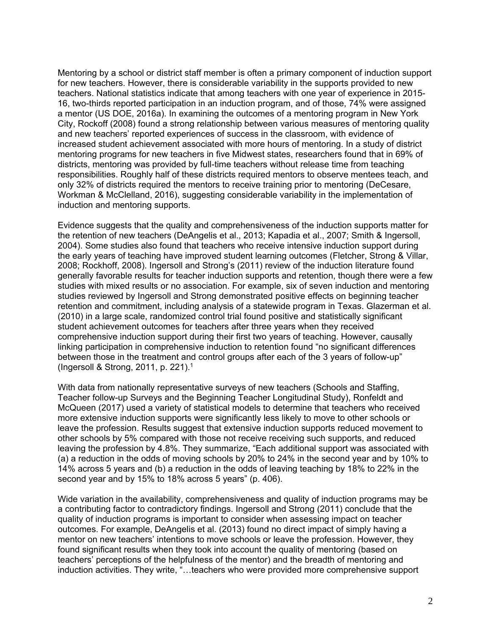Mentoring by a school or district staff member is often a primary component of induction support for new teachers. However, there is considerable variability in the supports provided to new teachers. National statistics indicate that among teachers with one year of experience in 2015- 16, two-thirds reported participation in an induction program, and of those, 74% were assigned a mentor (US DOE, 2016a). In examining the outcomes of a mentoring program in New York City, Rockoff (2008) found a strong relationship between various measures of mentoring quality and new teachers' reported experiences of success in the classroom, with evidence of increased student achievement associated with more hours of mentoring. In a study of district mentoring programs for new teachers in five Midwest states, researchers found that in 69% of districts, mentoring was provided by full-time teachers without release time from teaching responsibilities. Roughly half of these districts required mentors to observe mentees teach, and only 32% of districts required the mentors to receive training prior to mentoring (DeCesare, Workman & McClelland, 2016), suggesting considerable variability in the implementation of induction and mentoring supports.

Evidence suggests that the quality and comprehensiveness of the induction supports matter for the retention of new teachers (DeAngelis et al., 2013; Kapadia et al., 2007; Smith & Ingersoll, 2004). Some studies also found that teachers who receive intensive induction support during the early years of teaching have improved student learning outcomes (Fletcher, Strong & Villar, 2008; Rockhoff, 2008). Ingersoll and Strong's (2011) review of the induction literature found generally favorable results for teacher induction supports and retention, though there were a few studies with mixed results or no association. For example, six of seven induction and mentoring studies reviewed by Ingersoll and Strong demonstrated positive effects on beginning teacher retention and commitment, including analysis of a statewide program in Texas. Glazerman et al. (2010) in a large scale, randomized control trial found positive and statistically significant student achievement outcomes for teachers after three years when they received comprehensive induction support during their first two years of teaching. However, causally linking participation in comprehensive induction to retention found "no significant differences between those in the treatment and control groups after each of the 3 years of follow-up" (Ingersoll & Strong, 2011, p. 221).1

With data from nationally representative surveys of new teachers (Schools and Staffing, Teacher follow-up Surveys and the Beginning Teacher Longitudinal Study), Ronfeldt and McQueen (2017) used a variety of statistical models to determine that teachers who received more extensive induction supports were significantly less likely to move to other schools or leave the profession. Results suggest that extensive induction supports reduced movement to other schools by 5% compared with those not receive receiving such supports, and reduced leaving the profession by 4.8%. They summarize, "Each additional support was associated with (a) a reduction in the odds of moving schools by 20% to 24% in the second year and by 10% to 14% across 5 years and (b) a reduction in the odds of leaving teaching by 18% to 22% in the second year and by 15% to 18% across 5 years" (p. 406).

Wide variation in the availability, comprehensiveness and quality of induction programs may be a contributing factor to contradictory findings. Ingersoll and Strong (2011) conclude that the quality of induction programs is important to consider when assessing impact on teacher outcomes. For example, DeAngelis et al. (2013) found no direct impact of simply having a mentor on new teachers' intentions to move schools or leave the profession. However, they found significant results when they took into account the quality of mentoring (based on teachers' perceptions of the helpfulness of the mentor) and the breadth of mentoring and induction activities. They write, "…teachers who were provided more comprehensive support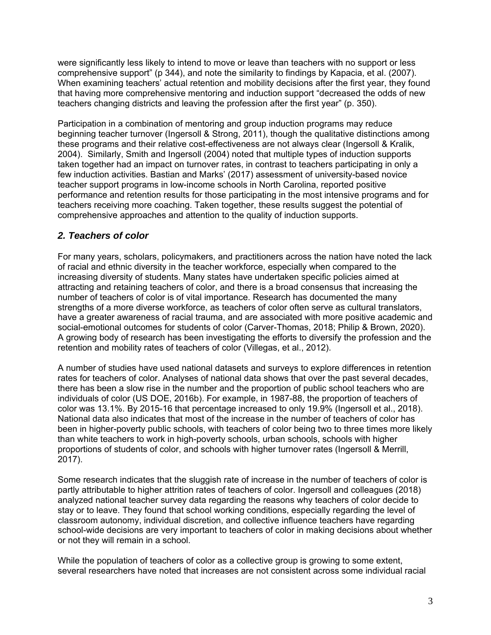were significantly less likely to intend to move or leave than teachers with no support or less comprehensive support" (p 344), and note the similarity to findings by Kapacia, et al. (2007). When examining teachers' actual retention and mobility decisions after the first year, they found that having more comprehensive mentoring and induction support "decreased the odds of new teachers changing districts and leaving the profession after the first year" (p. 350).

Participation in a combination of mentoring and group induction programs may reduce beginning teacher turnover (Ingersoll & Strong, 2011), though the qualitative distinctions among these programs and their relative cost-effectiveness are not always clear (Ingersoll & Kralik, 2004). Similarly, Smith and Ingersoll (2004) noted that multiple types of induction supports taken together had an impact on turnover rates, in contrast to teachers participating in only a few induction activities. Bastian and Marks' (2017) assessment of university-based novice teacher support programs in low-income schools in North Carolina, reported positive performance and retention results for those participating in the most intensive programs and for teachers receiving more coaching. Taken together, these results suggest the potential of comprehensive approaches and attention to the quality of induction supports.

#### *2. Teachers of color*

For many years, scholars, policymakers, and practitioners across the nation have noted the lack of racial and ethnic diversity in the teacher workforce, especially when compared to the increasing diversity of students. Many states have undertaken specific policies aimed at attracting and retaining teachers of color, and there is a broad consensus that increasing the number of teachers of color is of vital importance. Research has documented the many strengths of a more diverse workforce, as teachers of color often serve as cultural translators, have a greater awareness of racial trauma, and are associated with more positive academic and social-emotional outcomes for students of color (Carver-Thomas, 2018; Philip & Brown, 2020). A growing body of research has been investigating the efforts to diversify the profession and the retention and mobility rates of teachers of color (Villegas, et al., 2012).

A number of studies have used national datasets and surveys to explore differences in retention rates for teachers of color. Analyses of national data shows that over the past several decades, there has been a slow rise in the number and the proportion of public school teachers who are individuals of color (US DOE, 2016b). For example, in 1987-88, the proportion of teachers of color was 13.1%. By 2015-16 that percentage increased to only 19.9% (Ingersoll et al., 2018). National data also indicates that most of the increase in the number of teachers of color has been in higher-poverty public schools, with teachers of color being two to three times more likely than white teachers to work in high-poverty schools, urban schools, schools with higher proportions of students of color, and schools with higher turnover rates (Ingersoll & Merrill, 2017).

Some research indicates that the sluggish rate of increase in the number of teachers of color is partly attributable to higher attrition rates of teachers of color. Ingersoll and colleagues (2018) analyzed national teacher survey data regarding the reasons why teachers of color decide to stay or to leave. They found that school working conditions, especially regarding the level of classroom autonomy, individual discretion, and collective influence teachers have regarding school-wide decisions are very important to teachers of color in making decisions about whether or not they will remain in a school.

While the population of teachers of color as a collective group is growing to some extent, several researchers have noted that increases are not consistent across some individual racial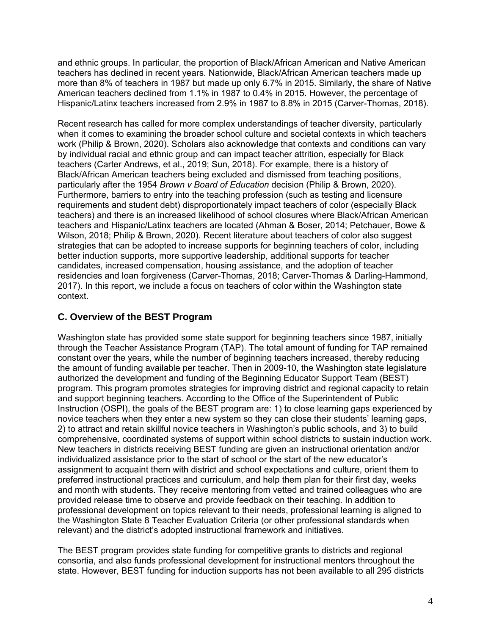and ethnic groups. In particular, the proportion of Black/African American and Native American teachers has declined in recent years. Nationwide, Black/African American teachers made up more than 8% of teachers in 1987 but made up only 6.7% in 2015. Similarly, the share of Native American teachers declined from 1.1% in 1987 to 0.4% in 2015. However, the percentage of Hispanic/Latinx teachers increased from 2.9% in 1987 to 8.8% in 2015 (Carver-Thomas, 2018).

Recent research has called for more complex understandings of teacher diversity, particularly when it comes to examining the broader school culture and societal contexts in which teachers work (Philip & Brown, 2020). Scholars also acknowledge that contexts and conditions can vary by individual racial and ethnic group and can impact teacher attrition, especially for Black teachers (Carter Andrews, et al., 2019; Sun, 2018). For example, there is a history of Black/African American teachers being excluded and dismissed from teaching positions, particularly after the 1954 *Brown v Board of Education* decision (Philip & Brown, 2020). Furthermore, barriers to entry into the teaching profession (such as testing and licensure requirements and student debt) disproportionately impact teachers of color (especially Black teachers) and there is an increased likelihood of school closures where Black/African American teachers and Hispanic/Latinx teachers are located (Ahman & Boser, 2014; Petchauer, Bowe & Wilson, 2018; Philip & Brown, 2020). Recent literature about teachers of color also suggest strategies that can be adopted to increase supports for beginning teachers of color, including better induction supports, more supportive leadership, additional supports for teacher candidates, increased compensation, housing assistance, and the adoption of teacher residencies and loan forgiveness (Carver-Thomas, 2018; Carver-Thomas & Darling-Hammond, 2017). In this report, we include a focus on teachers of color within the Washington state context.

## **C. Overview of the BEST Program**

Washington state has provided some state support for beginning teachers since 1987, initially through the Teacher Assistance Program (TAP). The total amount of funding for TAP remained constant over the years, while the number of beginning teachers increased, thereby reducing the amount of funding available per teacher. Then in 2009-10, the Washington state legislature authorized the development and funding of the Beginning Educator Support Team (BEST) program. This program promotes strategies for improving district and regional capacity to retain and support beginning teachers. According to the Office of the Superintendent of Public Instruction (OSPI), the goals of the BEST program are: 1) to close learning gaps experienced by novice teachers when they enter a new system so they can close their students' learning gaps, 2) to attract and retain skillful novice teachers in Washington's public schools, and 3) to build comprehensive, coordinated systems of support within school districts to sustain induction work. New teachers in districts receiving BEST funding are given an instructional orientation and/or individualized assistance prior to the start of school or the start of the new educator's assignment to acquaint them with district and school expectations and culture, orient them to preferred instructional practices and curriculum, and help them plan for their first day, weeks and month with students. They receive mentoring from vetted and trained colleagues who are provided release time to observe and provide feedback on their teaching. In addition to professional development on topics relevant to their needs, professional learning is aligned to the Washington State 8 Teacher Evaluation Criteria (or other professional standards when relevant) and the district's adopted instructional framework and initiatives.

The BEST program provides state funding for competitive grants to districts and regional consortia, and also funds professional development for instructional mentors throughout the state. However, BEST funding for induction supports has not been available to all 295 districts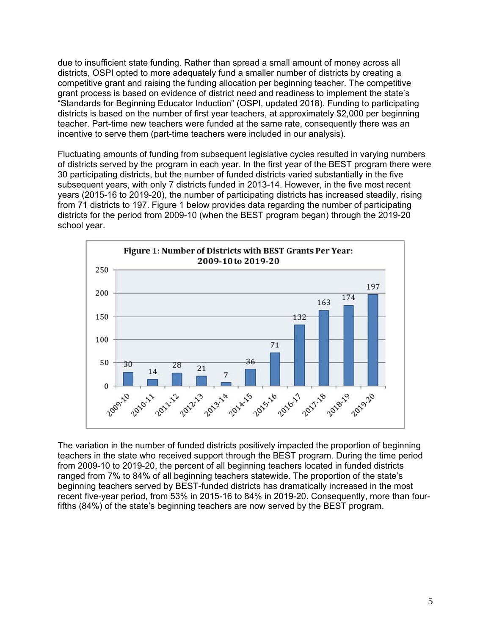due to insufficient state funding. Rather than spread a small amount of money across all districts, OSPI opted to more adequately fund a smaller number of districts by creating a competitive grant and raising the funding allocation per beginning teacher. The competitive grant process is based on evidence of district need and readiness to implement the state's "Standards for Beginning Educator Induction" (OSPI, updated 2018). Funding to participating districts is based on the number of first year teachers, at approximately \$2,000 per beginning teacher. Part-time new teachers were funded at the same rate, consequently there was an incentive to serve them (part-time teachers were included in our analysis).

Fluctuating amounts of funding from subsequent legislative cycles resulted in varying numbers of districts served by the program in each year. In the first year of the BEST program there were 30 participating districts, but the number of funded districts varied substantially in the five subsequent years, with only 7 districts funded in 2013-14. However, in the five most recent years (2015-16 to 2019-20), the number of participating districts has increased steadily, rising from 71 districts to 197. Figure 1 below provides data regarding the number of participating districts for the period from 2009-10 (when the BEST program began) through the 2019-20 school year.



The variation in the number of funded districts positively impacted the proportion of beginning teachers in the state who received support through the BEST program. During the time period from 2009-10 to 2019-20, the percent of all beginning teachers located in funded districts ranged from 7% to 84% of all beginning teachers statewide. The proportion of the state's beginning teachers served by BEST-funded districts has dramatically increased in the most recent five-year period, from 53% in 2015-16 to 84% in 2019-20. Consequently, more than fourfifths (84%) of the state's beginning teachers are now served by the BEST program.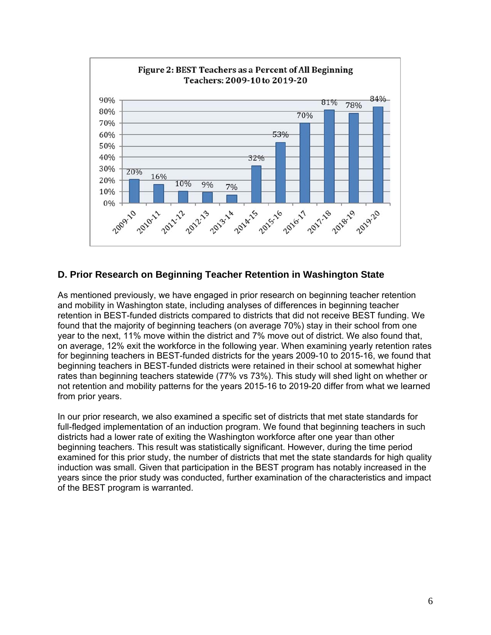

#### **D. Prior Research on Beginning Teacher Retention in Washington State**

As mentioned previously, we have engaged in prior research on beginning teacher retention and mobility in Washington state, including analyses of differences in beginning teacher retention in BEST-funded districts compared to districts that did not receive BEST funding. We found that the majority of beginning teachers (on average 70%) stay in their school from one year to the next, 11% move within the district and 7% move out of district. We also found that, on average, 12% exit the workforce in the following year. When examining yearly retention rates for beginning teachers in BEST-funded districts for the years 2009-10 to 2015-16, we found that beginning teachers in BEST-funded districts were retained in their school at somewhat higher rates than beginning teachers statewide (77% vs 73%). This study will shed light on whether or not retention and mobility patterns for the years 2015-16 to 2019-20 differ from what we learned from prior years.

In our prior research, we also examined a specific set of districts that met state standards for full-fledged implementation of an induction program. We found that beginning teachers in such districts had a lower rate of exiting the Washington workforce after one year than other beginning teachers. This result was statistically significant. However, during the time period examined for this prior study, the number of districts that met the state standards for high quality induction was small. Given that participation in the BEST program has notably increased in the years since the prior study was conducted, further examination of the characteristics and impact of the BEST program is warranted.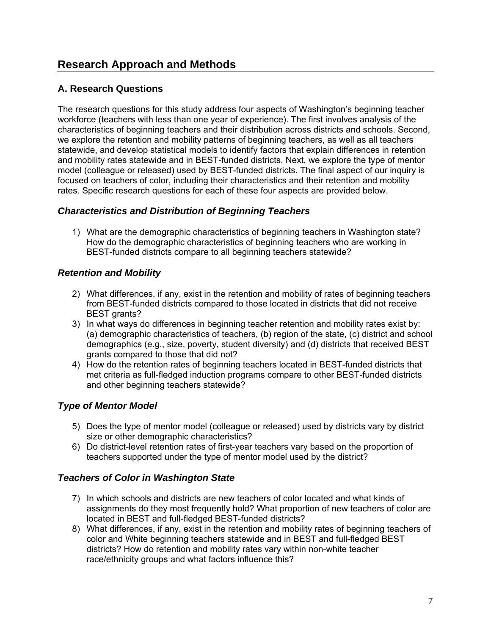## **A. Research Questions**

The research questions for this study address four aspects of Washington's beginning teacher workforce (teachers with less than one year of experience). The first involves analysis of the characteristics of beginning teachers and their distribution across districts and schools. Second, we explore the retention and mobility patterns of beginning teachers, as well as all teachers statewide, and develop statistical models to identify factors that explain differences in retention and mobility rates statewide and in BEST-funded districts. Next, we explore the type of mentor model (colleague or released) used by BEST-funded districts. The final aspect of our inquiry is focused on teachers of color, including their characteristics and their retention and mobility rates. Specific research questions for each of these four aspects are provided below.

#### *Characteristics and Distribution of Beginning Teachers*

1) What are the demographic characteristics of beginning teachers in Washington state? How do the demographic characteristics of beginning teachers who are working in BEST-funded districts compare to all beginning teachers statewide?

## *Retention and Mobility*

- 2) What differences, if any, exist in the retention and mobility of rates of beginning teachers from BEST-funded districts compared to those located in districts that did not receive BEST grants?
- 3) In what ways do differences in beginning teacher retention and mobility rates exist by: (a) demographic characteristics of teachers, (b) region of the state, (c) district and school demographics (e.g., size, poverty, student diversity) and (d) districts that received BEST grants compared to those that did not?
- 4) How do the retention rates of beginning teachers located in BEST-funded districts that met criteria as full-fledged induction programs compare to other BEST-funded districts and other beginning teachers statewide?

## *Type of Mentor Model*

- 5) Does the type of mentor model (colleague or released) used by districts vary by district size or other demographic characteristics?
- 6) Do district-level retention rates of first-year teachers vary based on the proportion of teachers supported under the type of mentor model used by the district?

## *Teachers of Color in Washington State*

- 7) In which schools and districts are new teachers of color located and what kinds of assignments do they most frequently hold? What proportion of new teachers of color are located in BEST and full-fledged BEST-funded districts?
- 8) What differences, if any, exist in the retention and mobility rates of beginning teachers of color and White beginning teachers statewide and in BEST and full-fledged BEST districts? How do retention and mobility rates vary within non-white teacher race/ethnicity groups and what factors influence this?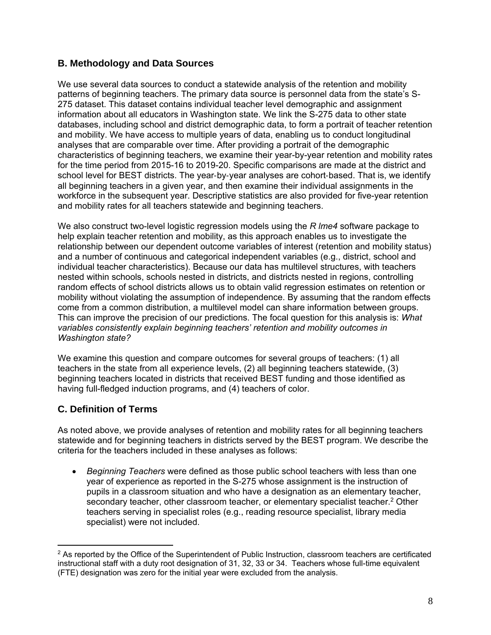#### **B. Methodology and Data Sources**

We use several data sources to conduct a statewide analysis of the retention and mobility patterns of beginning teachers. The primary data source is personnel data from the state's S-275 dataset. This dataset contains individual teacher level demographic and assignment information about all educators in Washington state. We link the S-275 data to other state databases, including school and district demographic data, to form a portrait of teacher retention and mobility. We have access to multiple years of data, enabling us to conduct longitudinal analyses that are comparable over time. After providing a portrait of the demographic characteristics of beginning teachers, we examine their year-by-year retention and mobility rates for the time period from 2015-16 to 2019-20. Specific comparisons are made at the district and school level for BEST districts. The year-by-year analyses are cohort-based. That is, we identify all beginning teachers in a given year, and then examine their individual assignments in the workforce in the subsequent year. Descriptive statistics are also provided for five-year retention and mobility rates for all teachers statewide and beginning teachers.

We also construct two-level logistic regression models using the *R lme4* software package to help explain teacher retention and mobility, as this approach enables us to investigate the relationship between our dependent outcome variables of interest (retention and mobility status) and a number of continuous and categorical independent variables (e.g., district, school and individual teacher characteristics). Because our data has multilevel structures, with teachers nested within schools, schools nested in districts, and districts nested in regions, controlling random effects of school districts allows us to obtain valid regression estimates on retention or mobility without violating the assumption of independence. By assuming that the random effects come from a common distribution, a multilevel model can share information between groups. This can improve the precision of our predictions. The focal question for this analysis is: *What variables consistently explain beginning teachers' retention and mobility outcomes in Washington state?*

We examine this question and compare outcomes for several groups of teachers: (1) all teachers in the state from all experience levels, (2) all beginning teachers statewide, (3) beginning teachers located in districts that received BEST funding and those identified as having full-fledged induction programs, and (4) teachers of color.

## **C. Definition of Terms**

As noted above, we provide analyses of retention and mobility rates for all beginning teachers statewide and for beginning teachers in districts served by the BEST program. We describe the criteria for the teachers included in these analyses as follows:

 *Beginning Teachers* were defined as those public school teachers with less than one year of experience as reported in the S-275 whose assignment is the instruction of pupils in a classroom situation and who have a designation as an elementary teacher, secondary teacher, other classroom teacher, or elementary specialist teacher.<sup>2</sup> Other teachers serving in specialist roles (e.g., reading resource specialist, library media specialist) were not included.

 $2$  As reported by the Office of the Superintendent of Public Instruction, classroom teachers are certificated instructional staff with a duty root designation of 31, 32, 33 or 34. Teachers whose full-time equivalent (FTE) designation was zero for the initial year were excluded from the analysis.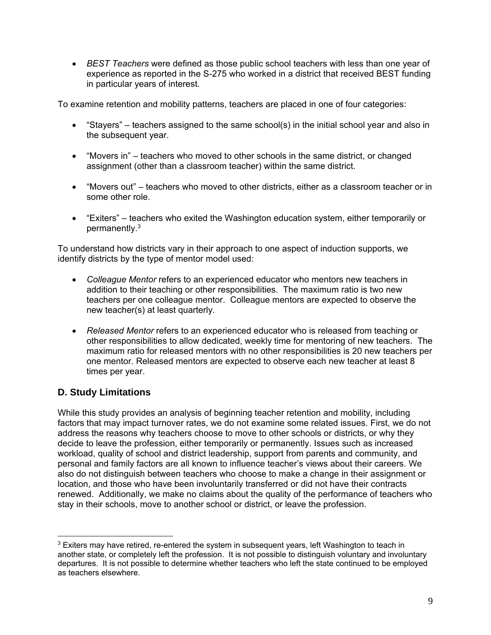*BEST Teachers* were defined as those public school teachers with less than one year of experience as reported in the S-275 who worked in a district that received BEST funding in particular years of interest.

To examine retention and mobility patterns, teachers are placed in one of four categories:

- "Stayers" teachers assigned to the same school(s) in the initial school year and also in the subsequent year.
- "Movers in" teachers who moved to other schools in the same district, or changed assignment (other than a classroom teacher) within the same district.
- "Movers out" teachers who moved to other districts, either as a classroom teacher or in some other role.
- "Exiters" teachers who exited the Washington education system, either temporarily or permanently.3

To understand how districts vary in their approach to one aspect of induction supports, we identify districts by the type of mentor model used:

- *Colleague Mentor* refers to an experienced educator who mentors new teachers in addition to their teaching or other responsibilities. The maximum ratio is two new teachers per one colleague mentor. Colleague mentors are expected to observe the new teacher(s) at least quarterly.
- *Released Mentor* refers to an experienced educator who is released from teaching or other responsibilities to allow dedicated, weekly time for mentoring of new teachers. The maximum ratio for released mentors with no other responsibilities is 20 new teachers per one mentor. Released mentors are expected to observe each new teacher at least 8 times per year.

## **D. Study Limitations**

While this study provides an analysis of beginning teacher retention and mobility, including factors that may impact turnover rates, we do not examine some related issues. First, we do not address the reasons why teachers choose to move to other schools or districts, or why they decide to leave the profession, either temporarily or permanently. Issues such as increased workload, quality of school and district leadership, support from parents and community, and personal and family factors are all known to influence teacher's views about their careers. We also do not distinguish between teachers who choose to make a change in their assignment or location, and those who have been involuntarily transferred or did not have their contracts renewed. Additionally, we make no claims about the quality of the performance of teachers who stay in their schools, move to another school or district, or leave the profession.

 $3$  Exiters may have retired, re-entered the system in subsequent years, left Washington to teach in another state, or completely left the profession. It is not possible to distinguish voluntary and involuntary departures. It is not possible to determine whether teachers who left the state continued to be employed as teachers elsewhere.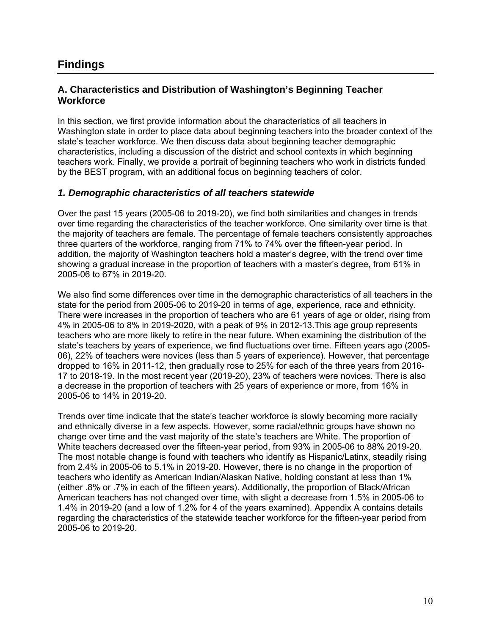## **Findings**

#### **A. Characteristics and Distribution of Washington's Beginning Teacher Workforce**

In this section, we first provide information about the characteristics of all teachers in Washington state in order to place data about beginning teachers into the broader context of the state's teacher workforce. We then discuss data about beginning teacher demographic characteristics, including a discussion of the district and school contexts in which beginning teachers work. Finally, we provide a portrait of beginning teachers who work in districts funded by the BEST program, with an additional focus on beginning teachers of color.

#### *1. Demographic characteristics of all teachers statewide*

Over the past 15 years (2005-06 to 2019-20), we find both similarities and changes in trends over time regarding the characteristics of the teacher workforce. One similarity over time is that the majority of teachers are female. The percentage of female teachers consistently approaches three quarters of the workforce, ranging from 71% to 74% over the fifteen-year period. In addition, the majority of Washington teachers hold a master's degree, with the trend over time showing a gradual increase in the proportion of teachers with a master's degree, from 61% in 2005-06 to 67% in 2019-20.

We also find some differences over time in the demographic characteristics of all teachers in the state for the period from 2005-06 to 2019-20 in terms of age, experience, race and ethnicity. There were increases in the proportion of teachers who are 61 years of age or older, rising from 4% in 2005-06 to 8% in 2019-2020, with a peak of 9% in 2012-13.This age group represents teachers who are more likely to retire in the near future. When examining the distribution of the state's teachers by years of experience, we find fluctuations over time. Fifteen years ago (2005- 06), 22% of teachers were novices (less than 5 years of experience). However, that percentage dropped to 16% in 2011-12, then gradually rose to 25% for each of the three years from 2016- 17 to 2018-19. In the most recent year (2019-20), 23% of teachers were novices. There is also a decrease in the proportion of teachers with 25 years of experience or more, from 16% in 2005-06 to 14% in 2019-20.

Trends over time indicate that the state's teacher workforce is slowly becoming more racially and ethnically diverse in a few aspects. However, some racial/ethnic groups have shown no change over time and the vast majority of the state's teachers are White. The proportion of White teachers decreased over the fifteen-year period, from 93% in 2005-06 to 88% 2019-20. The most notable change is found with teachers who identify as Hispanic/Latinx, steadily rising from 2.4% in 2005-06 to 5.1% in 2019-20. However, there is no change in the proportion of teachers who identify as American Indian/Alaskan Native, holding constant at less than 1% (either .8% or .7% in each of the fifteen years). Additionally, the proportion of Black/African American teachers has not changed over time, with slight a decrease from 1.5% in 2005-06 to 1.4% in 2019-20 (and a low of 1.2% for 4 of the years examined). Appendix A contains details regarding the characteristics of the statewide teacher workforce for the fifteen-year period from 2005-06 to 2019-20.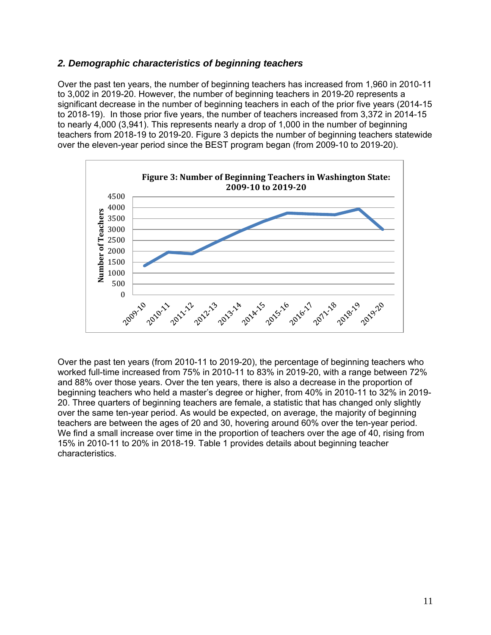#### *2. Demographic characteristics of beginning teachers*

Over the past ten years, the number of beginning teachers has increased from 1,960 in 2010-11 to 3,002 in 2019-20. However, the number of beginning teachers in 2019-20 represents a significant decrease in the number of beginning teachers in each of the prior five years (2014-15 to 2018-19). In those prior five years, the number of teachers increased from 3,372 in 2014-15 to nearly 4,000 (3,941). This represents nearly a drop of 1,000 in the number of beginning teachers from 2018-19 to 2019-20. Figure 3 depicts the number of beginning teachers statewide over the eleven-year period since the BEST program began (from 2009-10 to 2019-20).



Over the past ten years (from 2010-11 to 2019-20), the percentage of beginning teachers who worked full-time increased from 75% in 2010-11 to 83% in 2019-20, with a range between 72% and 88% over those years. Over the ten years, there is also a decrease in the proportion of beginning teachers who held a master's degree or higher, from 40% in 2010-11 to 32% in 2019- 20. Three quarters of beginning teachers are female, a statistic that has changed only slightly over the same ten-year period. As would be expected, on average, the majority of beginning teachers are between the ages of 20 and 30, hovering around 60% over the ten-year period. We find a small increase over time in the proportion of teachers over the age of 40, rising from 15% in 2010-11 to 20% in 2018-19. Table 1 provides details about beginning teacher characteristics.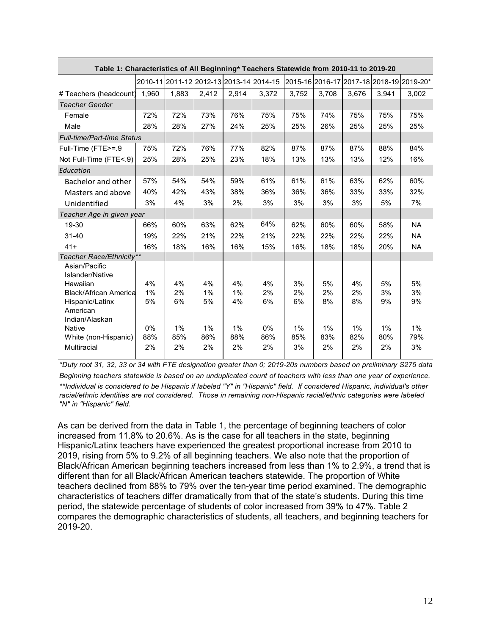|                                   | Table 1: Characteristics of All Beginning* Teachers Statewide from 2010-11 to 2019-20 |       |       |       |                                         |       |       |       |       |                                          |
|-----------------------------------|---------------------------------------------------------------------------------------|-------|-------|-------|-----------------------------------------|-------|-------|-------|-------|------------------------------------------|
|                                   |                                                                                       |       |       |       | 2010-11 2011-12 2012-13 2013-14 2014-15 |       |       |       |       | 2015-16 2016-17 2017-18 2018-19 2019-20* |
| # Teachers (headcount)            | 1.960                                                                                 | 1.883 | 2.412 | 2,914 | 3.372                                   | 3.752 | 3.708 | 3.676 | 3.941 | 3.002                                    |
| <b>Teacher Gender</b>             |                                                                                       |       |       |       |                                         |       |       |       |       |                                          |
| Female                            | 72%                                                                                   | 72%   | 73%   | 76%   | 75%                                     | 75%   | 74%   | 75%   | 75%   | 75%                                      |
| Male                              | 28%                                                                                   | 28%   | 27%   | 24%   | 25%                                     | 25%   | 26%   | 25%   | 25%   | 25%                                      |
| <b>Full-time/Part-time Status</b> |                                                                                       |       |       |       |                                         |       |       |       |       |                                          |
| Full-Time (FTE>=.9                | 75%                                                                                   | 72%   | 76%   | 77%   | 82%                                     | 87%   | 87%   | 87%   | 88%   | 84%                                      |
| Not Full-Time (FTE<.9)            | 25%                                                                                   | 28%   | 25%   | 23%   | 18%                                     | 13%   | 13%   | 13%   | 12%   | 16%                                      |
| Education                         |                                                                                       |       |       |       |                                         |       |       |       |       |                                          |
| Bachelor and other                | 57%                                                                                   | 54%   | 54%   | 59%   | 61%                                     | 61%   | 61%   | 63%   | 62%   | 60%                                      |
| Masters and above                 | 40%                                                                                   | 42%   | 43%   | 38%   | 36%                                     | 36%   | 36%   | 33%   | 33%   | 32%                                      |
| Unidentified                      | 3%                                                                                    | 4%    | 3%    | 2%    | 3%                                      | 3%    | 3%    | 3%    | 5%    | 7%                                       |
| Teacher Age in given year         |                                                                                       |       |       |       |                                         |       |       |       |       |                                          |
| 19-30                             | 66%                                                                                   | 60%   | 63%   | 62%   | 64%                                     | 62%   | 60%   | 60%   | 58%   | <b>NA</b>                                |
| 31-40                             | 19%                                                                                   | 22%   | 21%   | 22%   | 21%                                     | 22%   | 22%   | 22%   | 22%   | <b>NA</b>                                |
| $41+$                             | 16%                                                                                   | 18%   | 16%   | 16%   | 15%                                     | 16%   | 18%   | 18%   | 20%   | <b>NA</b>                                |
| Teacher Race/Ethnicity**          |                                                                                       |       |       |       |                                         |       |       |       |       |                                          |
| Asian/Pacific<br>Islander/Native  |                                                                                       |       |       |       |                                         |       |       |       |       |                                          |
| Hawaiian                          | 4%                                                                                    | 4%    | 4%    | 4%    | 4%                                      | 3%    | 5%    | 4%    | 5%    | 5%                                       |
| <b>Black/African America</b>      | 1%                                                                                    | 2%    | 1%    | 1%    | 2%                                      | 2%    | 2%    | 2%    | 3%    | 3%                                       |
| Hispanic/Latinx<br>American       | 5%                                                                                    | 6%    | 5%    | 4%    | 6%                                      | 6%    | 8%    | 8%    | 9%    | 9%                                       |
| Indian/Alaskan                    |                                                                                       |       |       |       |                                         |       |       |       |       |                                          |
| <b>Native</b>                     | $0\%$                                                                                 | 1%    | $1\%$ | 1%    | $0\%$                                   | $1\%$ | 1%    | 1%    | 1%    | $1\%$                                    |
| White (non-Hispanic)              | 88%                                                                                   | 85%   | 86%   | 88%   | 86%                                     | 85%   | 83%   | 82%   | 80%   | 79%                                      |
| <b>Multiracial</b>                | 2%                                                                                    | 2%    | 2%    | 2%    | 2%                                      | 3%    | 2%    | 2%    | 2%    | 3%                                       |

*\*Duty root 31, 32, 33 or 34 with FTE designation greater than 0; 2019-20s numbers based on preliminary S275 data \*\*Individual is considered to be Hispanic if labeled "Y" in "Hispanic" field. If considered Hispanic, individual's other racial/ethnic identities are not considered. Those in remaining non-Hispanic racial/ethnic categories were labeled "N" in "Hispanic" field. Beginning teachers statewide is based on an unduplicated count of teachers with less than one year of experience.*

As can be derived from the data in Table 1, the percentage of beginning teachers of color increased from 11.8% to 20.6%. As is the case for all teachers in the state, beginning Hispanic/Latinx teachers have experienced the greatest proportional increase from 2010 to 2019, rising from 5% to 9.2% of all beginning teachers. We also note that the proportion of Black/African American beginning teachers increased from less than 1% to 2.9%, a trend that is different than for all Black/African American teachers statewide. The proportion of White teachers declined from 88% to 79% over the ten-year time period examined. The demographic characteristics of teachers differ dramatically from that of the state's students. During this time period, the statewide percentage of students of color increased from 39% to 47%. Table 2 compares the demographic characteristics of students, all teachers, and beginning teachers for 2019-20.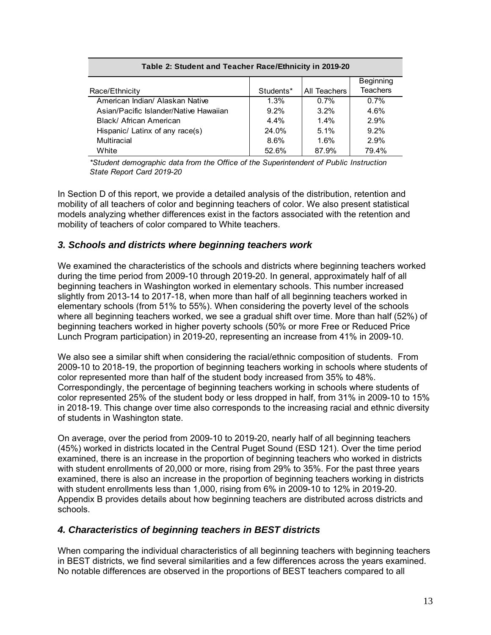| Table 2: Student and Teacher Race/Ethnicity in 2019-20 |           |              |                  |  |  |  |  |  |  |
|--------------------------------------------------------|-----------|--------------|------------------|--|--|--|--|--|--|
|                                                        |           |              | <b>Beginning</b> |  |  |  |  |  |  |
| Race/Ethnicity                                         | Students* | All Teachers | <b>Teachers</b>  |  |  |  |  |  |  |
| American Indian/ Alaskan Native                        | 1.3%      | 0.7%         | 0.7%             |  |  |  |  |  |  |
| Asian/Pacific Islander/Native Hawaiian                 | $9.2\%$   | $3.2\%$      | 4.6%             |  |  |  |  |  |  |
| Black/ African American                                | $4.4\%$   | 1.4%         | 2.9%             |  |  |  |  |  |  |
| Hispanic/ Latinx of any race(s)                        | 24.0%     | $5.1\%$      | $9.2\%$          |  |  |  |  |  |  |
| Multiracial                                            | 8.6%      | 1.6%         | 2.9%             |  |  |  |  |  |  |
| White                                                  | 52.6%     | 87.9%        | 79.4%            |  |  |  |  |  |  |

*\*Student demographic data from the Office of the Superintendent of Public Instruction State Report Card 2019-20*

In Section D of this report, we provide a detailed analysis of the distribution, retention and mobility of all teachers of color and beginning teachers of color. We also present statistical models analyzing whether differences exist in the factors associated with the retention and mobility of teachers of color compared to White teachers.

#### *3. Schools and districts where beginning teachers work*

We examined the characteristics of the schools and districts where beginning teachers worked during the time period from 2009-10 through 2019-20. In general, approximately half of all beginning teachers in Washington worked in elementary schools. This number increased slightly from 2013-14 to 2017-18, when more than half of all beginning teachers worked in elementary schools (from 51% to 55%). When considering the poverty level of the schools where all beginning teachers worked, we see a gradual shift over time. More than half (52%) of beginning teachers worked in higher poverty schools (50% or more Free or Reduced Price Lunch Program participation) in 2019-20, representing an increase from 41% in 2009-10.

We also see a similar shift when considering the racial/ethnic composition of students. From 2009-10 to 2018-19, the proportion of beginning teachers working in schools where students of color represented more than half of the student body increased from 35% to 48%. Correspondingly, the percentage of beginning teachers working in schools where students of color represented 25% of the student body or less dropped in half, from 31% in 2009-10 to 15% in 2018-19. This change over time also corresponds to the increasing racial and ethnic diversity of students in Washington state.

On average, over the period from 2009-10 to 2019-20, nearly half of all beginning teachers (45%) worked in districts located in the Central Puget Sound (ESD 121). Over the time period examined, there is an increase in the proportion of beginning teachers who worked in districts with student enrollments of 20,000 or more, rising from 29% to 35%. For the past three years examined, there is also an increase in the proportion of beginning teachers working in districts with student enrollments less than 1,000, rising from 6% in 2009-10 to 12% in 2019-20. Appendix B provides details about how beginning teachers are distributed across districts and schools.

#### *4. Characteristics of beginning teachers in BEST districts*

When comparing the individual characteristics of all beginning teachers with beginning teachers in BEST districts, we find several similarities and a few differences across the years examined. No notable differences are observed in the proportions of BEST teachers compared to all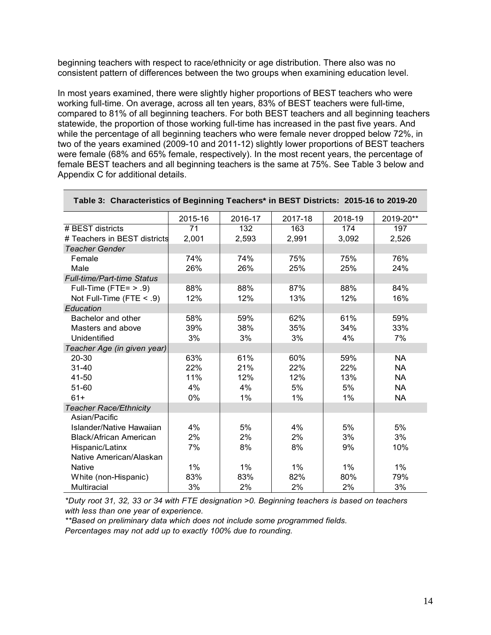beginning teachers with respect to race/ethnicity or age distribution. There also was no consistent pattern of differences between the two groups when examining education level.

In most years examined, there were slightly higher proportions of BEST teachers who were working full-time. On average, across all ten years, 83% of BEST teachers were full-time, compared to 81% of all beginning teachers. For both BEST teachers and all beginning teachers statewide, the proportion of those working full-time has increased in the past five years. And while the percentage of all beginning teachers who were female never dropped below 72%, in two of the years examined (2009-10 and 2011-12) slightly lower proportions of BEST teachers were female (68% and 65% female, respectively). In the most recent years, the percentage of female BEST teachers and all beginning teachers is the same at 75%. See Table 3 below and Appendix C for additional details.

|                                   | 2015-16 | 2016-17 | 2017-18 | 2018-19 | 2019-20** |
|-----------------------------------|---------|---------|---------|---------|-----------|
| # BEST districts                  | 71      | 132     | 163     | 174     | 197       |
| # Teachers in BEST districts      | 2,001   | 2,593   | 2,991   | 3,092   | 2,526     |
| <b>Teacher Gender</b>             |         |         |         |         |           |
| Female                            | 74%     | 74%     | 75%     | 75%     | 76%       |
| Male                              | 26%     | 26%     | 25%     | 25%     | 24%       |
| <b>Full-time/Part-time Status</b> |         |         |         |         |           |
| Full-Time (FTE= $> .9$ )          | 88%     | 88%     | 87%     | 88%     | 84%       |
| Not Full-Time (FTE $< .9$ )       | 12%     | 12%     | 13%     | 12%     | 16%       |
| Education                         |         |         |         |         |           |
| Bachelor and other                | 58%     | 59%     | 62%     | 61%     | 59%       |
| Masters and above                 | 39%     | 38%     | 35%     | 34%     | 33%       |
| Unidentified                      | 3%      | 3%      | 3%      | 4%      | 7%        |
| Teacher Age (in given year)       |         |         |         |         |           |
| 20-30                             | 63%     | 61%     | 60%     | 59%     | <b>NA</b> |
| $31 - 40$                         | 22%     | 21%     | 22%     | 22%     | <b>NA</b> |
| 41-50                             | 11%     | 12%     | 12%     | 13%     | <b>NA</b> |
| 51-60                             | 4%      | 4%      | 5%      | 5%      | <b>NA</b> |
| $61+$                             | 0%      | $1\%$   | 1%      | 1%      | <b>NA</b> |
| <b>Teacher Race/Ethnicity</b>     |         |         |         |         |           |
| Asian/Pacific                     |         |         |         |         |           |
| Islander/Native Hawaiian          | 4%      | 5%      | 4%      | 5%      | 5%        |
| <b>Black/African American</b>     | 2%      | 2%      | 2%      | 3%      | 3%        |
| Hispanic/Latinx                   | 7%      | 8%      | 8%      | 9%      | 10%       |
| Native American/Alaskan           |         |         |         |         |           |
| <b>Native</b>                     | 1%      | 1%      | 1%      | 1%      | $1\%$     |
| White (non-Hispanic)              | 83%     | 83%     | 82%     | 80%     | 79%       |
| <b>Multiracial</b>                | 3%      | 2%      | 2%      | 2%      | 3%        |

**Table 3: Characteristics of Beginning Teachers\* in BEST Districts: 2015-16 to 2019-20** 

*\*Duty root 31, 32, 33 or 34 with FTE designation >0. Beginning teachers is based on teachers with less than one year of experience.*

*\*\*Based on preliminary data which does not include some programmed fields.*

*Percentages may not add up to exactly 100% due to rounding.*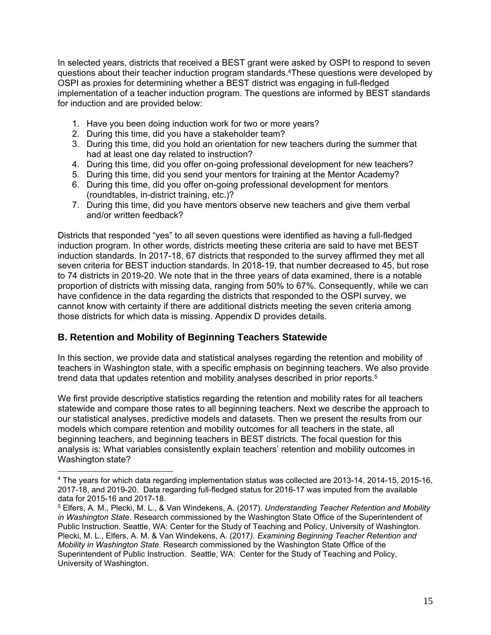In selected years, districts that received a BEST grant were asked by OSPI to respond to seven questions about their teacher induction program standards.4These questions were developed by OSPI as proxies for determining whether a BEST district was engaging in full-fledged implementation of a teacher induction program. The questions are informed by BEST standards for induction and are provided below:

- 1. Have you been doing induction work for two or more years?
- 2. During this time, did you have a stakeholder team?
- 3. During this time, did you hold an orientation for new teachers during the summer that had at least one day related to instruction?
- 4. During this time, did you offer on-going professional development for new teachers?
- 5. During this time, did you send your mentors for training at the Mentor Academy?
- 6. During this time, did you offer on-going professional development for mentors (roundtables, in-district training, etc.)?
- 7. During this time, did you have mentors observe new teachers and give them verbal and/or written feedback?

Districts that responded "yes" to all seven questions were identified as having a full-fledged induction program. In other words, districts meeting these criteria are said to have met BEST induction standards. In 2017-18, 67 districts that responded to the survey affirmed they met all seven criteria for BEST induction standards. In 2018-19, that number decreased to 45, but rose to 74 districts in 2019-20. We note that in the three years of data examined, there is a notable proportion of districts with missing data, ranging from 50% to 67%. Consequently, while we can have confidence in the data regarding the districts that responded to the OSPI survey, we cannot know with certainty if there are additional districts meeting the seven criteria among those districts for which data is missing. Appendix D provides details.

## **B. Retention and Mobility of Beginning Teachers Statewide**

In this section, we provide data and statistical analyses regarding the retention and mobility of teachers in Washington state, with a specific emphasis on beginning teachers. We also provide trend data that updates retention and mobility analyses described in prior reports.5

We first provide descriptive statistics regarding the retention and mobility rates for all teachers statewide and compare those rates to all beginning teachers. Next we describe the approach to our statistical analyses, predictive models and datasets. Then we present the results from our models which compare retention and mobility outcomes for all teachers in the state, all beginning teachers, and beginning teachers in BEST districts. The focal question for this analysis is: What variables consistently explain teachers' retention and mobility outcomes in Washington state?

<sup>4</sup> The years for which data regarding implementation status was collected are 2013-14, 2014-15, 2015-16, 2017-18, and 2019-20. Data regarding full-fledged status for 2016-17 was imputed from the available data for 2015-16 and 2017-18.

<sup>5</sup> Elfers, A. M., Plecki, M. L., & Van Windekens, A. (2017). *Understanding Teacher Retention and Mobility in Washington State*. Research commissioned by the Washington State Office of the Superintendent of Public Instruction. Seattle, WA: Center for the Study of Teaching and Policy, University of Washington. Plecki, M. L., Elfers, A. M. & Van Windekens, A. (2017*). Examining Beginning Teacher Retention and Mobility in Washington State.* Research commissioned by the Washington State Office of the Superintendent of Public Instruction. Seattle, WA: Center for the Study of Teaching and Policy, University of Washington.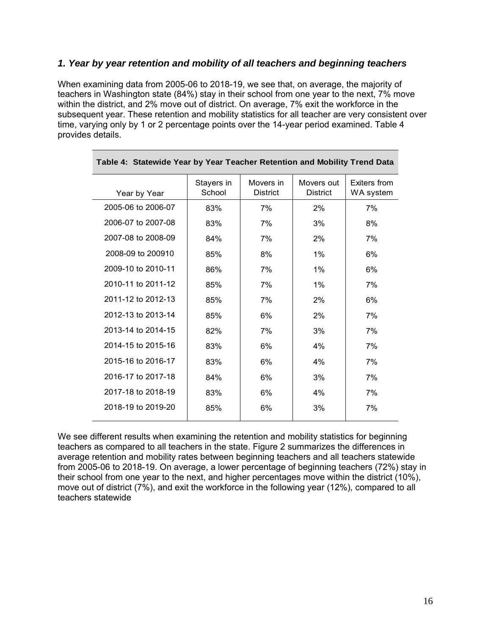#### *1. Year by year retention and mobility of all teachers and beginning teachers*

When examining data from 2005-06 to 2018-19, we see that, on average, the majority of teachers in Washington state (84%) stay in their school from one year to the next, 7% move within the district, and 2% move out of district. On average, 7% exit the workforce in the subsequent year. These retention and mobility statistics for all teacher are very consistent over time, varying only by 1 or 2 percentage points over the 14-year period examined. Table 4 provides details.

| Year by Year       | Stayers in<br>School | Movers in<br><b>District</b> | Movers out<br><b>District</b> | Exiters from<br>WA system |
|--------------------|----------------------|------------------------------|-------------------------------|---------------------------|
| 2005-06 to 2006-07 | 83%                  | 7%                           | 2%                            | 7%                        |
| 2006-07 to 2007-08 | 83%                  | 7%                           | 3%                            | 8%                        |
| 2007-08 to 2008-09 | 84%                  | 7%                           | 2%                            | 7%                        |
| 2008-09 to 200910  | 85%                  | 8%                           | 1%                            | 6%                        |
| 2009-10 to 2010-11 | 86%                  | 7%                           | 1%                            | 6%                        |
| 2010-11 to 2011-12 | 85%                  | 7%                           | 1%                            | 7%                        |
| 2011-12 to 2012-13 | 85%                  | 7%                           | 2%                            | 6%                        |
| 2012-13 to 2013-14 | 85%                  | 6%                           | 2%                            | 7%                        |
| 2013-14 to 2014-15 | 82%                  | 7%                           | 3%                            | 7%                        |
| 2014-15 to 2015-16 | 83%                  | 6%                           | 4%                            | 7%                        |
| 2015-16 to 2016-17 | 83%                  | 6%                           | 4%                            | 7%                        |
| 2016-17 to 2017-18 | 84%                  | 6%                           | 3%                            | 7%                        |
| 2017-18 to 2018-19 | 83%                  | 6%                           | 4%                            | 7%                        |
| 2018-19 to 2019-20 | 85%                  | 6%                           | 3%                            | 7%                        |
|                    |                      |                              |                               |                           |

|  | Table 4: Statewide Year by Year Teacher Retention and Mobility Trend Data |  |  |  |  |  |  |  |  |
|--|---------------------------------------------------------------------------|--|--|--|--|--|--|--|--|
|--|---------------------------------------------------------------------------|--|--|--|--|--|--|--|--|

We see different results when examining the retention and mobility statistics for beginning teachers as compared to all teachers in the state. Figure 2 summarizes the differences in average retention and mobility rates between beginning teachers and all teachers statewide from 2005-06 to 2018-19. On average, a lower percentage of beginning teachers (72%) stay in their school from one year to the next, and higher percentages move within the district (10%), move out of district (7%), and exit the workforce in the following year (12%), compared to all teachers statewide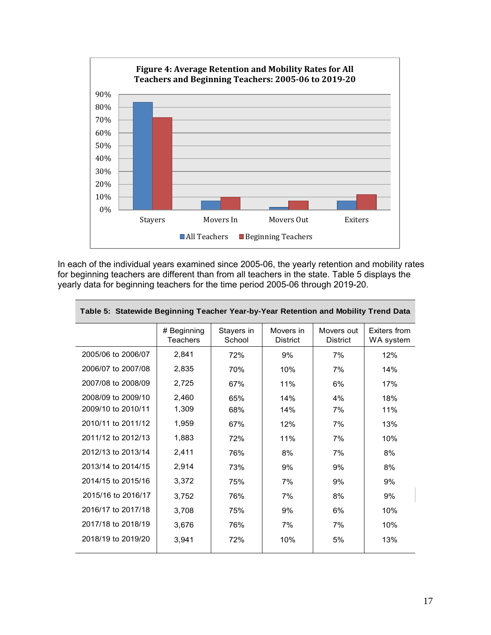

In each of the individual years examined since 2005-06, the yearly retention and mobility rates for beginning teachers are different than from all teachers in the state. Table 5 displays the yearly data for beginning teachers for the time period 2005-06 through 2019-20.

| Table 5: Statewide Beginning Teacher Year-by-Year Retention and Mobility Trend Data |                                |                      |                              |                               |                           |  |  |  |  |  |
|-------------------------------------------------------------------------------------|--------------------------------|----------------------|------------------------------|-------------------------------|---------------------------|--|--|--|--|--|
|                                                                                     | # Beginning<br><b>Teachers</b> | Stayers in<br>School | Movers in<br><b>District</b> | Movers out<br><b>District</b> | Exiters from<br>WA system |  |  |  |  |  |
| 2005/06 to 2006/07                                                                  | 2,841                          | 72%                  | 9%                           | 7%                            | 12%                       |  |  |  |  |  |
| 2006/07 to 2007/08                                                                  | 2,835                          | 70%                  | 10%                          | 7%                            | 14%                       |  |  |  |  |  |
| 2007/08 to 2008/09                                                                  | 2,725                          | 67%                  | 11%                          | 6%                            | 17%                       |  |  |  |  |  |
| 2008/09 to 2009/10                                                                  | 2,460                          | 65%                  | 14%                          | 4%                            | 18%                       |  |  |  |  |  |
| 2009/10 to 2010/11                                                                  | 1,309                          | 68%                  | 14%                          | 7%                            | 11%                       |  |  |  |  |  |
| 2010/11 to 2011/12                                                                  | 1,959                          | 67%                  | 12%                          | 7%                            | 13%                       |  |  |  |  |  |
| 2011/12 to 2012/13                                                                  | 1,883                          | 72%                  | 11%                          | 7%                            | 10%                       |  |  |  |  |  |
| 2012/13 to 2013/14                                                                  | 2,411                          | 76%                  | 8%                           | 7%                            | 8%                        |  |  |  |  |  |
| 2013/14 to 2014/15                                                                  | 2,914                          | 73%                  | 9%                           | 9%                            | 8%                        |  |  |  |  |  |
| 2014/15 to 2015/16                                                                  | 3,372                          | 75%                  | 7%                           | 9%                            | 9%                        |  |  |  |  |  |
| 2015/16 to 2016/17                                                                  | 3,752                          | 76%                  | 7%                           | 8%                            | 9%                        |  |  |  |  |  |
| 2016/17 to 2017/18                                                                  | 3,708                          | 75%                  | 9%                           | 6%                            | 10%                       |  |  |  |  |  |
| 2017/18 to 2018/19                                                                  | 3,676                          | 76%                  | 7%                           | 7%                            | 10%                       |  |  |  |  |  |
| 2018/19 to 2019/20                                                                  | 3,941                          | 72%                  | 10%                          | 5%                            | 13%                       |  |  |  |  |  |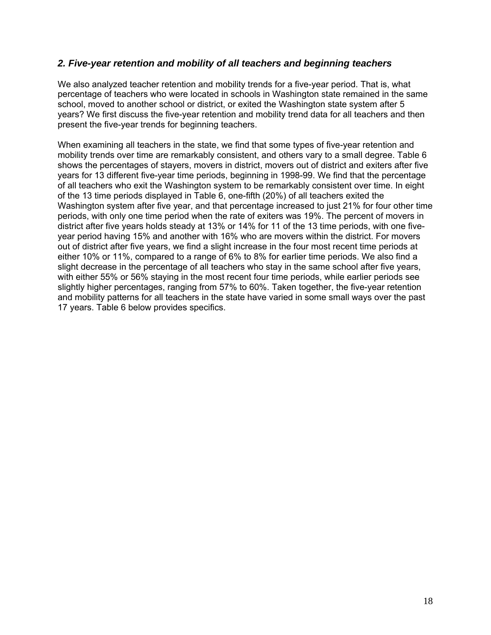#### *2. Five-year retention and mobility of all teachers and beginning teachers*

We also analyzed teacher retention and mobility trends for a five-year period. That is, what percentage of teachers who were located in schools in Washington state remained in the same school, moved to another school or district, or exited the Washington state system after 5 years? We first discuss the five-year retention and mobility trend data for all teachers and then present the five-year trends for beginning teachers.

When examining all teachers in the state, we find that some types of five-year retention and mobility trends over time are remarkably consistent, and others vary to a small degree. Table 6 shows the percentages of stayers, movers in district, movers out of district and exiters after five years for 13 different five-year time periods, beginning in 1998-99. We find that the percentage of all teachers who exit the Washington system to be remarkably consistent over time. In eight of the 13 time periods displayed in Table 6, one-fifth (20%) of all teachers exited the Washington system after five year, and that percentage increased to just 21% for four other time periods, with only one time period when the rate of exiters was 19%. The percent of movers in district after five years holds steady at 13% or 14% for 11 of the 13 time periods, with one fiveyear period having 15% and another with 16% who are movers within the district. For movers out of district after five years, we find a slight increase in the four most recent time periods at either 10% or 11%, compared to a range of 6% to 8% for earlier time periods. We also find a slight decrease in the percentage of all teachers who stay in the same school after five years, with either 55% or 56% staying in the most recent four time periods, while earlier periods see slightly higher percentages, ranging from 57% to 60%. Taken together, the five-year retention and mobility patterns for all teachers in the state have varied in some small ways over the past 17 years. Table 6 below provides specifics.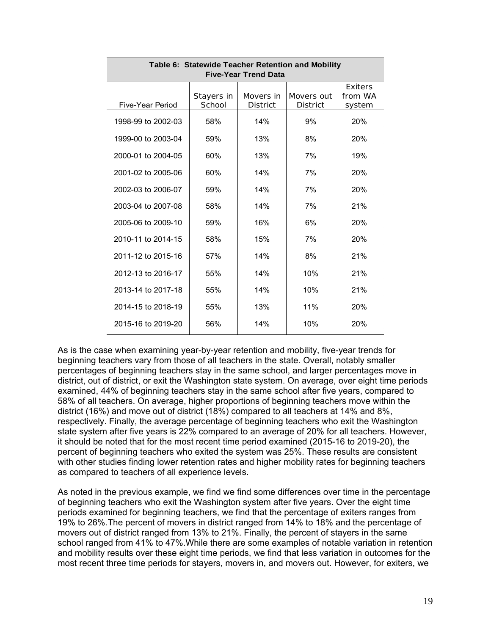| Table 6: Statewide Teacher Retention and Mobility<br><b>Five-Year Trend Data</b>                                                          |     |     |     |            |  |  |  |  |  |  |
|-------------------------------------------------------------------------------------------------------------------------------------------|-----|-----|-----|------------|--|--|--|--|--|--|
| Exiters<br>Stayers in<br>Movers in<br>from WA<br>Movers out<br>Five-Year Period<br>School<br><b>District</b><br><b>District</b><br>system |     |     |     |            |  |  |  |  |  |  |
| 1998-99 to 2002-03                                                                                                                        | 58% | 14% | 9%  | 20%        |  |  |  |  |  |  |
| 1999-00 to 2003-04                                                                                                                        | 59% | 13% | 8%  | 20%        |  |  |  |  |  |  |
| 2000-01 to 2004-05                                                                                                                        | 60% | 13% | 7%  | 19%        |  |  |  |  |  |  |
| 2001-02 to 2005-06                                                                                                                        | 60% | 14% | 7%  | 20%        |  |  |  |  |  |  |
| 2002-03 to 2006-07                                                                                                                        | 59% | 14% | 7%  | <b>20%</b> |  |  |  |  |  |  |
| 2003-04 to 2007-08                                                                                                                        | 58% | 14% | 7%  | 21%        |  |  |  |  |  |  |
| 2005-06 to 2009-10                                                                                                                        | 59% | 16% | 6%  | 20%        |  |  |  |  |  |  |
| 2010-11 to 2014-15                                                                                                                        | 58% | 15% | 7%  | 20%        |  |  |  |  |  |  |
| 2011-12 to 2015-16                                                                                                                        | 57% | 14% | 8%  | 21%        |  |  |  |  |  |  |
| 2012-13 to 2016-17                                                                                                                        | 55% | 14% | 10% | 21%        |  |  |  |  |  |  |
| 2013-14 to 2017-18                                                                                                                        | 55% | 14% | 10% | 21%        |  |  |  |  |  |  |
| 2014-15 to 2018-19                                                                                                                        | 55% | 13% | 11% | 20%        |  |  |  |  |  |  |
| 2015-16 to 2019-20                                                                                                                        | 56% | 14% | 10% | 20%        |  |  |  |  |  |  |

As is the case when examining year-by-year retention and mobility, five-year trends for beginning teachers vary from those of all teachers in the state. Overall, notably smaller percentages of beginning teachers stay in the same school, and larger percentages move in district, out of district, or exit the Washington state system. On average, over eight time periods examined, 44% of beginning teachers stay in the same school after five years, compared to 58% of all teachers. On average, higher proportions of beginning teachers move within the district (16%) and move out of district (18%) compared to all teachers at 14% and 8%, respectively. Finally, the average percentage of beginning teachers who exit the Washington state system after five years is 22% compared to an average of 20% for all teachers. However, it should be noted that for the most recent time period examined (2015-16 to 2019-20), the percent of beginning teachers who exited the system was 25%. These results are consistent with other studies finding lower retention rates and higher mobility rates for beginning teachers as compared to teachers of all experience levels.

As noted in the previous example, we find we find some differences over time in the percentage of beginning teachers who exit the Washington system after five years. Over the eight time periods examined for beginning teachers, we find that the percentage of exiters ranges from 19% to 26%.The percent of movers in district ranged from 14% to 18% and the percentage of movers out of district ranged from 13% to 21%. Finally, the percent of stayers in the same school ranged from 41% to 47%.While there are some examples of notable variation in retention and mobility results over these eight time periods, we find that less variation in outcomes for the most recent three time periods for stayers, movers in, and movers out. However, for exiters, we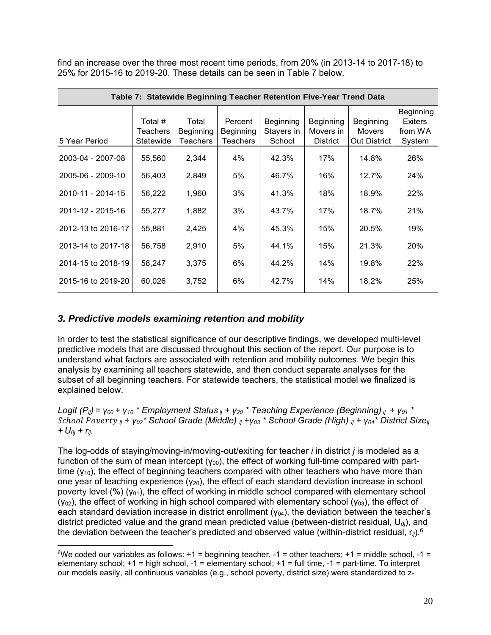find an increase over the three most recent time periods, from 20% (in 2013-14 to 2017-18) to 25% for 2015-16 to 2019-20. These details can be seen in Table 7 below.

| Table 7: Statewide Beginning Teacher Retention Five-Year Trend Data |                     |                    |                      |                         |                        |                            |                                        |  |  |  |
|---------------------------------------------------------------------|---------------------|--------------------|----------------------|-------------------------|------------------------|----------------------------|----------------------------------------|--|--|--|
|                                                                     | Total #<br>Teachers | Total<br>Beginning | Percent<br>Beginning | Beginning<br>Stayers in | Beginning<br>Movers in | Beginning<br><b>Movers</b> | Beginning<br><b>Exiters</b><br>from WA |  |  |  |
| 5 Year Period                                                       | Statewide           | Teachers           | Teachers             | School                  | <b>District</b>        | Out District               | System                                 |  |  |  |
| 2003-04 - 2007-08                                                   | 55,560              | 2,344              | 4%                   | 42.3%                   | 17%                    | 14.8%                      | 26%                                    |  |  |  |
| 2005-06 - 2009-10                                                   | 56,403              | 2,849              | 5%                   | 46.7%                   | 16%                    | 12.7%                      | 24%                                    |  |  |  |
| 2010-11 - 2014-15                                                   | 56,222              | 1,960              | 3%                   | 41.3%                   | 18%                    | 18.9%                      | 22%                                    |  |  |  |
| 2011-12 - 2015-16                                                   | 55,277              | 1,882              | 3%                   | 43.7%                   | 17%                    | 18.7%                      | 21%                                    |  |  |  |
| 2012-13 to 2016-17                                                  | 55,881              | 2,425              | 4%                   | 45.3%                   | 15%                    | 20.5%                      | 19%                                    |  |  |  |
| 2013-14 to 2017-18                                                  | 56,758              | 2,910              | 5%                   | 44.1%                   | 15%                    | 21.3%                      | 20%                                    |  |  |  |
| 2014-15 to 2018-19                                                  | 58,247              | 3,375              | 6%                   | 44.2%                   | 14%                    | 19.8%                      | 22%                                    |  |  |  |
| 2015-16 to 2019-20                                                  | 60,026              | 3,752              | 6%                   | 42.7%                   | 14%                    | 18.2%                      | 25%                                    |  |  |  |

#### *3. Predictive models examining retention and mobility*

In order to test the statistical significance of our descriptive findings, we developed multi-level predictive models that are discussed throughout this section of the report. Our purpose is to understand what factors are associated with retention and mobility outcomes. We begin this analysis by examining all teachers statewide, and then conduct separate analyses for the subset of all beginning teachers. For statewide teachers, the statistical model we finalized is explained below.

*Logit (Pij) = γ00 + γ10 \* Employment Status ij + γ20 \* Teaching Experience (Beginning) ij + γ01 \**  ℎ  *ij + γ02\* School Grade (Middle) ij +γ03 \* School Grade (High) ij + γ04\* District Sizeij + U0j + rij.* 

The log-odds of staying/moving-in/moving-out/exiting for teacher *i* in district *j* is modeled as a function of the sum of mean intercept  $(y_{00})$ , the effect of working full-time compared with parttime  $(v_{10})$ , the effect of beginning teachers compared with other teachers who have more than one year of teaching experience  $(y_{20})$ , the effect of each standard deviation increase in school poverty level  $(\%)$  ( $\gamma_{01}$ ), the effect of working in middle school compared with elementary school  $(y_{02})$ , the effect of working in high school compared with elementary school  $(y_{03})$ , the effect of each standard deviation increase in district enrollment ( $y_{04}$ ), the deviation between the teacher's district predicted value and the grand mean predicted value (between-district residual, U*0j*), and the deviation between the teacher's predicted and observed value (within-district residual, r*ij*).6

<sup>&</sup>lt;sup>6</sup>We coded our variables as follows:  $+1$  = beginning teacher,  $-1$  = other teachers;  $+1$  = middle school,  $-1$  = elementary school; +1 = high school, -1 = elementary school; +1 = full time, -1 = part-time. To interpret our models easily, all continuous variables (e.g., school poverty, district size) were standardized to z-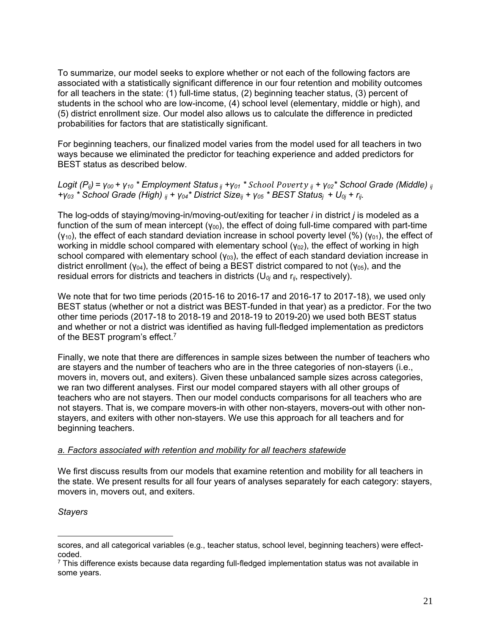To summarize, our model seeks to explore whether or not each of the following factors are associated with a statistically significant difference in our four retention and mobility outcomes for all teachers in the state: (1) full-time status, (2) beginning teacher status, (3) percent of students in the school who are low-income, (4) school level (elementary, middle or high), and (5) district enrollment size. Our model also allows us to calculate the difference in predicted probabilities for factors that are statistically significant.

For beginning teachers, our finalized model varies from the model used for all teachers in two ways because we eliminated the predictor for teaching experience and added predictors for BEST status as described below.

*Logit (P<sub>ij</sub>)* =  $\gamma_{00}$  +  $\gamma_{10}$  \* Employment Status *ij* + $\gamma_{01}$  \* *School Poverty ij* +  $\gamma_{02}$  \* School Grade (Middle) *ij +γ03 \* School Grade (High) ij + γ04\* District Sizeij + γ05 \* BEST Statusj + U0j + rij.* 

The log-odds of staying/moving-in/moving-out/exiting for teacher *i* in district *j* is modeled as a function of the sum of mean intercept ( $y_{00}$ ), the effect of doing full-time compared with part-time  $(y_{10})$ , the effect of each standard deviation increase in school poverty level  $(\%)(y_{01})$ , the effect of working in middle school compared with elementary school  $(y_{02})$ , the effect of working in high school compared with elementary school ( $y_{03}$ ), the effect of each standard deviation increase in district enrollment ( $y_{04}$ ), the effect of being a BEST district compared to not ( $y_{05}$ ), and the residual errors for districts and teachers in districts (U*0j* and r*ij*, respectively).

We note that for two time periods (2015-16 to 2016-17 and 2016-17 to 2017-18), we used only BEST status (whether or not a district was BEST-funded in that year) as a predictor. For the two other time periods (2017-18 to 2018-19 and 2018-19 to 2019-20) we used both BEST status and whether or not a district was identified as having full-fledged implementation as predictors of the BEST program's effect.7

Finally, we note that there are differences in sample sizes between the number of teachers who are stayers and the number of teachers who are in the three categories of non-stayers (i.e., movers in, movers out, and exiters). Given these unbalanced sample sizes across categories, we ran two different analyses. First our model compared stayers with all other groups of teachers who are not stayers. Then our model conducts comparisons for all teachers who are not stayers. That is, we compare movers-in with other non-stayers, movers-out with other nonstayers, and exiters with other non-stayers. We use this approach for all teachers and for beginning teachers.

#### *a. Factors associated with retention and mobility for all teachers statewide*

We first discuss results from our models that examine retention and mobility for all teachers in the state. We present results for all four years of analyses separately for each category: stayers, movers in, movers out, and exiters.

*Stayers* 

scores, and all categorical variables (e.g., teacher status, school level, beginning teachers) were effectcoded.

 $7$  This difference exists because data regarding full-fledged implementation status was not available in some years.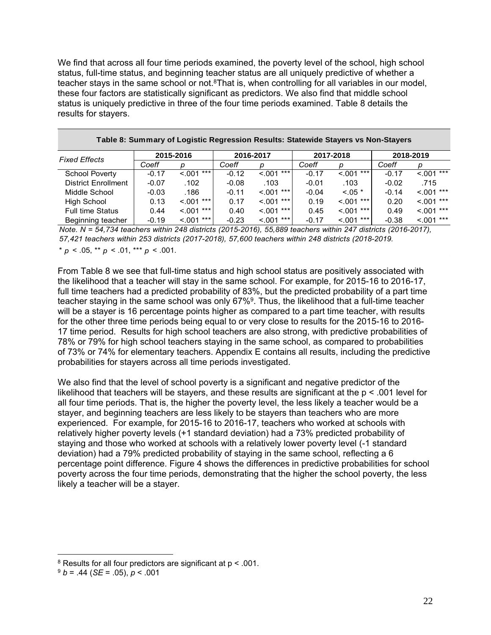We find that across all four time periods examined, the poverty level of the school, high school status, full-time status, and beginning teacher status are all uniquely predictive of whether a teacher stays in the same school or not. ${}^{8}$ That is, when controlling for all variables in our model, these four factors are statistically significant as predictors. We also find that middle school status is uniquely predictive in three of the four time periods examined. Table 8 details the results for stayers.

|                            |         | 2015-2016        |         | 2016-2017       |         | 2017-2018     |         | 2018-2019       |
|----------------------------|---------|------------------|---------|-----------------|---------|---------------|---------|-----------------|
| <b>Fixed Effects</b>       | Coeff   | D                | Coeff   |                 | Coeff   | D             | Coeff   | D               |
| <b>School Poverty</b>      | $-0.17$ | $\leq 0.001$ *** | $-0.12$ | ***<br>< 0.01   | $-0.17$ | ***<br>< .001 | $-0.17$ | $***$<br>< .001 |
| <b>District Enrollment</b> | $-0.07$ | .102             | $-0.08$ | .103            | $-0.01$ | .103          | $-0.02$ | .715            |
| Middle School              | $-0.03$ | .186             | $-0.11$ | ***<br>< 0.01   | $-0.04$ | $< 0.05$ *    | $-0.14$ | $< 0.01***$     |
| High School                | 0.13    | $< 0.01***$      | 0.17    | ***<br>< .001   | 0.19    | ***<br>< .001 | 0.20    | $< 0.01***$     |
| <b>Full time Status</b>    | 0.44    | ***<br>< 0.001   | 0.40    | ***<br>< .001   | 0.45    | ***<br>< .001 | 0.49    | $***$<br>< .001 |
| Beginning teacher          | $-0.19$ | $\leq 0.001$ *** | $-0.23$ | $***$<br>< 0.01 | $-0.17$ | $< 0.01***$   | $-0.38$ | $< 0.01$ ***    |

**Table 8: Summary of Logistic Regression Results: Statewide Stayers vs Non-Stayers**

*Note. N = 54,734 teachers within 248 districts (2015-2016), 55,889 teachers within 247 districts (2016-2017), 57,421 teachers within 253 districts (2017-2018), 57,600 teachers within 248 districts (2018-2019.*

 $p^* p < .05$ ,  $p^* p < .01$ ,  $p^* p < .001$ .

From Table 8 we see that full-time status and high school status are positively associated with the likelihood that a teacher will stay in the same school. For example, for 2015-16 to 2016-17, full time teachers had a predicted probability of 83%, but the predicted probability of a part time teacher staying in the same school was only 67%9. Thus, the likelihood that a full-time teacher will be a stayer is 16 percentage points higher as compared to a part time teacher, with results for the other three time periods being equal to or very close to results for the 2015-16 to 2016- 17 time period. Results for high school teachers are also strong, with predictive probabilities of 78% or 79% for high school teachers staying in the same school, as compared to probabilities of 73% or 74% for elementary teachers. Appendix E contains all results, including the predictive probabilities for stayers across all time periods investigated.

We also find that the level of school poverty is a significant and negative predictor of the likelihood that teachers will be stayers, and these results are significant at the p < .001 level for all four time periods. That is, the higher the poverty level, the less likely a teacher would be a stayer, and beginning teachers are less likely to be stayers than teachers who are more experienced. For example, for 2015-16 to 2016-17, teachers who worked at schools with relatively higher poverty levels (+1 standard deviation) had a 73% predicted probability of staying and those who worked at schools with a relatively lower poverty level (-1 standard deviation) had a 79% predicted probability of staying in the same school, reflecting a 6 percentage point difference. Figure 4 shows the differences in predictive probabilities for school poverty across the four time periods, demonstrating that the higher the school poverty, the less likely a teacher will be a stayer.

 $8$  Results for all four predictors are significant at  $p < .001$ .

 $9 b = .44 (SE = .05), p < .001$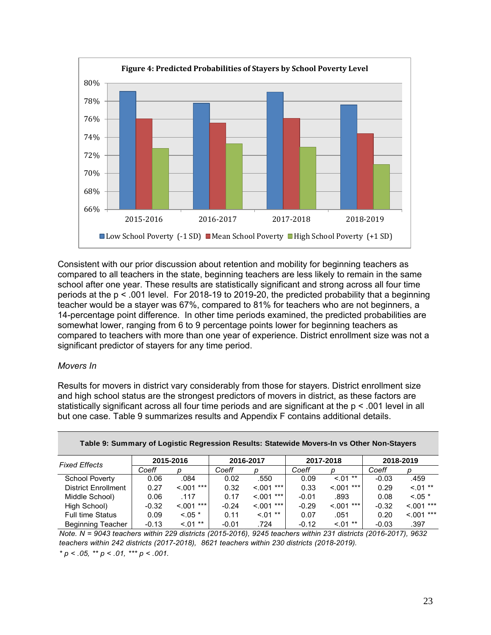

Consistent with our prior discussion about retention and mobility for beginning teachers as compared to all teachers in the state, beginning teachers are less likely to remain in the same school after one year. These results are statistically significant and strong across all four time periods at the p < .001 level. For 2018-19 to 2019-20, the predicted probability that a beginning teacher would be a stayer was 67%, compared to 81% for teachers who are not beginners, a 14-percentage point difference. In other time periods examined, the predicted probabilities are somewhat lower, ranging from 6 to 9 percentage points lower for beginning teachers as compared to teachers with more than one year of experience. District enrollment size was not a significant predictor of stayers for any time period.

#### *Movers In*

Results for movers in district vary considerably from those for stayers. District enrollment size and high school status are the strongest predictors of movers in district, as these factors are statistically significant across all four time periods and are significant at the p < .001 level in all but one case. Table 9 summarizes results and Appendix F contains additional details.

| <b>Fixed Effects</b>       | 2015-2016 |                  |         | 2016-2017       |         | 2017-2018       | 2018-2019 |              |
|----------------------------|-----------|------------------|---------|-----------------|---------|-----------------|-----------|--------------|
|                            | Coeff     | n                | Coeff   |                 | Coeff   | D               | Coeff     |              |
| <b>School Poverty</b>      | 0.06      | .084             | 0.02    | .550            | 0.09    | $***$<br>< 0.01 | $-0.03$   | .459         |
| <b>District Enrollment</b> | 0.27      | $< 0.01$ ***     | 0.32    | $***$<br>< .001 | 0.33    | $< 0.01$ ***    | 0.29      | $< 01$ **    |
| Middle School)             | 0.06      | .117             | 0.17    | $***$<br>< 0.01 | $-0.01$ | .893            | 0.08      | $< 0.05$ *   |
| High School)               | $-0.32$   | $\leq 0.001$ *** | $-0.24$ | $***$<br>< 0.01 | $-0.29$ | $***$<br>< 0.01 | $-0.32$   | $< 0.01***$  |
| <b>Full time Status</b>    | 0.09      | $< 0.05$ *       | 0.11    | $< 01$ **       | 0.07    | .051            | 0.20      | $< 0.01$ *** |
| <b>Beginning Teacher</b>   | $-0.13$   | $< 01$ **        | $-0.01$ | .724            | $-0.12$ | $***$<br>< 0.01 | $-0.03$   | .397         |

**Table 9: Summary of Logistic Regression Results: Statewide Movers-In vs Other Non-Stayers**

*Note. N = 9043 teachers within 229 districts (2015-2016), 9245 teachers within 231 districts (2016-2017), 9632 teachers within 242 districts (2017-2018), 8621 teachers within 230 districts (2018-2019).*

*\* p < .05, \*\* p < .01, \*\*\* p < .001.*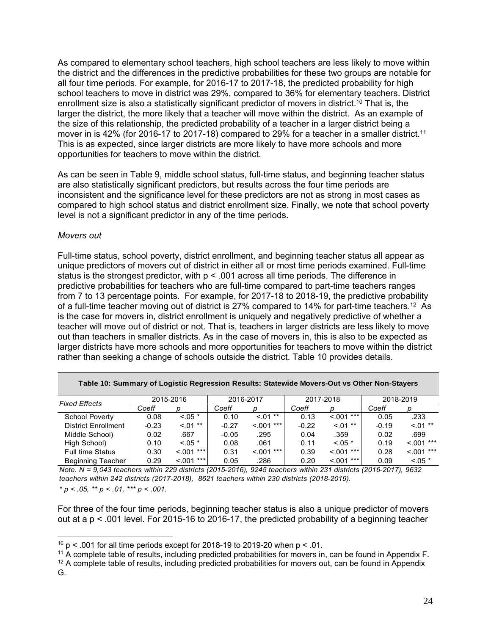As compared to elementary school teachers, high school teachers are less likely to move within the district and the differences in the predictive probabilities for these two groups are notable for all four time periods. For example, for 2016-17 to 2017-18, the predicted probability for high school teachers to move in district was 29%, compared to 36% for elementary teachers. District enrollment size is also a statistically significant predictor of movers in district.10 That is, the larger the district, the more likely that a teacher will move within the district. As an example of the size of this relationship, the predicted probability of a teacher in a larger district being a mover in is 42% (for 2016-17 to 2017-18) compared to 29% for a teacher in a smaller district.<sup>11</sup> This is as expected, since larger districts are more likely to have more schools and more opportunities for teachers to move within the district.

As can be seen in Table 9, middle school status, full-time status, and beginning teacher status are also statistically significant predictors, but results across the four time periods are inconsistent and the significance level for these predictors are not as strong in most cases as compared to high school status and district enrollment size. Finally, we note that school poverty level is not a significant predictor in any of the time periods.

#### *Movers out*

Full-time status, school poverty, district enrollment, and beginning teacher status all appear as unique predictors of movers out of district in either all or most time periods examined. Full-time status is the strongest predictor, with  $p < .001$  across all time periods. The difference in predictive probabilities for teachers who are full-time compared to part-time teachers ranges from 7 to 13 percentage points. For example, for 2017-18 to 2018-19, the predictive probability of a full-time teacher moving out of district is 27% compared to 14% for part-time teachers.<sup>12</sup> As is the case for movers in, district enrollment is uniquely and negatively predictive of whether a teacher will move out of district or not. That is, teachers in larger districts are less likely to move out than teachers in smaller districts. As in the case of movers in, this is also to be expected as larger districts have more schools and more opportunities for teachers to move within the district rather than seeking a change of schools outside the district. Table 10 provides details.

| <b>Fixed Effects</b>       | 2015-2016 |                | 2016-2017 |                 | 2017-2018 |               | 2018-2019 |              |
|----------------------------|-----------|----------------|-----------|-----------------|-----------|---------------|-----------|--------------|
|                            | Coeff     |                | Coeff     |                 | Coeff     | D             | Coeff     |              |
| <b>School Poverty</b>      | 0.08      | $0.05*$        | 0.10      | $< 01$ **       | 0.13      | ***<br>< 0.01 | 0.05      | .233         |
| <b>District Enrollment</b> | $-0.23$   | $< 01$ **      | $-0.27$   | ***<br>< 0.01   | $-0.22$   | $< 01$ **     | $-0.19$   | $< 01$ **    |
| Middle School)             | 0.02      | .667           | $-0.05$   | .295            | 0.04      | .359          | 0.02      | .699         |
| High School)               | 0.10      | $< 0.05$ *     | 0.08      | .061            | 0.11      | $< 0.05$ *    | 0.19      | $< 0.01$ *** |
| <b>Full time Status</b>    | 0.30      | ***<br>< 0.001 | 0.31      | $***$<br>< 0.01 | 0.39      | ***<br>< 0.01 | 0.28      | $< 0.01$ *** |
| <b>Beginning Teacher</b>   | 0.29      | ***<br>< 0.01  | 0.05      | .286            | 0.20      | ***<br>< 0.01 | 0.09      | $< 0.05$ *   |

| Table 10: Summary of Logistic Regression Results: Statewide Movers-Out vs Other Non-Stayers |  |  |
|---------------------------------------------------------------------------------------------|--|--|
|                                                                                             |  |  |
|                                                                                             |  |  |

*\* p < .05, \*\* p < .01, \*\*\* p < .001. Note. N = 9,043 teachers within 229 districts (2015-2016), 9245 teachers within 231 districts (2016-2017), 9632 teachers within 242 districts (2017-2018), 8621 teachers within 230 districts (2018-2019).*

For three of the four time periods, beginning teacher status is also a unique predictor of movers out at a p < .001 level. For 2015-16 to 2016-17, the predicted probability of a beginning teacher

 $12$  A complete table of results, including predicted probabilities for movers out, can be found in Appendix

 $10$  p < .001 for all time periods except for 2018-19 to 2019-20 when p < .01.

<sup>11</sup> A complete table of results, including predicted probabilities for movers in, can be found in Appendix F.

G.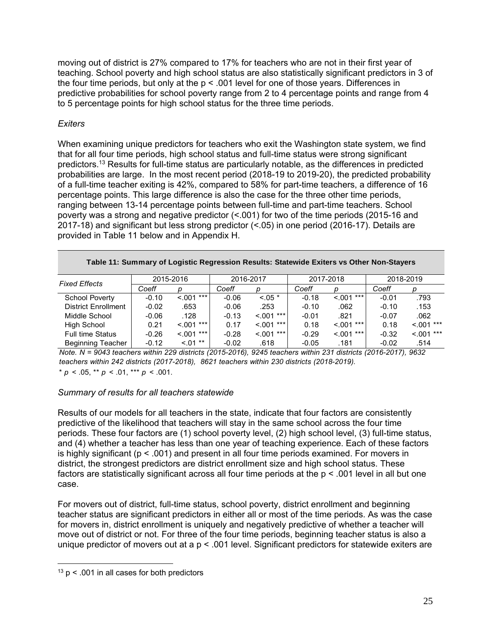moving out of district is 27% compared to 17% for teachers who are not in their first year of teaching. School poverty and high school status are also statistically significant predictors in 3 of the four time periods, but only at the  $p < .001$  level for one of those years. Differences in predictive probabilities for school poverty range from 2 to 4 percentage points and range from 4 to 5 percentage points for high school status for the three time periods.

### *Exiters*

When examining unique predictors for teachers who exit the Washington state system, we find that for all four time periods, high school status and full-time status were strong significant predictors.13 Results for full-time status are particularly notable, as the differences in predicted probabilities are large. In the most recent period (2018-19 to 2019-20), the predicted probability of a full-time teacher exiting is 42%, compared to 58% for part-time teachers, a difference of 16 percentage points. This large difference is also the case for the three other time periods, ranging between 13-14 percentage points between full-time and part-time teachers. School poverty was a strong and negative predictor (<.001) for two of the time periods (2015-16 and 2017-18) and significant but less strong predictor (<.05) in one period (2016-17). Details are provided in Table 11 below and in Appendix H.

| Table 11: Summary of Logistic Regression Results: Statewide Exiters vs Other Non-Stayers |  |
|------------------------------------------------------------------------------------------|--|
|------------------------------------------------------------------------------------------|--|

| <b>Fixed Effects</b>       | 2015-2016 |                 | 2016-2017 |                 |         | 2017-2018        | 2018-2019 |              |
|----------------------------|-----------|-----------------|-----------|-----------------|---------|------------------|-----------|--------------|
|                            | Coeff     |                 | Coeff     |                 | Coeff   | D                | Coeff     |              |
| <b>School Poverty</b>      | $-0.10$   | $< 0.01$ ***    | $-0.06$   | $< 0.05$ *      | $-0.18$ | ***<br>< 0.001   | $-0.01$   | .793         |
| <b>District Enrollment</b> | $-0.02$   | .653            | $-0.06$   | .253            | $-0.10$ | .062             | $-0.10$   | .153         |
| Middle School              | $-0.06$   | .128            | $-0.13$   | $< 0.01$ ***    | $-0.01$ | .821             | $-0.07$   | .062         |
| High School                | 0.21      | $< 0.01$ ***    | 0.17      | $***$<br>< 0.01 | 0.18    | $***$<br>< 0.001 | 0.18      | $< 001$ ***  |
| <b>Full time Status</b>    | $-0.26$   | $***$<br>< 0.01 | $-0.28$   | $***$<br>< .001 | $-0.29$ | $***$<br>< 0.01  | $-0.32$   | $< 0.01$ *** |
| <b>Beginning Teacher</b>   | $-0.12$   | $< 01$ **       | $-0.02$   | .618            | $-0.05$ | .181             | $-0.02$   | .514         |

 $* p < .05$ ,  $** p < .01$ ,  $*** p < .001$ . *Note. N = 9043 teachers within 229 districts (2015-2016), 9245 teachers within 231 districts (2016-2017), 9632 teachers within 242 districts (2017-2018), 8621 teachers within 230 districts (2018-2019).*

#### *Summary of results for all teachers statewide*

Results of our models for all teachers in the state, indicate that four factors are consistently predictive of the likelihood that teachers will stay in the same school across the four time periods. These four factors are (1) school poverty level, (2) high school level, (3) full-time status, and (4) whether a teacher has less than one year of teaching experience. Each of these factors is highly significant ( $p < .001$ ) and present in all four time periods examined. For movers in district, the strongest predictors are district enrollment size and high school status. These factors are statistically significant across all four time periods at the p < .001 level in all but one case.

For movers out of district, full-time status, school poverty, district enrollment and beginning teacher status are significant predictors in either all or most of the time periods. As was the case for movers in, district enrollment is uniquely and negatively predictive of whether a teacher will move out of district or not. For three of the four time periods, beginning teacher status is also a unique predictor of movers out at a p < .001 level. Significant predictors for statewide exiters are

 $13$  p < .001 in all cases for both predictors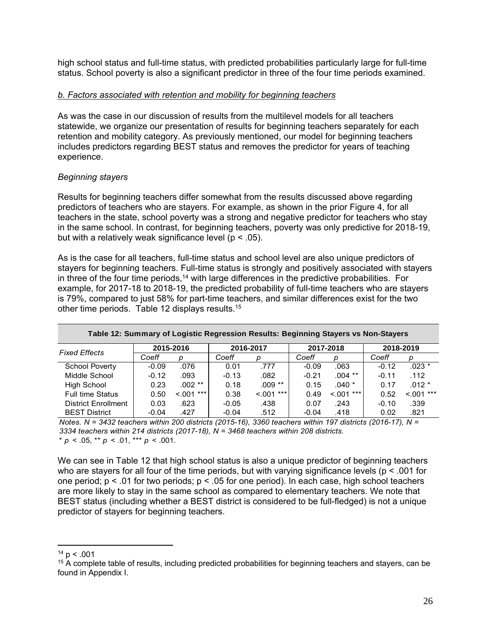high school status and full-time status, with predicted probabilities particularly large for full-time status. School poverty is also a significant predictor in three of the four time periods examined.

#### *b. Factors associated with retention and mobility for beginning teachers*

As was the case in our discussion of results from the multilevel models for all teachers statewide, we organize our presentation of results for beginning teachers separately for each retention and mobility category. As previously mentioned, our model for beginning teachers includes predictors regarding BEST status and removes the predictor for years of teaching experience.

### *Beginning stayers*

Results for beginning teachers differ somewhat from the results discussed above regarding predictors of teachers who are stayers. For example, as shown in the prior Figure 4, for all teachers in the state, school poverty was a strong and negative predictor for teachers who stay in the same school. In contrast, for beginning teachers, poverty was only predictive for 2018-19, but with a relatively weak significance level ( $p < .05$ ).

As is the case for all teachers, full-time status and school level are also unique predictors of stayers for beginning teachers. Full-time status is strongly and positively associated with stayers in three of the four time periods,<sup>14</sup> with large differences in the predictive probabilities. For example, for 2017-18 to 2018-19, the predicted probability of full-time teachers who are stayers is 79%, compared to just 58% for part-time teachers, and similar differences exist for the two other time periods. Table 12 displays results.15

| <b>Fixed Effects</b>       |         | 2015-2016    | 2016-2017 |              |         | 2017-2018    |         | 2018-2019    |
|----------------------------|---------|--------------|-----------|--------------|---------|--------------|---------|--------------|
|                            | Coeff   | D            | Coeff     | D            | Coeff   | D            | Coeff   | D            |
| <b>School Poverty</b>      | $-0.09$ | .076         | 0.01      | .777         | $-0.09$ | .063         | $-0.12$ | $.023*$      |
| Middle School              | $-0.12$ | .093         | $-0.13$   | .082         | $-0.21$ | $.004$ **    | $-0.11$ | .112         |
| High School                | 0.23    | .002 **      | 0.18      | $.009**$     | 0.15    | $.040*$      | 0.17    | $.012*$      |
| <b>Full time Status</b>    | 0.50    | $< 0.01$ *** | 0.38      | $< 0.01$ *** | 0.49    | $< 0.01$ *** | 0.52    | $< 0.01$ *** |
| <b>District Enrollment</b> | 0.03    | .623         | $-0.05$   | .438         | 0.07    | .243         | $-0.10$ | .339         |
| <b>BEST District</b>       | $-0.04$ | .427         | $-0.04$   | .512         | $-0.04$ | .418         | 0.02    | .821         |

**Table 12: Summary of Logistic Regression Results: Beginning Stayers vs Non-Stayers**

\*  $p < .05$ , \*\*  $p < .01$ , \*\*\*  $p < .001$ . *Notes. N = 3432 teachers within 200 districts (2015-16), 3360 teachers within 197 districts (2016-17), N = 3334 teachers within 214 districts (2017-18), N = 3468 teachers within 208 districts.* 

We can see in Table 12 that high school status is also a unique predictor of beginning teachers who are stayers for all four of the time periods, but with varying significance levels ( $p < .001$  for one period;  $p < .01$  for two periods;  $p < .05$  for one period). In each case, high school teachers are more likely to stay in the same school as compared to elementary teachers. We note that BEST status (including whether a BEST district is considered to be full-fledged) is not a unique predictor of stayers for beginning teachers.

 $14 p < .001$ 

 $15$  A complete table of results, including predicted probabilities for beginning teachers and stayers, can be found in Appendix I.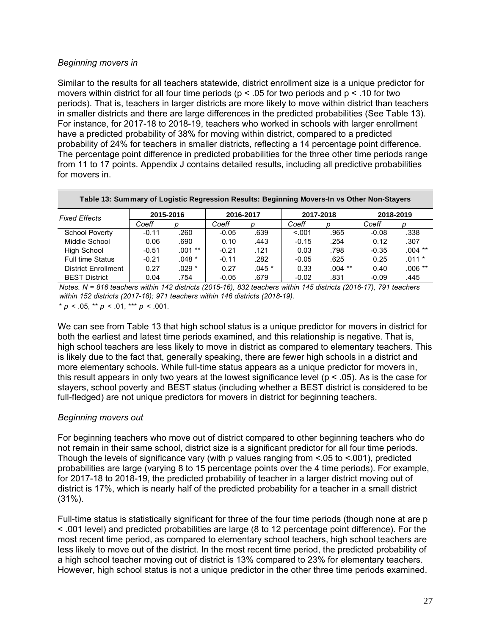#### *Beginning movers in*

Similar to the results for all teachers statewide, district enrollment size is a unique predictor for movers within district for all four time periods (p < .05 for two periods and p < .10 for two periods). That is, teachers in larger districts are more likely to move within district than teachers in smaller districts and there are large differences in the predicted probabilities (See Table 13). For instance, for 2017-18 to 2018-19, teachers who worked in schools with larger enrollment have a predicted probability of 38% for moving within district, compared to a predicted probability of 24% for teachers in smaller districts, reflecting a 14 percentage point difference. The percentage point difference in predicted probabilities for the three other time periods range from 11 to 17 points. Appendix J contains detailed results, including all predictive probabilities for movers in.

| Table 13: Summary of Logistic Regression Results: Beginning Movers-In vs Other Non-Stayers |         |           |         |           |         |           |         |           |
|--------------------------------------------------------------------------------------------|---------|-----------|---------|-----------|---------|-----------|---------|-----------|
| <b>Fixed Effects</b>                                                                       |         | 2015-2016 |         | 2016-2017 |         | 2017-2018 |         | 2018-2019 |
|                                                                                            | Coeff   | D         | Coeff   |           | Coeff   | D         | Coeff   |           |
| <b>School Poverty</b>                                                                      | $-0.11$ | .260      | $-0.05$ | .639      | < 0.001 | .965      | $-0.08$ | .338      |
| Middle School                                                                              | 0.06    | .690      | 0.10    | .443      | $-0.15$ | .254      | 0.12    | .307      |
| High School                                                                                | $-0.51$ | $.001***$ | $-0.21$ | .121      | 0.03    | .798      | $-0.35$ | $.004$ ** |
| <b>Full time Status</b>                                                                    | $-0.21$ | $.048*$   | $-0.11$ | .282      | $-0.05$ | .625      | 0.25    | $.011 *$  |
| <b>District Enrollment</b>                                                                 | 0.27    | $.029 *$  | 0.27    | $.045*$   | 0.33    | $.004$ ** | 0.40    | $.006**$  |
| <b>BEST District</b>                                                                       | 0.04    | .754      | $-0.05$ | .679      | $-0.02$ | .831      | $-0.09$ | .445      |

 $* p \le 0.05$ ,  $** p \le 0.01$ ,  $*** p \le 0.001$ . *Notes. N = 816 teachers within 142 districts (2015-16), 832 teachers within 145 districts (2016-17), 791 teachers within 152 districts (2017-18); 971 teachers within 146 districts (2018-19).*

We can see from Table 13 that high school status is a unique predictor for movers in district for both the earliest and latest time periods examined, and this relationship is negative. That is, high school teachers are less likely to move in district as compared to elementary teachers. This is likely due to the fact that, generally speaking, there are fewer high schools in a district and more elementary schools. While full-time status appears as a unique predictor for movers in, this result appears in only two years at the lowest significance level ( $p < .05$ ). As is the case for stayers, school poverty and BEST status (including whether a BEST district is considered to be full-fledged) are not unique predictors for movers in district for beginning teachers.

#### *Beginning movers out*

For beginning teachers who move out of district compared to other beginning teachers who do not remain in their same school, district size is a significant predictor for all four time periods. Though the levels of significance vary (with p values ranging from <.05 to <.001), predicted probabilities are large (varying 8 to 15 percentage points over the 4 time periods). For example, for 2017-18 to 2018-19, the predicted probability of teacher in a larger district moving out of district is 17%, which is nearly half of the predicted probability for a teacher in a small district (31%).

Full-time status is statistically significant for three of the four time periods (though none at are p < .001 level) and predicted probabilities are large (8 to 12 percentage point difference). For the most recent time period, as compared to elementary school teachers, high school teachers are less likely to move out of the district. In the most recent time period, the predicted probability of a high school teacher moving out of district is 13% compared to 23% for elementary teachers. However, high school status is not a unique predictor in the other three time periods examined.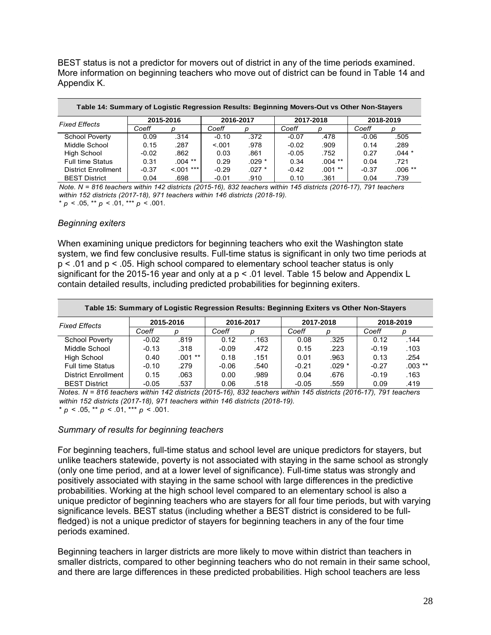BEST status is not a predictor for movers out of district in any of the time periods examined. More information on beginning teachers who move out of district can be found in Table 14 and Appendix K.

| Table 14: Summary of Logistic Regression Results: Beginning Movers-Out vs Other Non-Stayers |         |              |         |           |         |           |         |           |  |  |  |  |
|---------------------------------------------------------------------------------------------|---------|--------------|---------|-----------|---------|-----------|---------|-----------|--|--|--|--|
| <b>Fixed Effects</b>                                                                        |         | 2015-2016    |         | 2016-2017 |         | 2017-2018 |         | 2018-2019 |  |  |  |  |
|                                                                                             | Coeff   | D            | Coeff   |           | Coeff   | D         | Coeff   | n         |  |  |  |  |
| <b>School Poverty</b>                                                                       | 0.09    | .314         | $-0.10$ | .372      | $-0.07$ | .478      | $-0.06$ | .505      |  |  |  |  |
| Middle School                                                                               | 0.15    | .287         | < 0.01  | .978      | $-0.02$ | .909      | 0.14    | .289      |  |  |  |  |
| High School                                                                                 | $-0.02$ | .862         | 0.03    | .861      | $-0.05$ | .752      | 0.27    | $.044 *$  |  |  |  |  |
| <b>Full time Status</b>                                                                     | 0.31    | $.004$ **    | 0.29    | $.029*$   | 0.34    | $.004$ ** | 0.04    | .721      |  |  |  |  |
| District Enrollment                                                                         | $-0.37$ | $< 0.01$ *** | $-0.29$ | $.027$ *  | $-0.42$ | $.001$ ** | $-0.37$ | $.006**$  |  |  |  |  |
| <b>BEST District</b>                                                                        | 0.04    | .698         | $-0.01$ | .910      | 0.10    | .361      | 0.04    | .739      |  |  |  |  |

 $* p < .05, ** p < .01, ** p < .001.$ *Note. N = 816 teachers within 142 districts (2015-16), 832 teachers within 145 districts (2016-17), 791 teachers within 152 districts (2017-18), 971 teachers within 146 districts (2018-19).*

*Beginning exiters* 

When examining unique predictors for beginning teachers who exit the Washington state system, we find few conclusive results. Full-time status is significant in only two time periods at p < .01 and p < .05. High school compared to elementary school teacher status is only significant for the 2015-16 year and only at a p < .01 level. Table 15 below and Appendix L contain detailed results, including predicted probabilities for beginning exiters.

| Table 15: Summary of Logistic Regression Results: Beginning Exiters vs Other Non-Stayers |         |           |         |           |         |           |           |           |  |  |  |  |
|------------------------------------------------------------------------------------------|---------|-----------|---------|-----------|---------|-----------|-----------|-----------|--|--|--|--|
| <b>Fixed Effects</b>                                                                     |         | 2015-2016 |         | 2016-2017 |         | 2017-2018 | 2018-2019 |           |  |  |  |  |
|                                                                                          | Coeff   | D         | Coeff   | D         | Coeff   | n         | Coeff     |           |  |  |  |  |
| <b>School Poverty</b>                                                                    | $-0.02$ | .819      | 0.12    | .163      | 0.08    | .325      | 0.12      | .144      |  |  |  |  |
| Middle School                                                                            | $-0.13$ | .318      | $-0.09$ | .472      | 0.15    | .223      | $-0.19$   | .103      |  |  |  |  |
| High School                                                                              | 0.40    | $.001**$  | 0.18    | .151      | 0.01    | .963      | 0.13      | .254      |  |  |  |  |
| <b>Full time Status</b>                                                                  | $-0.10$ | .279      | $-0.06$ | .540      | $-0.21$ | $.029*$   | $-0.27$   | $.003$ ** |  |  |  |  |
| <b>District Enrollment</b>                                                               | 0.15    | .063      | 0.00    | .989      | 0.04    | .676      | $-0.19$   | .163      |  |  |  |  |
| <b>BEST District</b>                                                                     | $-0.05$ | .537      | 0.06    | .518      | $-0.05$ | .559      | 0.09      | .419      |  |  |  |  |

 $* p < .05, ** p < .01,*** p < .001.$ *Notes. N = 816 teachers within 142 districts (2015-16), 832 teachers within 145 districts (2016-17), 791 teachers within 152 districts (2017-18), 971 teachers within 146 districts (2018-19).*

#### *Summary of results for beginning teachers*

For beginning teachers, full-time status and school level are unique predictors for stayers, but unlike teachers statewide, poverty is not associated with staying in the same school as strongly (only one time period, and at a lower level of significance). Full-time status was strongly and positively associated with staying in the same school with large differences in the predictive probabilities. Working at the high school level compared to an elementary school is also a unique predictor of beginning teachers who are stayers for all four time periods, but with varying significance levels. BEST status (including whether a BEST district is considered to be fullfledged) is not a unique predictor of stayers for beginning teachers in any of the four time periods examined.

Beginning teachers in larger districts are more likely to move within district than teachers in smaller districts, compared to other beginning teachers who do not remain in their same school, and there are large differences in these predicted probabilities. High school teachers are less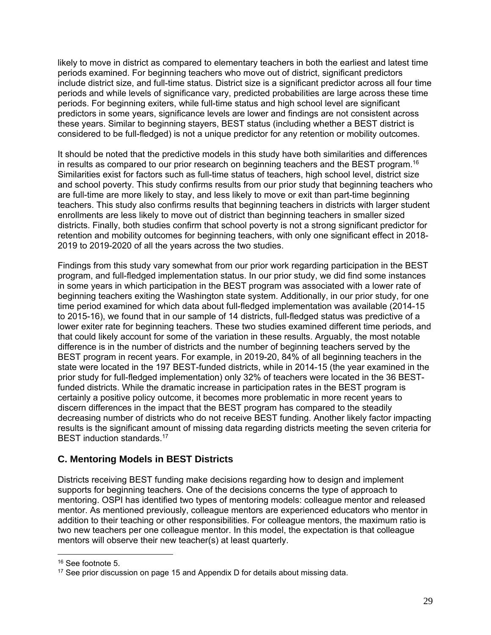likely to move in district as compared to elementary teachers in both the earliest and latest time periods examined. For beginning teachers who move out of district, significant predictors include district size, and full-time status. District size is a significant predictor across all four time periods and while levels of significance vary, predicted probabilities are large across these time periods. For beginning exiters, while full-time status and high school level are significant predictors in some years, significance levels are lower and findings are not consistent across these years. Similar to beginning stayers, BEST status (including whether a BEST district is considered to be full-fledged) is not a unique predictor for any retention or mobility outcomes.

It should be noted that the predictive models in this study have both similarities and differences in results as compared to our prior research on beginning teachers and the BEST program.<sup>16</sup> Similarities exist for factors such as full-time status of teachers, high school level, district size and school poverty. This study confirms results from our prior study that beginning teachers who are full-time are more likely to stay, and less likely to move or exit than part-time beginning teachers. This study also confirms results that beginning teachers in districts with larger student enrollments are less likely to move out of district than beginning teachers in smaller sized districts. Finally, both studies confirm that school poverty is not a strong significant predictor for retention and mobility outcomes for beginning teachers, with only one significant effect in 2018- 2019 to 2019-2020 of all the years across the two studies.

Findings from this study vary somewhat from our prior work regarding participation in the BEST program, and full-fledged implementation status. In our prior study, we did find some instances in some years in which participation in the BEST program was associated with a lower rate of beginning teachers exiting the Washington state system. Additionally, in our prior study, for one time period examined for which data about full-fledged implementation was available (2014-15 to 2015-16), we found that in our sample of 14 districts, full-fledged status was predictive of a lower exiter rate for beginning teachers. These two studies examined different time periods, and that could likely account for some of the variation in these results. Arguably, the most notable difference is in the number of districts and the number of beginning teachers served by the BEST program in recent years. For example, in 2019-20, 84% of all beginning teachers in the state were located in the 197 BEST-funded districts, while in 2014-15 (the year examined in the prior study for full-fledged implementation) only 32% of teachers were located in the 36 BESTfunded districts. While the dramatic increase in participation rates in the BEST program is certainly a positive policy outcome, it becomes more problematic in more recent years to discern differences in the impact that the BEST program has compared to the steadily decreasing number of districts who do not receive BEST funding. Another likely factor impacting results is the significant amount of missing data regarding districts meeting the seven criteria for BEST induction standards.<sup>17</sup>

# **C. Mentoring Models in BEST Districts**

Districts receiving BEST funding make decisions regarding how to design and implement supports for beginning teachers. One of the decisions concerns the type of approach to mentoring. OSPI has identified two types of mentoring models: colleague mentor and released mentor. As mentioned previously, colleague mentors are experienced educators who mentor in addition to their teaching or other responsibilities. For colleague mentors, the maximum ratio is two new teachers per one colleague mentor. In this model, the expectation is that colleague mentors will observe their new teacher(s) at least quarterly.

<sup>&</sup>lt;sup>16</sup> See footnote 5.

 $17$  See prior discussion on page 15 and Appendix D for details about missing data.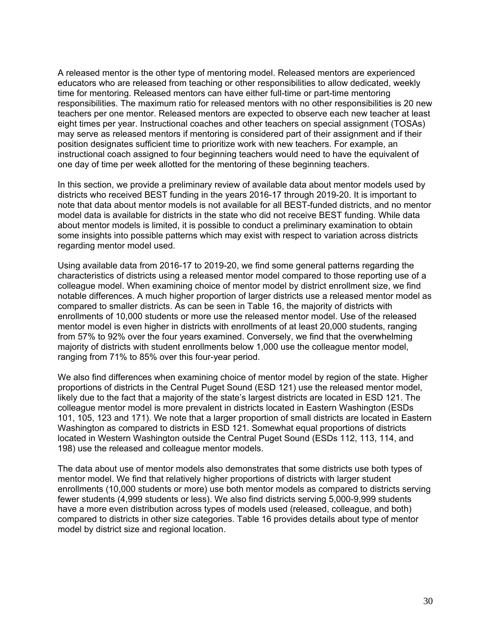A released mentor is the other type of mentoring model. Released mentors are experienced educators who are released from teaching or other responsibilities to allow dedicated, weekly time for mentoring. Released mentors can have either full-time or part-time mentoring responsibilities. The maximum ratio for released mentors with no other responsibilities is 20 new teachers per one mentor. Released mentors are expected to observe each new teacher at least eight times per year. Instructional coaches and other teachers on special assignment (TOSAs) may serve as released mentors if mentoring is considered part of their assignment and if their position designates sufficient time to prioritize work with new teachers. For example, an instructional coach assigned to four beginning teachers would need to have the equivalent of one day of time per week allotted for the mentoring of these beginning teachers.

In this section, we provide a preliminary review of available data about mentor models used by districts who received BEST funding in the years 2016-17 through 2019-20. It is important to note that data about mentor models is not available for all BEST-funded districts, and no mentor model data is available for districts in the state who did not receive BEST funding. While data about mentor models is limited, it is possible to conduct a preliminary examination to obtain some insights into possible patterns which may exist with respect to variation across districts regarding mentor model used.

Using available data from 2016-17 to 2019-20, we find some general patterns regarding the characteristics of districts using a released mentor model compared to those reporting use of a colleague model. When examining choice of mentor model by district enrollment size, we find notable differences. A much higher proportion of larger districts use a released mentor model as compared to smaller districts. As can be seen in Table 16, the majority of districts with enrollments of 10,000 students or more use the released mentor model. Use of the released mentor model is even higher in districts with enrollments of at least 20,000 students, ranging from 57% to 92% over the four years examined. Conversely, we find that the overwhelming majority of districts with student enrollments below 1,000 use the colleague mentor model, ranging from 71% to 85% over this four-year period.

We also find differences when examining choice of mentor model by region of the state. Higher proportions of districts in the Central Puget Sound (ESD 121) use the released mentor model, likely due to the fact that a majority of the state's largest districts are located in ESD 121. The colleague mentor model is more prevalent in districts located in Eastern Washington (ESDs 101, 105, 123 and 171). We note that a larger proportion of small districts are located in Eastern Washington as compared to districts in ESD 121. Somewhat equal proportions of districts located in Western Washington outside the Central Puget Sound (ESDs 112, 113, 114, and 198) use the released and colleague mentor models.

The data about use of mentor models also demonstrates that some districts use both types of mentor model. We find that relatively higher proportions of districts with larger student enrollments (10,000 students or more) use both mentor models as compared to districts serving fewer students (4,999 students or less). We also find districts serving 5,000-9,999 students have a more even distribution across types of models used (released, colleague, and both) compared to districts in other size categories. Table 16 provides details about type of mentor model by district size and regional location.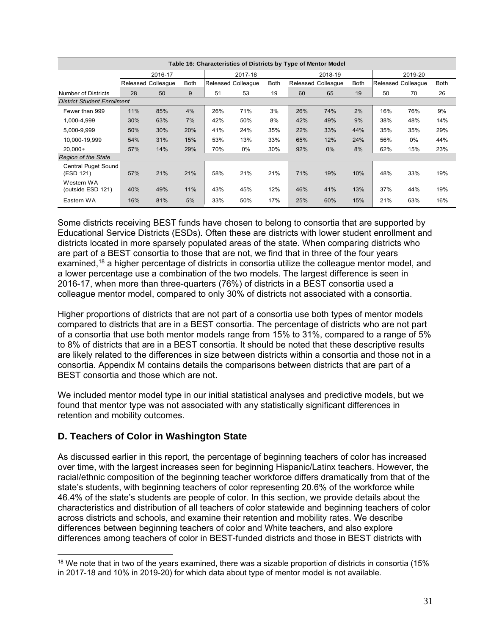|                                    | Table 16: Characteristics of Districts by Type of Mentor Model |                           |             |         |                           |             |         |                           |             |     |                    |             |  |
|------------------------------------|----------------------------------------------------------------|---------------------------|-------------|---------|---------------------------|-------------|---------|---------------------------|-------------|-----|--------------------|-------------|--|
|                                    |                                                                | 2016-17                   |             | 2017-18 |                           |             | 2018-19 |                           |             |     | 2019-20            |             |  |
|                                    |                                                                | <b>Released Colleague</b> | <b>Both</b> |         | <b>Released Colleague</b> | <b>Both</b> |         | <b>Released Colleague</b> | <b>Both</b> |     | Released Colleague | <b>Both</b> |  |
| Number of Districts                | 28                                                             | 50                        | 9           | 51      | 53                        | 19          | 60      | 65                        | 19          | 50  | 70                 | 26          |  |
| <b>District Student Enrollment</b> |                                                                |                           |             |         |                           |             |         |                           |             |     |                    |             |  |
| Fewer than 999                     | 11%                                                            | 85%                       | 4%          | 26%     | 71%                       | 3%          | 26%     | 74%                       | 2%          | 16% | 76%                | 9%          |  |
| 1,000-4,999                        | 30%                                                            | 63%                       | 7%          | 42%     | 50%                       | 8%          | 42%     | 49%                       | 9%          | 38% | 48%                | 14%         |  |
| 5,000-9,999                        | 50%                                                            | 30%                       | 20%         | 41%     | 24%                       | 35%         | 22%     | 33%                       | 44%         | 35% | 35%                | 29%         |  |
| 10.000-19.999                      | 54%                                                            | 31%                       | 15%         | 53%     | 13%                       | 33%         | 65%     | 12%                       | 24%         | 56% | $0\%$              | 44%         |  |
| $20.000+$                          | 57%                                                            | 14%                       | 29%         | 70%     | 0%                        | 30%         | 92%     | $0\%$                     | 8%          | 62% | 15%                | 23%         |  |
| <b>Region of the State</b>         |                                                                |                           |             |         |                           |             |         |                           |             |     |                    |             |  |
| Central Puget Sound<br>(ESD 121)   | 57%                                                            | 21%                       | 21%         | 58%     | 21%                       | 21%         | 71%     | 19%                       | 10%         | 48% | 33%                | 19%         |  |
| Western WA<br>(outside ESD 121)    | 40%                                                            | 49%                       | 11%         | 43%     | 45%                       | 12%         | 46%     | 41%                       | 13%         | 37% | 44%                | 19%         |  |
| Eastern WA                         | 16%                                                            | 81%                       | 5%          | 33%     | 50%                       | 17%         | 25%     | 60%                       | 15%         | 21% | 63%                | 16%         |  |

Some districts receiving BEST funds have chosen to belong to consortia that are supported by Educational Service Districts (ESDs). Often these are districts with lower student enrollment and districts located in more sparsely populated areas of the state. When comparing districts who are part of a BEST consortia to those that are not, we find that in three of the four years examined,18 a higher percentage of districts in consortia utilize the colleague mentor model, and a lower percentage use a combination of the two models. The largest difference is seen in 2016-17, when more than three-quarters (76%) of districts in a BEST consortia used a colleague mentor model, compared to only 30% of districts not associated with a consortia.

Higher proportions of districts that are not part of a consortia use both types of mentor models compared to districts that are in a BEST consortia. The percentage of districts who are not part of a consortia that use both mentor models range from 15% to 31%, compared to a range of 5% to 8% of districts that are in a BEST consortia. It should be noted that these descriptive results are likely related to the differences in size between districts within a consortia and those not in a consortia. Appendix M contains details the comparisons between districts that are part of a BEST consortia and those which are not.

We included mentor model type in our initial statistical analyses and predictive models, but we found that mentor type was not associated with any statistically significant differences in retention and mobility outcomes.

# **D. Teachers of Color in Washington State**

As discussed earlier in this report, the percentage of beginning teachers of color has increased over time, with the largest increases seen for beginning Hispanic/Latinx teachers. However, the racial/ethnic composition of the beginning teacher workforce differs dramatically from that of the state's students, with beginning teachers of color representing 20.6% of the workforce while 46.4% of the state's students are people of color. In this section, we provide details about the characteristics and distribution of all teachers of color statewide and beginning teachers of color across districts and schools, and examine their retention and mobility rates. We describe differences between beginning teachers of color and White teachers, and also explore differences among teachers of color in BEST-funded districts and those in BEST districts with

 $18$  We note that in two of the years examined, there was a sizable proportion of districts in consortia (15%) in 2017-18 and 10% in 2019-20) for which data about type of mentor model is not available.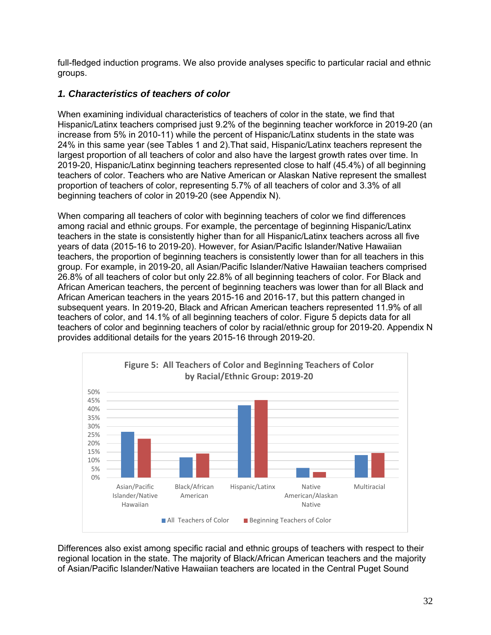full-fledged induction programs. We also provide analyses specific to particular racial and ethnic groups.

# *1. Characteristics of teachers of color*

When examining individual characteristics of teachers of color in the state, we find that Hispanic/Latinx teachers comprised just 9.2% of the beginning teacher workforce in 2019-20 (an increase from 5% in 2010-11) while the percent of Hispanic/Latinx students in the state was 24% in this same year (see Tables 1 and 2).That said, Hispanic/Latinx teachers represent the largest proportion of all teachers of color and also have the largest growth rates over time. In 2019-20, Hispanic/Latinx beginning teachers represented close to half (45.4%) of all beginning teachers of color. Teachers who are Native American or Alaskan Native represent the smallest proportion of teachers of color, representing 5.7% of all teachers of color and 3.3% of all beginning teachers of color in 2019-20 (see Appendix N).

When comparing all teachers of color with beginning teachers of color we find differences among racial and ethnic groups. For example, the percentage of beginning Hispanic/Latinx teachers in the state is consistently higher than for all Hispanic/Latinx teachers across all five years of data (2015-16 to 2019-20). However, for Asian/Pacific Islander/Native Hawaiian teachers, the proportion of beginning teachers is consistently lower than for all teachers in this group. For example, in 2019-20, all Asian/Pacific Islander/Native Hawaiian teachers comprised 26.8% of all teachers of color but only 22.8% of all beginning teachers of color. For Black and African American teachers, the percent of beginning teachers was lower than for all Black and African American teachers in the years 2015-16 and 2016-17, but this pattern changed in subsequent years. In 2019-20, Black and African American teachers represented 11.9% of all teachers of color, and 14.1% of all beginning teachers of color. Figure 5 depicts data for all teachers of color and beginning teachers of color by racial/ethnic group for 2019-20. Appendix N provides additional details for the years 2015-16 through 2019-20.



Differences also exist among specific racial and ethnic groups of teachers with respect to their regional location in the state. The majority of Black/African American teachers and the majority of Asian/Pacific Islander/Native Hawaiian teachers are located in the Central Puget Sound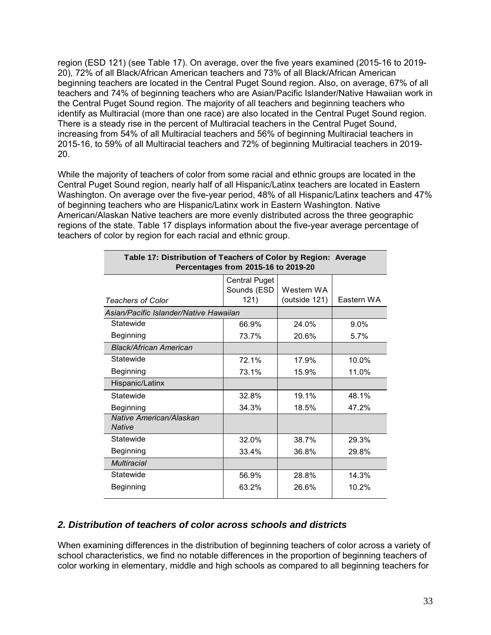region (ESD 121) (see Table 17). On average, over the five years examined (2015-16 to 2019- 20), 72% of all Black/African American teachers and 73% of all Black/African American beginning teachers are located in the Central Puget Sound region. Also, on average, 67% of all teachers and 74% of beginning teachers who are Asian/Pacific Islander/Native Hawaiian work in the Central Puget Sound region. The majority of all teachers and beginning teachers who identify as Multiracial (more than one race) are also located in the Central Puget Sound region. There is a steady rise in the percent of Multiracial teachers in the Central Puget Sound, increasing from 54% of all Multiracial teachers and 56% of beginning Multiracial teachers in 2015-16, to 59% of all Multiracial teachers and 72% of beginning Multiracial teachers in 2019- 20.

While the majority of teachers of color from some racial and ethnic groups are located in the Central Puget Sound region, nearly half of all Hispanic/Latinx teachers are located in Eastern Washington. On average over the five-year period, 48% of all Hispanic/Latinx teachers and 47% of beginning teachers who are Hispanic/Latinx work in Eastern Washington. Native American/Alaskan Native teachers are more evenly distributed across the three geographic regions of the state. Table 17 displays information about the five-year average percentage of teachers of color by region for each racial and ethnic group.

| Table 17: Distribution of Teachers of Color by Region: Average<br>Percentages from 2015-16 to 2019-20 |                                     |               |            |  |  |  |  |  |  |  |
|-------------------------------------------------------------------------------------------------------|-------------------------------------|---------------|------------|--|--|--|--|--|--|--|
|                                                                                                       | <b>Central Puget</b><br>Sounds (ESD | Western WA    |            |  |  |  |  |  |  |  |
| <b>Teachers of Color</b>                                                                              | 121)                                | (outside 121) | Eastern WA |  |  |  |  |  |  |  |
| Asian/Pacific Islander/Native Hawaiian                                                                |                                     |               |            |  |  |  |  |  |  |  |
| Statewide                                                                                             | 66.9%                               | 24.0%         | $9.0\%$    |  |  |  |  |  |  |  |
| Beginning                                                                                             | 73.7%                               | 20.6%         | 5.7%       |  |  |  |  |  |  |  |
| <b>Black/African American</b>                                                                         |                                     |               |            |  |  |  |  |  |  |  |
| Statewide                                                                                             | 72.1%                               | 17.9%         | 10.0%      |  |  |  |  |  |  |  |
| Beginning                                                                                             | 73.1%                               | 15.9%         | 11.0%      |  |  |  |  |  |  |  |
| Hispanic/Latinx                                                                                       |                                     |               |            |  |  |  |  |  |  |  |
| Statewide                                                                                             | 32.8%                               | 19.1%         | 48.1%      |  |  |  |  |  |  |  |
| Beginning                                                                                             | 34.3%                               | 18.5%         | 47.2%      |  |  |  |  |  |  |  |
| Native American/Alaskan<br><b>Native</b>                                                              |                                     |               |            |  |  |  |  |  |  |  |
| Statewide                                                                                             | 32.0%                               | 38.7%         | 29.3%      |  |  |  |  |  |  |  |
| Beginning                                                                                             | 33.4%                               | 36.8%         | 29.8%      |  |  |  |  |  |  |  |
| <b>Multiracial</b>                                                                                    |                                     |               |            |  |  |  |  |  |  |  |
| Statewide                                                                                             | 56.9%                               | 28.8%         | 14.3%      |  |  |  |  |  |  |  |
| Beginning                                                                                             | 63.2%                               | 26.6%         | 10.2%      |  |  |  |  |  |  |  |

### *2. Distribution of teachers of color across schools and districts*

When examining differences in the distribution of beginning teachers of color across a variety of school characteristics, we find no notable differences in the proportion of beginning teachers of color working in elementary, middle and high schools as compared to all beginning teachers for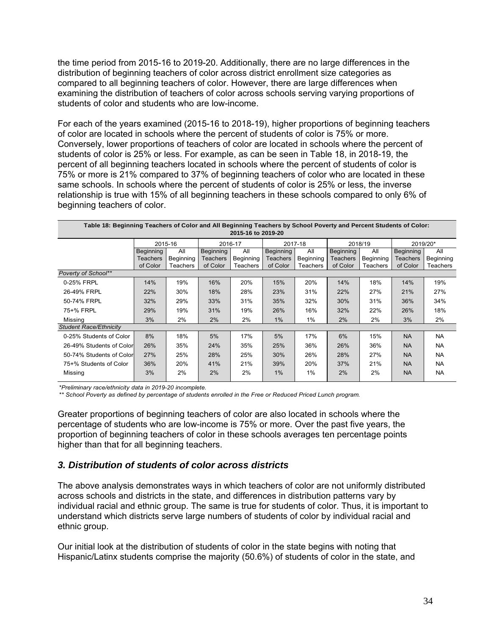the time period from 2015-16 to 2019-20. Additionally, there are no large differences in the distribution of beginning teachers of color across district enrollment size categories as compared to all beginning teachers of color. However, there are large differences when examining the distribution of teachers of color across schools serving varying proportions of students of color and students who are low-income.

For each of the years examined (2015-16 to 2018-19), higher proportions of beginning teachers of color are located in schools where the percent of students of color is 75% or more. Conversely, lower proportions of teachers of color are located in schools where the percent of students of color is 25% or less. For example, as can be seen in Table 18, in 2018-19, the percent of all beginning teachers located in schools where the percent of students of color is 75% or more is 21% compared to 37% of beginning teachers of color who are located in these same schools. In schools where the percent of students of color is 25% or less, the inverse relationship is true with 15% of all beginning teachers in these schools compared to only 6% of beginning teachers of color.

| Table 18: Beginning Teachers of Color and All Beginning Teachers by School Poverty and Percent Students of Color:<br>2015-16 to 2019-20 |                 |           |                 |                    |           |           |           |           |           |           |  |
|-----------------------------------------------------------------------------------------------------------------------------------------|-----------------|-----------|-----------------|--------------------|-----------|-----------|-----------|-----------|-----------|-----------|--|
|                                                                                                                                         |                 | 2015-16   |                 | 2016-17<br>2017-18 |           |           |           | 2018/19   | 2019/20*  |           |  |
|                                                                                                                                         | Beginning       | All       | Beginning       | All                | Beginning | All       | Beginning | All       | Beginning | All       |  |
|                                                                                                                                         | <b>Teachers</b> | Beginning | <b>Teachers</b> | Beginning          | Teachers  | Beginning | Teachers  | Beginning | Teachers  | Beginning |  |
|                                                                                                                                         | of Color        | Teachers  | of Color        | <b>Teachers</b>    | of Color  | Teachers  | of Color  | Teachers  | of Color  | Teachers  |  |
| Poverty of School**                                                                                                                     |                 |           |                 |                    |           |           |           |           |           |           |  |
| 0-25% FRPL                                                                                                                              | 14%             | 19%       | 16%             | 20%                | 15%       | 20%       | 14%       | 18%       | 14%       | 19%       |  |
| 26-49% FRPL                                                                                                                             | 22%             | 30%       | 18%             | 28%                | 23%       | 31%       | 22%       | 27%       | 21%       | 27%       |  |
| 50-74% FRPL                                                                                                                             | 32%             | 29%       | 33%             | 31%                | 35%       | 32%       | 30%       | 31%       | 36%       | 34%       |  |
| 75+% FRPL                                                                                                                               | 29%             | 19%       | 31%             | 19%                | 26%       | 16%       | 32%       | 22%       | 26%       | 18%       |  |
| Missing                                                                                                                                 | 3%              | 2%        | 2%              | 2%                 | 1%        | 1%        | 2%        | 2%        | 3%        | 2%        |  |
| <b>Student Race/Ethnicity</b>                                                                                                           |                 |           |                 |                    |           |           |           |           |           |           |  |
| 0-25% Students of Color                                                                                                                 | 8%              | 18%       | 5%              | 17%                | 5%        | 17%       | 6%        | 15%       | <b>NA</b> | <b>NA</b> |  |
| 26-49% Students of Color                                                                                                                | 26%             | 35%       | 24%             | 35%                | 25%       | 36%       | 26%       | 36%       | <b>NA</b> | <b>NA</b> |  |
| 50-74% Students of Color                                                                                                                | 27%             | 25%       | 28%             | 25%                | 30%       | 26%       | 28%       | 27%       | <b>NA</b> | <b>NA</b> |  |
| 75+% Students of Color                                                                                                                  | 36%             | 20%       | 41%             | 21%                | 39%       | 20%       | 37%       | 21%       | <b>NA</b> | <b>NA</b> |  |
| Missing                                                                                                                                 | 3%              | 2%        | 2%              | 2%                 | 1%        | 1%        | 2%        | 2%        | <b>NA</b> | <b>NA</b> |  |

*\*Preliminary race/ethnicity data in 2019-20 incomplete.*

*\*\* School Poverty as defined by percentage of students enrolled in the Free or Reduced Priced Lunch program.*

Greater proportions of beginning teachers of color are also located in schools where the percentage of students who are low-income is 75% or more. Over the past five years, the proportion of beginning teachers of color in these schools averages ten percentage points higher than that for all beginning teachers.

#### *3. Distribution of students of color across districts*

The above analysis demonstrates ways in which teachers of color are not uniformly distributed across schools and districts in the state, and differences in distribution patterns vary by individual racial and ethnic group. The same is true for students of color. Thus, it is important to understand which districts serve large numbers of students of color by individual racial and ethnic group.

Our initial look at the distribution of students of color in the state begins with noting that Hispanic/Latinx students comprise the majority (50.6%) of students of color in the state, and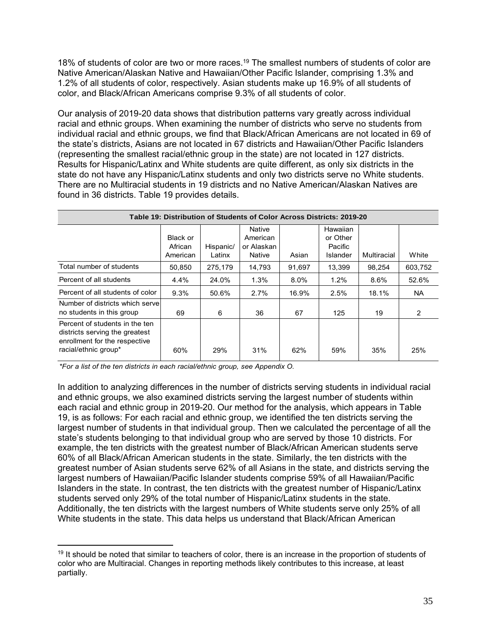18% of students of color are two or more races.<sup>19</sup> The smallest numbers of students of color are Native American/Alaskan Native and Hawaiian/Other Pacific Islander, comprising 1.3% and 1.2% of all students of color, respectively. Asian students make up 16.9% of all students of color, and Black/African Americans comprise 9.3% of all students of color.

Our analysis of 2019-20 data shows that distribution patterns vary greatly across individual racial and ethnic groups. When examining the number of districts who serve no students from individual racial and ethnic groups, we find that Black/African Americans are not located in 69 of the state's districts, Asians are not located in 67 districts and Hawaiian/Other Pacific Islanders (representing the smallest racial/ethnic group in the state) are not located in 127 districts. Results for Hispanic/Latinx and White students are quite different, as only six districts in the state do not have any Hispanic/Latinx students and only two districts serve no White students. There are no Multiracial students in 19 districts and no Native American/Alaskan Natives are found in 36 districts. Table 19 provides details.

|                                                                                                                           |          |           | Table 19: Distribution of Students of Color Across Districts: 2019-20 |         |          |             |         |
|---------------------------------------------------------------------------------------------------------------------------|----------|-----------|-----------------------------------------------------------------------|---------|----------|-------------|---------|
|                                                                                                                           |          |           | Native                                                                |         | Hawaiian |             |         |
|                                                                                                                           | Black or |           | American                                                              |         | or Other |             |         |
|                                                                                                                           | African  | Hispanic/ | or Alaskan                                                            |         | Pacific  |             |         |
|                                                                                                                           | American | Latinx    | Native                                                                | Asian   | Islander | Multiracial | White   |
| Total number of students                                                                                                  | 50,850   | 275.179   | 14,793                                                                | 91,697  | 13.399   | 98.254      | 603.752 |
| Percent of all students                                                                                                   | 4.4%     | 24.0%     | 1.3%                                                                  | $8.0\%$ | 1.2%     | $8.6\%$     | 52.6%   |
| Percent of all students of color                                                                                          | 9.3%     | 50.6%     | 2.7%                                                                  | 16.9%   | 2.5%     | 18.1%       | NA.     |
| Number of districts which servel<br>no students in this group                                                             | 69       | 6         | 36                                                                    | 67      | 125      | 19          | 2       |
| Percent of students in the ten<br>districts serving the greatest<br>enrollment for the respective<br>racial/ethnic group* | 60%      | 29%       | 31%                                                                   | 62%     | 59%      | 35%         | 25%     |

*\*For a list of the ten districts in each racial/ethnic group, see Appendix O.*

In addition to analyzing differences in the number of districts serving students in individual racial and ethnic groups, we also examined districts serving the largest number of students within each racial and ethnic group in 2019-20. Our method for the analysis, which appears in Table 19, is as follows: For each racial and ethnic group, we identified the ten districts serving the largest number of students in that individual group. Then we calculated the percentage of all the state's students belonging to that individual group who are served by those 10 districts. For example, the ten districts with the greatest number of Black/African American students serve 60% of all Black/African American students in the state. Similarly, the ten districts with the greatest number of Asian students serve 62% of all Asians in the state, and districts serving the largest numbers of Hawaiian/Pacific Islander students comprise 59% of all Hawaiian/Pacific Islanders in the state. In contrast, the ten districts with the greatest number of Hispanic/Latinx students served only 29% of the total number of Hispanic/Latinx students in the state. Additionally, the ten districts with the largest numbers of White students serve only 25% of all White students in the state. This data helps us understand that Black/African American

<sup>&</sup>lt;sup>19</sup> It should be noted that similar to teachers of color, there is an increase in the proportion of students of color who are Multiracial. Changes in reporting methods likely contributes to this increase, at least partially.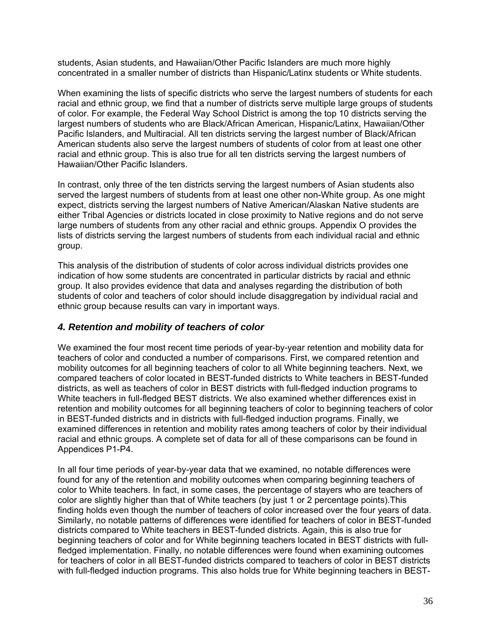students, Asian students, and Hawaiian/Other Pacific Islanders are much more highly concentrated in a smaller number of districts than Hispanic/Latinx students or White students.

When examining the lists of specific districts who serve the largest numbers of students for each racial and ethnic group, we find that a number of districts serve multiple large groups of students of color. For example, the Federal Way School District is among the top 10 districts serving the largest numbers of students who are Black/African American, Hispanic/Latinx, Hawaiian/Other Pacific Islanders, and Multiracial. All ten districts serving the largest number of Black/African American students also serve the largest numbers of students of color from at least one other racial and ethnic group. This is also true for all ten districts serving the largest numbers of Hawaiian/Other Pacific Islanders.

In contrast, only three of the ten districts serving the largest numbers of Asian students also served the largest numbers of students from at least one other non-White group. As one might expect, districts serving the largest numbers of Native American/Alaskan Native students are either Tribal Agencies or districts located in close proximity to Native regions and do not serve large numbers of students from any other racial and ethnic groups. Appendix O provides the lists of districts serving the largest numbers of students from each individual racial and ethnic group.

This analysis of the distribution of students of color across individual districts provides one indication of how some students are concentrated in particular districts by racial and ethnic group. It also provides evidence that data and analyses regarding the distribution of both students of color and teachers of color should include disaggregation by individual racial and ethnic group because results can vary in important ways.

# *4. Retention and mobility of teachers of color*

We examined the four most recent time periods of year-by-year retention and mobility data for teachers of color and conducted a number of comparisons. First, we compared retention and mobility outcomes for all beginning teachers of color to all White beginning teachers. Next, we compared teachers of color located in BEST-funded districts to White teachers in BEST-funded districts, as well as teachers of color in BEST districts with full-fledged induction programs to White teachers in full-fledged BEST districts. We also examined whether differences exist in retention and mobility outcomes for all beginning teachers of color to beginning teachers of color in BEST-funded districts and in districts with full-fledged induction programs. Finally, we examined differences in retention and mobility rates among teachers of color by their individual racial and ethnic groups. A complete set of data for all of these comparisons can be found in Appendices P1-P4.

In all four time periods of year-by-year data that we examined, no notable differences were found for any of the retention and mobility outcomes when comparing beginning teachers of color to White teachers. In fact, in some cases, the percentage of stayers who are teachers of color are slightly higher than that of White teachers (by just 1 or 2 percentage points).This finding holds even though the number of teachers of color increased over the four years of data. Similarly, no notable patterns of differences were identified for teachers of color in BEST-funded districts compared to White teachers in BEST-funded districts. Again, this is also true for beginning teachers of color and for White beginning teachers located in BEST districts with fullfledged implementation. Finally, no notable differences were found when examining outcomes for teachers of color in all BEST-funded districts compared to teachers of color in BEST districts with full-fledged induction programs. This also holds true for White beginning teachers in BEST-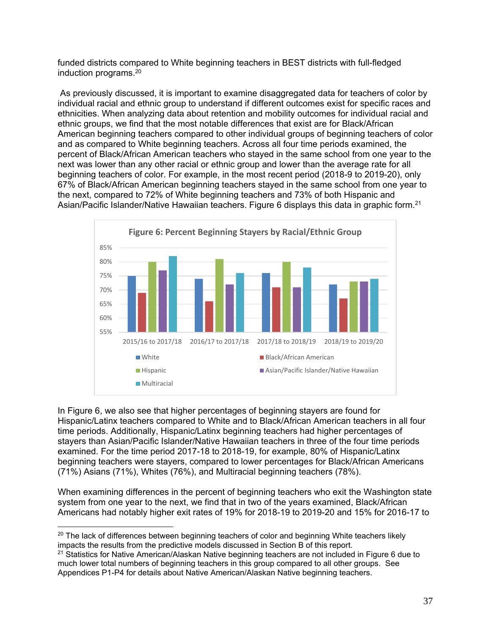funded districts compared to White beginning teachers in BEST districts with full-fledged induction programs.20

 As previously discussed, it is important to examine disaggregated data for teachers of color by individual racial and ethnic group to understand if different outcomes exist for specific races and ethnicities. When analyzing data about retention and mobility outcomes for individual racial and ethnic groups, we find that the most notable differences that exist are for Black/African American beginning teachers compared to other individual groups of beginning teachers of color and as compared to White beginning teachers. Across all four time periods examined, the percent of Black/African American teachers who stayed in the same school from one year to the next was lower than any other racial or ethnic group and lower than the average rate for all beginning teachers of color. For example, in the most recent period (2018-9 to 2019-20), only 67% of Black/African American beginning teachers stayed in the same school from one year to the next, compared to 72% of White beginning teachers and 73% of both Hispanic and Asian/Pacific Islander/Native Hawaiian teachers. Figure 6 displays this data in graphic form.<sup>21</sup>



In Figure 6, we also see that higher percentages of beginning stayers are found for Hispanic/Latinx teachers compared to White and to Black/African American teachers in all four time periods. Additionally, Hispanic/Latinx beginning teachers had higher percentages of stayers than Asian/Pacific Islander/Native Hawaiian teachers in three of the four time periods examined. For the time period 2017-18 to 2018-19, for example, 80% of Hispanic/Latinx beginning teachers were stayers, compared to lower percentages for Black/African Americans (71%) Asians (71%), Whites (76%), and Multiracial beginning teachers (78%).

When examining differences in the percent of beginning teachers who exit the Washington state system from one year to the next, we find that in two of the years examined, Black/African Americans had notably higher exit rates of 19% for 2018-19 to 2019-20 and 15% for 2016-17 to

 $20$  The lack of differences between beginning teachers of color and beginning White teachers likely impacts the results from the predictive models discussed in Section B of this report.

<sup>&</sup>lt;sup>21</sup> Statistics for Native American/Alaskan Native beginning teachers are not included in Figure 6 due to much lower total numbers of beginning teachers in this group compared to all other groups. See Appendices P1-P4 for details about Native American/Alaskan Native beginning teachers.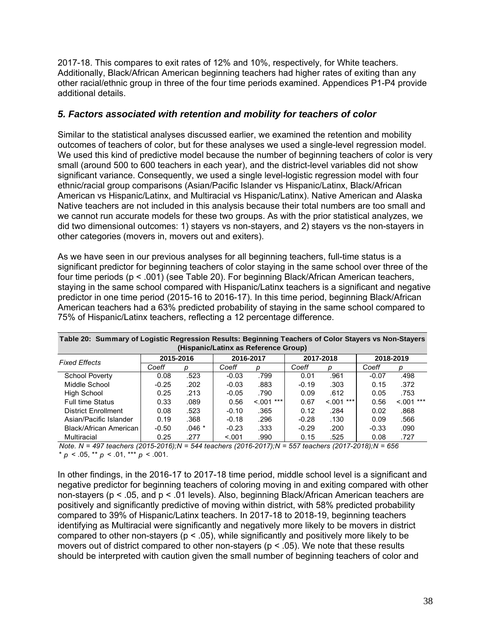2017-18. This compares to exit rates of 12% and 10%, respectively, for White teachers. Additionally, Black/African American beginning teachers had higher rates of exiting than any other racial/ethnic group in three of the four time periods examined. Appendices P1-P4 provide additional details.

### *5. Factors associated with retention and mobility for teachers of color*

Similar to the statistical analyses discussed earlier, we examined the retention and mobility outcomes of teachers of color, but for these analyses we used a single-level regression model. We used this kind of predictive model because the number of beginning teachers of color is very small (around 500 to 600 teachers in each year), and the district-level variables did not show significant variance. Consequently, we used a single level-logistic regression model with four ethnic/racial group comparisons (Asian/Pacific Islander vs Hispanic/Latinx, Black/African American vs Hispanic/Latinx, and Multiracial vs Hispanic/Latinx). Native American and Alaska Native teachers are not included in this analysis because their total numbers are too small and we cannot run accurate models for these two groups. As with the prior statistical analyzes, we did two dimensional outcomes: 1) stayers vs non-stayers, and 2) stayers vs the non-stayers in other categories (movers in, movers out and exiters).

As we have seen in our previous analyses for all beginning teachers, full-time status is a significant predictor for beginning teachers of color staying in the same school over three of the four time periods (p < .001) (see Table 20). For beginning Black/African American teachers, staying in the same school compared with Hispanic/Latinx teachers is a significant and negative predictor in one time period (2015-16 to 2016-17). In this time period, beginning Black/African American teachers had a 63% predicted probability of staying in the same school compared to 75% of Hispanic/Latinx teachers, reflecting a 12 percentage difference.

| Table 20: Summary of Logistic Regression Results: Beginning Teachers of Color Stayers vs Non-Stayers |           |         |         |              |         |             |           |             |  |  |  |  |
|------------------------------------------------------------------------------------------------------|-----------|---------|---------|--------------|---------|-------------|-----------|-------------|--|--|--|--|
| (Hispanic/Latinx as Reference Group)                                                                 |           |         |         |              |         |             |           |             |  |  |  |  |
| <b>Fixed Effects</b>                                                                                 | 2015-2016 |         |         | 2016-2017    |         | 2017-2018   | 2018-2019 |             |  |  |  |  |
|                                                                                                      | Coeff     | p       | Coeff   | р            | Coeff   | D           | Coeff     | D           |  |  |  |  |
| <b>School Poverty</b>                                                                                | 0.08      | .523    | $-0.03$ | .799         | 0.01    | .961        | $-0.07$   | .498        |  |  |  |  |
| Middle School                                                                                        | $-0.25$   | .202    | $-0.03$ | .883         | $-0.19$ | .303        | 0.15      | .372        |  |  |  |  |
| High School                                                                                          | 0.25      | .213    | $-0.05$ | .790         | 0.09    | .612        | 0.05      | .753        |  |  |  |  |
| <b>Full time Status</b>                                                                              | 0.33      | .089    | 0.56    | $< 0.01$ *** | 0.67    | $< 001$ *** | 0.56      | $< 0.01***$ |  |  |  |  |
| <b>District Enrollment</b>                                                                           | 0.08      | .523    | $-0.10$ | .365         | 0.12    | .284        | 0.02      | .868        |  |  |  |  |
| Asian/Pacific Islander                                                                               | 0.19      | .368    | $-0.18$ | .296         | $-0.28$ | .130        | 0.09      | .566        |  |  |  |  |
| Black/African American                                                                               | $-0.50$   | $.046*$ | $-0.23$ | .333         | $-0.29$ | .200        | $-0.33$   | .090        |  |  |  |  |
| <b>Multiracial</b>                                                                                   | 0.25      | .277    | < 0.001 | .990         | 0.15    | .525        | 0.08      | .727        |  |  |  |  |

\*  $p < .05$ , \*\*  $p < .01$ , \*\*\*  $p < .001$ . *Note. N = 497 teachers (2015-2016);N = 544 teachers (2016-2017);N = 557 teachers (2017-2018);N = 656* 

In other findings, in the 2016-17 to 2017-18 time period, middle school level is a significant and negative predictor for beginning teachers of coloring moving in and exiting compared with other non-stayers (p < .05, and p < .01 levels). Also, beginning Black/African American teachers are positively and significantly predictive of moving within district, with 58% predicted probability compared to 39% of Hispanic/Latinx teachers. In 2017-18 to 2018-19, beginning teachers identifying as Multiracial were significantly and negatively more likely to be movers in district compared to other non-stayers ( $p < .05$ ), while significantly and positively more likely to be movers out of district compared to other non-stayers ( $p < .05$ ). We note that these results should be interpreted with caution given the small number of beginning teachers of color and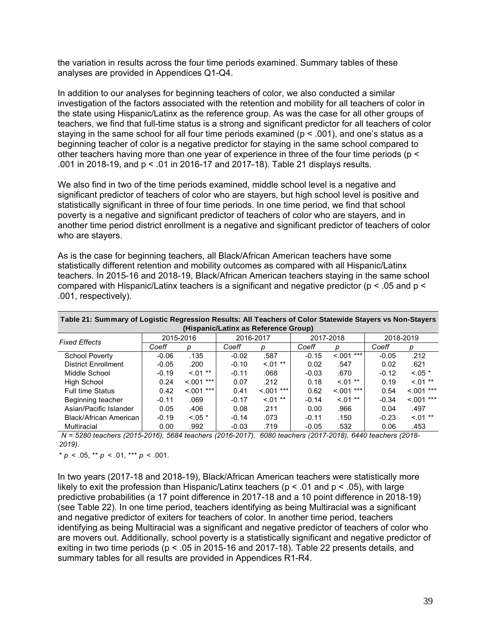the variation in results across the four time periods examined. Summary tables of these analyses are provided in Appendices Q1-Q4.

In addition to our analyses for beginning teachers of color, we also conducted a similar investigation of the factors associated with the retention and mobility for all teachers of color in the state using Hispanic/Latinx as the reference group. As was the case for all other groups of teachers, we find that full-time status is a strong and significant predictor for all teachers of color staying in the same school for all four time periods examined ( $p < .001$ ), and one's status as a beginning teacher of color is a negative predictor for staying in the same school compared to other teachers having more than one year of experience in three of the four time periods (p < .001 in 2018-19, and p < .01 in 2016-17 and 2017-18). Table 21 displays results.

We also find in two of the time periods examined, middle school level is a negative and significant predictor of teachers of color who are stayers, but high school level is positive and statistically significant in three of four time periods. In one time period, we find that school poverty is a negative and significant predictor of teachers of color who are stayers, and in another time period district enrollment is a negative and significant predictor of teachers of color who are stayers.

As is the case for beginning teachers, all Black/African American teachers have some statistically different retention and mobility outcomes as compared with all Hispanic/Latinx teachers. In 2015-16 and 2018-19, Black/African American teachers staying in the same school compared with Hispanic/Latinx teachers is a significant and negative predictor ( $p < .05$  and  $p <$ .001, respectively).

| Table 21: Summary of Logistic Regression Results: All Teachers of Color Statewide Stayers vs Non-Stayers |         |             |         |                                      |         |              |         |             |
|----------------------------------------------------------------------------------------------------------|---------|-------------|---------|--------------------------------------|---------|--------------|---------|-------------|
|                                                                                                          |         |             |         | (Hispanic/Latinx as Reference Group) |         |              |         |             |
| <b>Fixed Effects</b>                                                                                     |         | 2015-2016   |         | 2016-2017                            |         | 2017-2018    |         | 2018-2019   |
|                                                                                                          | Coeff   | D           | Coeff   | D                                    | Coeff   |              | Coeff   | p           |
| <b>School Poverty</b>                                                                                    | $-0.06$ | .135        | $-0.02$ | .587                                 | $-0.15$ | $< 0.01***$  | $-0.05$ | .212        |
| <b>District Enrollment</b>                                                                               | $-0.05$ | .200        | $-0.10$ | $< 01$ **                            | 0.02    | .547         | 0.02    | .621        |
| Middle School                                                                                            | $-0.19$ | $< 01$ **   | $-0.11$ | .068                                 | $-0.03$ | .670         | $-0.12$ | $< 0.05$ *  |
| High School                                                                                              | 0.24    | $< 001$ *** | 0.07    | .212                                 | 0.18    | $0.01**$     | 0.19    | $< 01$ **   |
| <b>Full time Status</b>                                                                                  | 0.42    | $< 001$ *** | 0.41    | $< 0.01$ ***                         | 0.62    | $< 0.01$ *** | 0.54    | $< 0.01***$ |
| Beginning teacher                                                                                        | $-0.11$ | .069        | $-0.17$ | $< 01$ **                            | $-0.14$ | $< 01$ **    | $-0.34$ | $< 001$ *** |
| Asian/Pacific Islander                                                                                   | 0.05    | .406        | 0.08    | .211                                 | 0.00    | .966         | 0.04    | .497        |
| Black/African American                                                                                   | $-0.19$ | $< 0.05$ *  | $-0.14$ | .073                                 | $-0.11$ | .150         | $-0.23$ | $< 01$ **   |
| Multiracial                                                                                              | 0.00    | .992        | $-0.03$ | .719                                 | $-0.05$ | .532         | 0.06    | .453        |

**Table 21: Summary of Logistic Regression Results: All Teachers of Color Statewide Stayers vs Non-Stayers** 

 *N = 5280 teachers (2015-2016), 5684 teachers (2016-2017), 6080 teachers (2017-2018), 6440 teachers (2018- 2019).*

 $* p < .05, ** p < .01,*** p < .001.$ 

In two years (2017-18 and 2018-19), Black/African American teachers were statistically more likely to exit the profession than Hispanic/Latinx teachers ( $p < .01$  and  $p < .05$ ), with large predictive probabilities (a 17 point difference in 2017-18 and a 10 point difference in 2018-19) (see Table 22). In one time period, teachers identifying as being Multiracial was a significant and negative predictor of exiters for teachers of color. In another time period, teachers identifying as being Multiracial was a significant and negative predictor of teachers of color who are movers out. Additionally, school poverty is a statistically significant and negative predictor of exiting in two time periods (p < .05 in 2015-16 and 2017-18). Table 22 presents details, and summary tables for all results are provided in Appendices R1-R4.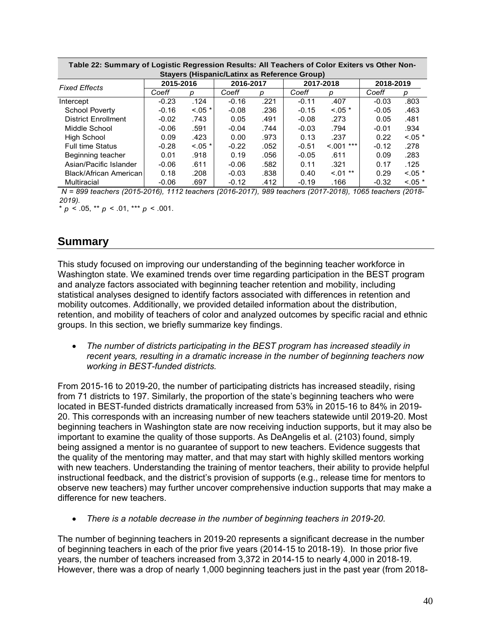| Table 22. Suillinary of Logistic Regression Results. All Teachers of Color Exiters vs Other Non- |           |            |           |      |         |              |           |            |  |  |  |  |  |  |
|--------------------------------------------------------------------------------------------------|-----------|------------|-----------|------|---------|--------------|-----------|------------|--|--|--|--|--|--|
| Stayers (Hispanic/Latinx as Reference Group)                                                     |           |            |           |      |         |              |           |            |  |  |  |  |  |  |
| <b>Fixed Effects</b>                                                                             | 2015-2016 |            | 2016-2017 |      |         | 2017-2018    | 2018-2019 |            |  |  |  |  |  |  |
|                                                                                                  | Coeff     | р          | Coeff     | р    | Coeff   | р            | Coeff     | р          |  |  |  |  |  |  |
| Intercept                                                                                        | $-0.23$   | .124       | $-0.16$   | .221 | $-0.11$ | .407         | $-0.03$   | .803       |  |  |  |  |  |  |
| School Poverty                                                                                   | $-0.16$   | $< 0.05$ * | $-0.08$   | .236 | $-0.15$ | $< 0.05$ *   | $-0.05$   | .463       |  |  |  |  |  |  |
| <b>District Enrollment</b>                                                                       | $-0.02$   | .743       | 0.05      | .491 | $-0.08$ | .273         | 0.05      | .481       |  |  |  |  |  |  |
| Middle School                                                                                    | $-0.06$   | .591       | $-0.04$   | .744 | $-0.03$ | .794         | $-0.01$   | .934       |  |  |  |  |  |  |
| High School                                                                                      | 0.09      | .423       | 0.00      | .973 | 0.13    | .237         | 0.22      | $< 0.05$ * |  |  |  |  |  |  |
| <b>Full time Status</b>                                                                          | $-0.28$   | $< 0.05$ * | $-0.22$   | .052 | $-0.51$ | $< 0.01$ *** | $-0.12$   | .278       |  |  |  |  |  |  |
| Beginning teacher                                                                                | 0.01      | .918       | 0.19      | .056 | $-0.05$ | .611         | 0.09      | .283       |  |  |  |  |  |  |
| Asian/Pacific Islander                                                                           | $-0.06$   | .611       | $-0.06$   | .582 | 0.11    | .321         | 0.17      | .125       |  |  |  |  |  |  |
| Black/African American                                                                           | 0.18      | .208       | $-0.03$   | .838 | 0.40    | $< 01$ **    | 0.29      | $< 0.05$ * |  |  |  |  |  |  |
| Multiracial                                                                                      | $-0.06$   | .697       | $-0.12$   | .412 | $-0.19$ | .166         | $-0.32$   | $< 0.05$ * |  |  |  |  |  |  |

**Table 22: Summary of Logistic Regression Results: All Teachers of Color Exiters vs Other Non-**

 *N = 899 teachers (2015-2016), 1112 teachers (2016-2017), 989 teachers (2017-2018), 1065 teachers (2018- 2019).*

 $* p < .05$ ,  $** p < .01$ ,  $*** p < .001$ .

# **Summary**

This study focused on improving our understanding of the beginning teacher workforce in Washington state. We examined trends over time regarding participation in the BEST program and analyze factors associated with beginning teacher retention and mobility, including statistical analyses designed to identify factors associated with differences in retention and mobility outcomes. Additionally, we provided detailed information about the distribution, retention, and mobility of teachers of color and analyzed outcomes by specific racial and ethnic groups. In this section, we briefly summarize key findings.

 *The number of districts participating in the BEST program has increased steadily in recent years, resulting in a dramatic increase in the number of beginning teachers now working in BEST-funded districts.* 

From 2015-16 to 2019-20, the number of participating districts has increased steadily, rising from 71 districts to 197. Similarly, the proportion of the state's beginning teachers who were located in BEST-funded districts dramatically increased from 53% in 2015-16 to 84% in 2019- 20. This corresponds with an increasing number of new teachers statewide until 2019-20. Most beginning teachers in Washington state are now receiving induction supports, but it may also be important to examine the quality of those supports. As DeAngelis et al. (2103) found, simply being assigned a mentor is no guarantee of support to new teachers. Evidence suggests that the quality of the mentoring may matter, and that may start with highly skilled mentors working with new teachers. Understanding the training of mentor teachers, their ability to provide helpful instructional feedback, and the district's provision of supports (e.g., release time for mentors to observe new teachers) may further uncover comprehensive induction supports that may make a difference for new teachers.

*There is a notable decrease in the number of beginning teachers in 2019-20.*

The number of beginning teachers in 2019-20 represents a significant decrease in the number of beginning teachers in each of the prior five years (2014-15 to 2018-19). In those prior five years, the number of teachers increased from 3,372 in 2014-15 to nearly 4,000 in 2018-19. However, there was a drop of nearly 1,000 beginning teachers just in the past year (from 2018-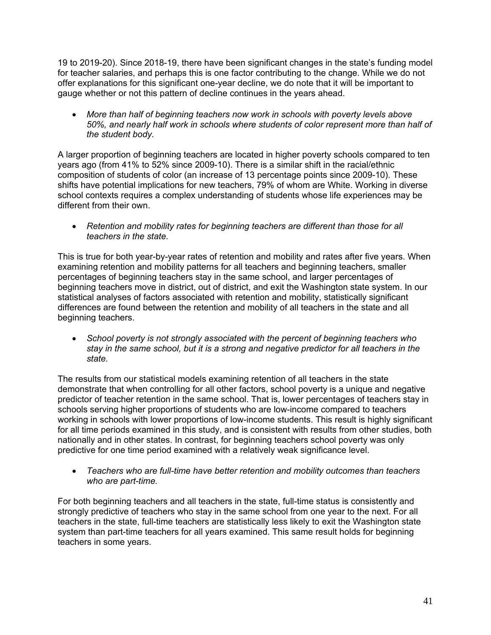19 to 2019-20). Since 2018-19, there have been significant changes in the state's funding model for teacher salaries, and perhaps this is one factor contributing to the change. While we do not offer explanations for this significant one-year decline, we do note that it will be important to gauge whether or not this pattern of decline continues in the years ahead.

 *More than half of beginning teachers now work in schools with poverty levels above 50%, and nearly half work in schools where students of color represent more than half of the student body.* 

A larger proportion of beginning teachers are located in higher poverty schools compared to ten years ago (from 41% to 52% since 2009-10). There is a similar shift in the racial/ethnic composition of students of color (an increase of 13 percentage points since 2009-10). These shifts have potential implications for new teachers, 79% of whom are White. Working in diverse school contexts requires a complex understanding of students whose life experiences may be different from their own.

• Retention and mobility rates for beginning teachers are different than those for all *teachers in the state.* 

This is true for both year-by-year rates of retention and mobility and rates after five years. When examining retention and mobility patterns for all teachers and beginning teachers, smaller percentages of beginning teachers stay in the same school, and larger percentages of beginning teachers move in district, out of district, and exit the Washington state system. In our statistical analyses of factors associated with retention and mobility, statistically significant differences are found between the retention and mobility of all teachers in the state and all beginning teachers.

 *School poverty is not strongly associated with the percent of beginning teachers who stay in the same school, but it is a strong and negative predictor for all teachers in the state.* 

The results from our statistical models examining retention of all teachers in the state demonstrate that when controlling for all other factors, school poverty is a unique and negative predictor of teacher retention in the same school. That is, lower percentages of teachers stay in schools serving higher proportions of students who are low-income compared to teachers working in schools with lower proportions of low-income students. This result is highly significant for all time periods examined in this study, and is consistent with results from other studies, both nationally and in other states. In contrast, for beginning teachers school poverty was only predictive for one time period examined with a relatively weak significance level.

 *Teachers who are full-time have better retention and mobility outcomes than teachers who are part-time.* 

For both beginning teachers and all teachers in the state, full-time status is consistently and strongly predictive of teachers who stay in the same school from one year to the next. For all teachers in the state, full-time teachers are statistically less likely to exit the Washington state system than part-time teachers for all years examined. This same result holds for beginning teachers in some years.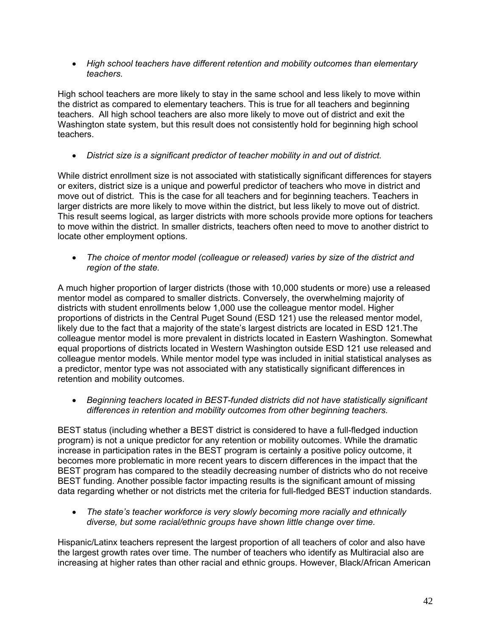*High school teachers have different retention and mobility outcomes than elementary teachers.* 

High school teachers are more likely to stay in the same school and less likely to move within the district as compared to elementary teachers. This is true for all teachers and beginning teachers. All high school teachers are also more likely to move out of district and exit the Washington state system, but this result does not consistently hold for beginning high school teachers.

*District size is a significant predictor of teacher mobility in and out of district.*

While district enrollment size is not associated with statistically significant differences for stayers or exiters, district size is a unique and powerful predictor of teachers who move in district and move out of district. This is the case for all teachers and for beginning teachers. Teachers in larger districts are more likely to move within the district, but less likely to move out of district. This result seems logical, as larger districts with more schools provide more options for teachers to move within the district. In smaller districts, teachers often need to move to another district to locate other employment options.

 *The choice of mentor model (colleague or released) varies by size of the district and region of the state.* 

A much higher proportion of larger districts (those with 10,000 students or more) use a released mentor model as compared to smaller districts. Conversely, the overwhelming majority of districts with student enrollments below 1,000 use the colleague mentor model. Higher proportions of districts in the Central Puget Sound (ESD 121) use the released mentor model, likely due to the fact that a majority of the state's largest districts are located in ESD 121.The colleague mentor model is more prevalent in districts located in Eastern Washington. Somewhat equal proportions of districts located in Western Washington outside ESD 121 use released and colleague mentor models. While mentor model type was included in initial statistical analyses as a predictor, mentor type was not associated with any statistically significant differences in retention and mobility outcomes.

 *Beginning teachers located in BEST-funded districts did not have statistically significant differences in retention and mobility outcomes from other beginning teachers.* 

BEST status (including whether a BEST district is considered to have a full-fledged induction program) is not a unique predictor for any retention or mobility outcomes. While the dramatic increase in participation rates in the BEST program is certainly a positive policy outcome, it becomes more problematic in more recent years to discern differences in the impact that the BEST program has compared to the steadily decreasing number of districts who do not receive BEST funding. Another possible factor impacting results is the significant amount of missing data regarding whether or not districts met the criteria for full-fledged BEST induction standards.

 *The state's teacher workforce is very slowly becoming more racially and ethnically diverse, but some racial/ethnic groups have shown little change over time.* 

Hispanic/Latinx teachers represent the largest proportion of all teachers of color and also have the largest growth rates over time. The number of teachers who identify as Multiracial also are increasing at higher rates than other racial and ethnic groups. However, Black/African American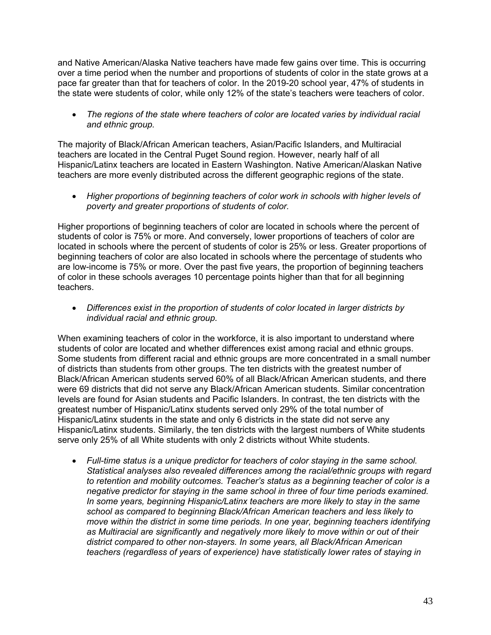and Native American/Alaska Native teachers have made few gains over time. This is occurring over a time period when the number and proportions of students of color in the state grows at a pace far greater than that for teachers of color. In the 2019-20 school year, 47% of students in the state were students of color, while only 12% of the state's teachers were teachers of color.

 *The regions of the state where teachers of color are located varies by individual racial and ethnic group.* 

The majority of Black/African American teachers, Asian/Pacific Islanders, and Multiracial teachers are located in the Central Puget Sound region. However, nearly half of all Hispanic/Latinx teachers are located in Eastern Washington. Native American/Alaskan Native teachers are more evenly distributed across the different geographic regions of the state.

 *Higher proportions of beginning teachers of color work in schools with higher levels of poverty and greater proportions of students of color.* 

Higher proportions of beginning teachers of color are located in schools where the percent of students of color is 75% or more. And conversely, lower proportions of teachers of color are located in schools where the percent of students of color is 25% or less. Greater proportions of beginning teachers of color are also located in schools where the percentage of students who are low-income is 75% or more. Over the past five years, the proportion of beginning teachers of color in these schools averages 10 percentage points higher than that for all beginning teachers.

 *Differences exist in the proportion of students of color located in larger districts by individual racial and ethnic group.* 

When examining teachers of color in the workforce, it is also important to understand where students of color are located and whether differences exist among racial and ethnic groups. Some students from different racial and ethnic groups are more concentrated in a small number of districts than students from other groups. The ten districts with the greatest number of Black/African American students served 60% of all Black/African American students, and there were 69 districts that did not serve any Black/African American students. Similar concentration levels are found for Asian students and Pacific Islanders. In contrast, the ten districts with the greatest number of Hispanic/Latinx students served only 29% of the total number of Hispanic/Latinx students in the state and only 6 districts in the state did not serve any Hispanic/Latinx students. Similarly, the ten districts with the largest numbers of White students serve only 25% of all White students with only 2 districts without White students.

 *Full-time status is a unique predictor for teachers of color staying in the same school. Statistical analyses also revealed differences among the racial/ethnic groups with regard to retention and mobility outcomes. Teacher's status as a beginning teacher of color is a negative predictor for staying in the same school in three of four time periods examined. In some years, beginning Hispanic/Latinx teachers are more likely to stay in the same school as compared to beginning Black/African American teachers and less likely to move within the district in some time periods. In one year, beginning teachers identifying as Multiracial are significantly and negatively more likely to move within or out of their district compared to other non-stayers. In some years, all Black/African American teachers (regardless of years of experience) have statistically lower rates of staying in*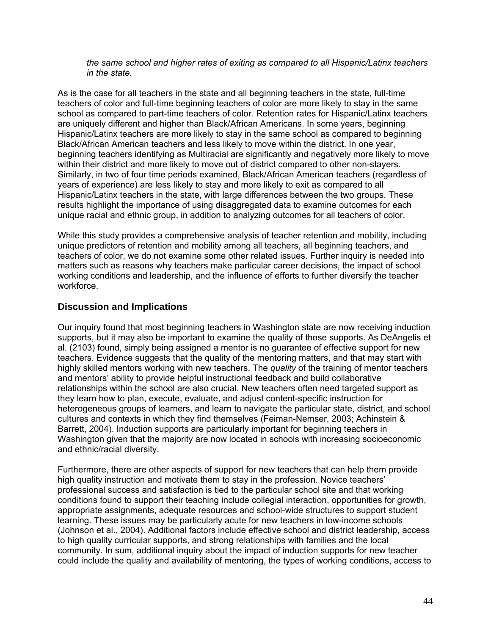*the same school and higher rates of exiting as compared to all Hispanic/Latinx teachers in the state.* 

As is the case for all teachers in the state and all beginning teachers in the state, full-time teachers of color and full-time beginning teachers of color are more likely to stay in the same school as compared to part-time teachers of color. Retention rates for Hispanic/Latinx teachers are uniquely different and higher than Black/African Americans. In some years, beginning Hispanic/Latinx teachers are more likely to stay in the same school as compared to beginning Black/African American teachers and less likely to move within the district. In one year, beginning teachers identifying as Multiracial are significantly and negatively more likely to move within their district and more likely to move out of district compared to other non-stayers. Similarly, in two of four time periods examined, Black/African American teachers (regardless of years of experience) are less likely to stay and more likely to exit as compared to all Hispanic/Latinx teachers in the state, with large differences between the two groups. These results highlight the importance of using disaggregated data to examine outcomes for each unique racial and ethnic group, in addition to analyzing outcomes for all teachers of color.

While this study provides a comprehensive analysis of teacher retention and mobility, including unique predictors of retention and mobility among all teachers, all beginning teachers, and teachers of color, we do not examine some other related issues. Further inquiry is needed into matters such as reasons why teachers make particular career decisions, the impact of school working conditions and leadership, and the influence of efforts to further diversify the teacher workforce.

## **Discussion and Implications**

Our inquiry found that most beginning teachers in Washington state are now receiving induction supports, but it may also be important to examine the quality of those supports. As DeAngelis et al. (2103) found, simply being assigned a mentor is no guarantee of effective support for new teachers. Evidence suggests that the quality of the mentoring matters, and that may start with highly skilled mentors working with new teachers. The *quality* of the training of mentor teachers and mentors' ability to provide helpful instructional feedback and build collaborative relationships within the school are also crucial. New teachers often need targeted support as they learn how to plan, execute, evaluate, and adjust content-specific instruction for heterogeneous groups of learners, and learn to navigate the particular state, district, and school cultures and contexts in which they find themselves (Feiman-Nemser, 2003; Achinstein & Barrett, 2004). Induction supports are particularly important for beginning teachers in Washington given that the majority are now located in schools with increasing socioeconomic and ethnic/racial diversity.

Furthermore, there are other aspects of support for new teachers that can help them provide high quality instruction and motivate them to stay in the profession. Novice teachers' professional success and satisfaction is tied to the particular school site and that working conditions found to support their teaching include collegial interaction, opportunities for growth, appropriate assignments, adequate resources and school-wide structures to support student learning. These issues may be particularly acute for new teachers in low-income schools (Johnson et al., 2004). Additional factors include effective school and district leadership, access to high quality curricular supports, and strong relationships with families and the local community. In sum, additional inquiry about the impact of induction supports for new teacher could include the quality and availability of mentoring, the types of working conditions, access to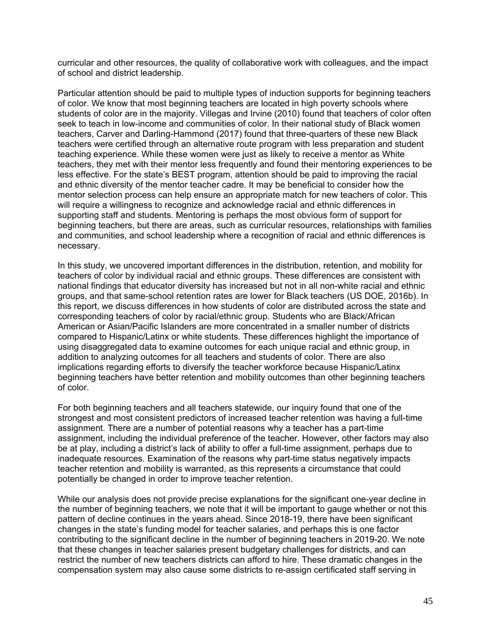curricular and other resources, the quality of collaborative work with colleagues, and the impact of school and district leadership.

Particular attention should be paid to multiple types of induction supports for beginning teachers of color. We know that most beginning teachers are located in high poverty schools where students of color are in the majority. Villegas and Irvine (2010) found that teachers of color often seek to teach in low-income and communities of color. In their national study of Black women teachers, Carver and Darling-Hammond (2017) found that three-quarters of these new Black teachers were certified through an alternative route program with less preparation and student teaching experience. While these women were just as likely to receive a mentor as White teachers, they met with their mentor less frequently and found their mentoring experiences to be less effective. For the state's BEST program, attention should be paid to improving the racial and ethnic diversity of the mentor teacher cadre. It may be beneficial to consider how the mentor selection process can help ensure an appropriate match for new teachers of color. This will require a willingness to recognize and acknowledge racial and ethnic differences in supporting staff and students. Mentoring is perhaps the most obvious form of support for beginning teachers, but there are areas, such as curricular resources, relationships with families and communities, and school leadership where a recognition of racial and ethnic differences is necessary.

In this study, we uncovered important differences in the distribution, retention, and mobility for teachers of color by individual racial and ethnic groups. These differences are consistent with national findings that educator diversity has increased but not in all non-white racial and ethnic groups, and that same-school retention rates are lower for Black teachers (US DOE, 2016b). In this report, we discuss differences in how students of color are distributed across the state and corresponding teachers of color by racial/ethnic group. Students who are Black/African American or Asian/Pacific Islanders are more concentrated in a smaller number of districts compared to Hispanic/Latinx or white students. These differences highlight the importance of using disaggregated data to examine outcomes for each unique racial and ethnic group, in addition to analyzing outcomes for all teachers and students of color. There are also implications regarding efforts to diversify the teacher workforce because Hispanic/Latinx beginning teachers have better retention and mobility outcomes than other beginning teachers of color.

For both beginning teachers and all teachers statewide, our inquiry found that one of the strongest and most consistent predictors of increased teacher retention was having a full-time assignment. There are a number of potential reasons why a teacher has a part-time assignment, including the individual preference of the teacher. However, other factors may also be at play, including a district's lack of ability to offer a full-time assignment, perhaps due to inadequate resources. Examination of the reasons why part-time status negatively impacts teacher retention and mobility is warranted, as this represents a circumstance that could potentially be changed in order to improve teacher retention.

While our analysis does not provide precise explanations for the significant one-year decline in the number of beginning teachers, we note that it will be important to gauge whether or not this pattern of decline continues in the years ahead. Since 2018-19, there have been significant changes in the state's funding model for teacher salaries, and perhaps this is one factor contributing to the significant decline in the number of beginning teachers in 2019-20. We note that these changes in teacher salaries present budgetary challenges for districts, and can restrict the number of new teachers districts can afford to hire. These dramatic changes in the compensation system may also cause some districts to re-assign certificated staff serving in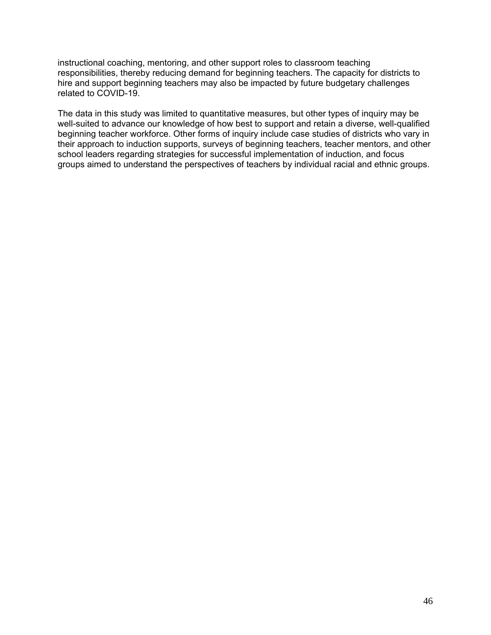instructional coaching, mentoring, and other support roles to classroom teaching responsibilities, thereby reducing demand for beginning teachers. The capacity for districts to hire and support beginning teachers may also be impacted by future budgetary challenges related to COVID-19.

The data in this study was limited to quantitative measures, but other types of inquiry may be well-suited to advance our knowledge of how best to support and retain a diverse, well-qualified beginning teacher workforce. Other forms of inquiry include case studies of districts who vary in their approach to induction supports, surveys of beginning teachers, teacher mentors, and other school leaders regarding strategies for successful implementation of induction, and focus groups aimed to understand the perspectives of teachers by individual racial and ethnic groups.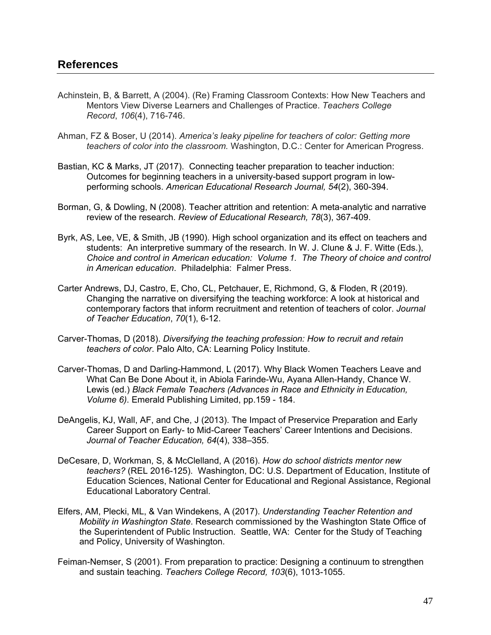- Achinstein, B, & Barrett, A (2004). (Re) Framing Classroom Contexts: How New Teachers and Mentors View Diverse Learners and Challenges of Practice. *Teachers College Record*, *106*(4), 716-746.
- Ahman, FZ & Boser, U (2014). *America's leaky pipeline for teachers of color: Getting more teachers of color into the classroom.* Washington, D.C.: Center for American Progress.
- Bastian, KC & Marks, JT (2017). Connecting teacher preparation to teacher induction: Outcomes for beginning teachers in a university-based support program in lowperforming schools. *American Educational Research Journal, 54*(2), 360-394.
- Borman, G, & Dowling, N (2008). Teacher attrition and retention: A meta-analytic and narrative review of the research. *Review of Educational Research, 78*(3), 367-409.
- Byrk, AS, Lee, VE, & Smith, JB (1990). High school organization and its effect on teachers and students: An interpretive summary of the research. In W. J. Clune & J. F. Witte (Eds.), *Choice and control in American education: Volume 1. The Theory of choice and control in American education*. Philadelphia: Falmer Press.
- Carter Andrews, DJ, Castro, E, Cho, CL, Petchauer, E, Richmond, G, & Floden, R (2019). Changing the narrative on diversifying the teaching workforce: A look at historical and contemporary factors that inform recruitment and retention of teachers of color. *Journal of Teacher Education*, *70*(1), 6-12.
- Carver-Thomas, D (2018). *Diversifying the teaching profession: How to recruit and retain teachers of color*. Palo Alto, CA: Learning Policy Institute.
- Carver-Thomas, D and Darling-Hammond, L (2017). Why Black Women Teachers Leave and What Can Be Done About it, in Abiola Farinde-Wu, Ayana Allen-Handy, Chance W. Lewis (ed.) *Black Female Teachers (Advances in Race and Ethnicity in Education, Volume 6)*. Emerald Publishing Limited, pp.159 - 184.
- DeAngelis, KJ, Wall, AF, and Che, J (2013). The Impact of Preservice Preparation and Early Career Support on Early- to Mid-Career Teachers' Career Intentions and Decisions. *Journal of Teacher Education, 64*(4), 338–355.
- DeCesare, D, Workman, S, & McClelland, A (2016). *How do school districts mentor new teachers?* (REL 2016-125). Washington, DC: U.S. Department of Education, Institute of Education Sciences, National Center for Educational and Regional Assistance, Regional Educational Laboratory Central.
- Elfers, AM, Plecki, ML, & Van Windekens, A (2017). *Understanding Teacher Retention and Mobility in Washington State*. Research commissioned by the Washington State Office of the Superintendent of Public Instruction. Seattle, WA: Center for the Study of Teaching and Policy, University of Washington.
- Feiman-Nemser, S (2001). From preparation to practice: Designing a continuum to strengthen and sustain teaching. *Teachers College Record, 103*(6), 1013-1055.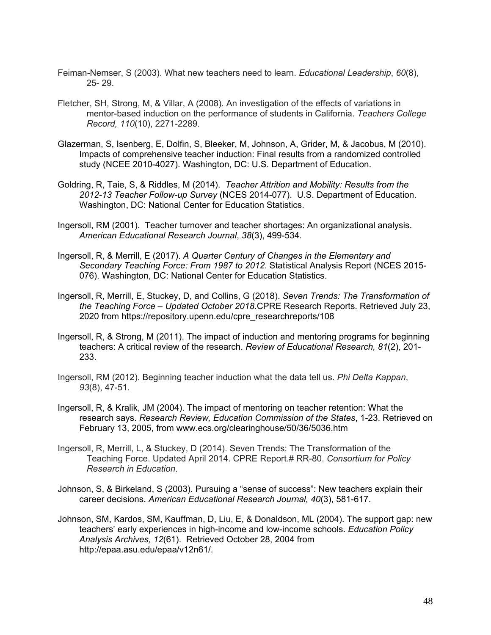- Feiman-Nemser, S (2003). What new teachers need to learn. *Educational Leadership*, *60*(8), 25- 29.
- Fletcher, SH, Strong, M, & Villar, A (2008). An investigation of the effects of variations in mentor-based induction on the performance of students in California. *Teachers College Record, 110*(10), 2271-2289.
- Glazerman, S, Isenberg, E, Dolfin, S, Bleeker, M, Johnson, A, Grider, M, & Jacobus, M (2010). Impacts of comprehensive teacher induction: Final results from a randomized controlled study (NCEE 2010-4027). Washington, DC: U.S. Department of Education.
- Goldring, R, Taie, S, & Riddles, M (2014). *Teacher Attrition and Mobility: Results from the 2012-13 Teacher Follow-up Survey* (NCES 2014-077). U.S. Department of Education. Washington, DC: National Center for Education Statistics.
- Ingersoll, RM (2001). Teacher turnover and teacher shortages: An organizational analysis. *American Educational Research Journal*, *38*(3), 499-534.
- Ingersoll, R, & Merrill, E (2017). *A Quarter Century of Changes in the Elementary and Secondary Teaching Force: From 1987 to 2012*. Statistical Analysis Report (NCES 2015- 076). Washington, DC: National Center for Education Statistics.
- Ingersoll, R, Merrill, E, Stuckey, D, and Collins, G (2018). *Seven Trends: The Transformation of the Teaching Force – Updated October 2018*.CPRE Research Reports. Retrieved July 23, 2020 from https://repository.upenn.edu/cpre\_researchreports/108
- Ingersoll, R, & Strong, M (2011). The impact of induction and mentoring programs for beginning teachers: A critical review of the research. *Review of Educational Research, 81*(2), 201- 233.
- Ingersoll, RM (2012). Beginning teacher induction what the data tell us. *Phi Delta Kappan*, *93*(8), 47-51.
- Ingersoll, R, & Kralik, JM (2004). The impact of mentoring on teacher retention: What the research says. *Research Review, Education Commission of the States*, 1-23. Retrieved on February 13, 2005, from www.ecs.org/clearinghouse/50/36/5036.htm
- Ingersoll, R, Merrill, L, & Stuckey, D (2014). Seven Trends: The Transformation of the Teaching Force. Updated April 2014. CPRE Report.# RR-80. *Consortium for Policy Research in Education*.
- Johnson, S, & Birkeland, S (2003). Pursuing a "sense of success": New teachers explain their career decisions. *American Educational Research Journal, 40*(3), 581-617.
- Johnson, SM, Kardos, SM, Kauffman, D, Liu, E, & Donaldson, ML (2004). The support gap: new teachers' early experiences in high-income and low-income schools. *Education Policy Analysis Archives, 12*(61). Retrieved October 28, 2004 from http://epaa.asu.edu/epaa/v12n61/.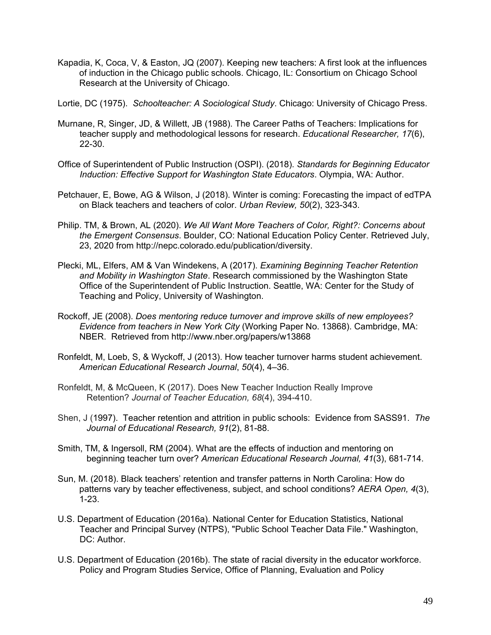- Kapadia, K, Coca, V, & Easton, JQ (2007). Keeping new teachers: A first look at the influences of induction in the Chicago public schools. Chicago, IL: Consortium on Chicago School Research at the University of Chicago.
- Lortie, DC (1975). *Schoolteacher: A Sociological Study*. Chicago: University of Chicago Press.
- Murnane, R, Singer, JD, & Willett, JB (1988). The Career Paths of Teachers: Implications for teacher supply and methodological lessons for research. *Educational Researcher, 17*(6), 22-30.
- Office of Superintendent of Public Instruction (OSPI). (2018). *Standards for Beginning Educator Induction: Effective Support for Washington State Educators*. Olympia, WA: Author.
- Petchauer, E, Bowe, AG & Wilson, J (2018). Winter is coming: Forecasting the impact of edTPA on Black teachers and teachers of color. *Urban Review, 50*(2), 323-343.
- Philip. TM, & Brown, AL (2020). *We All Want More Teachers of Color, Right?: Concerns about the Emergent Consensus*. Boulder, CO: National Education Policy Center. Retrieved July, 23, 2020 from http://nepc.colorado.edu/publication/diversity.
- Plecki, ML, Elfers, AM & Van Windekens, A (2017). *Examining Beginning Teacher Retention and Mobility in Washington State*. Research commissioned by the Washington State Office of the Superintendent of Public Instruction. Seattle, WA: Center for the Study of Teaching and Policy, University of Washington.
- Rockoff, JE (2008). *Does mentoring reduce turnover and improve skills of new employees? Evidence from teachers in New York City* (Working Paper No. 13868). Cambridge, MA: NBER. Retrieved from http://www.nber.org/papers/w13868
- Ronfeldt, M, Loeb, S, & Wyckoff, J (2013). How teacher turnover harms student achievement. *American Educational Research Journal*, *50*(4), 4–36.
- Ronfeldt, M, & McQueen, K (2017). Does New Teacher Induction Really Improve Retention? *Journal of Teacher Education, 68*(4), 394-410.
- Shen, J (1997). Teacher retention and attrition in public schools: Evidence from SASS91. *The Journal of Educational Research, 91*(2), 81-88.
- Smith, TM, & Ingersoll, RM (2004). What are the effects of induction and mentoring on beginning teacher turn over? *American Educational Research Journal, 41*(3), 681-714.
- Sun, M. (2018). Black teachers' retention and transfer patterns in North Carolina: How do patterns vary by teacher effectiveness, subject, and school conditions? *AERA Open, 4*(3), 1-23.
- U.S. Department of Education (2016a). National Center for Education Statistics, National Teacher and Principal Survey (NTPS), "Public School Teacher Data File." Washington, DC: Author.
- U.S. Department of Education (2016b). The state of racial diversity in the educator workforce. Policy and Program Studies Service, Office of Planning, Evaluation and Policy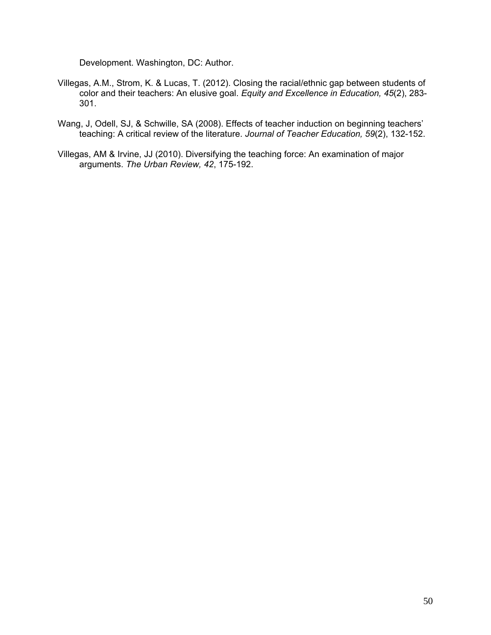Development. Washington, DC: Author.

- Villegas, A.M., Strom, K. & Lucas, T. (2012). Closing the racial/ethnic gap between students of color and their teachers: An elusive goal. *Equity and Excellence in Education, 45*(2), 283- 301.
- Wang, J, Odell, SJ, & Schwille, SA (2008). Effects of teacher induction on beginning teachers' teaching: A critical review of the literature. *Journal of Teacher Education, 59*(2), 132-152.
- Villegas, AM & Irvine, JJ (2010). Diversifying the teaching force: An examination of major arguments. *The Urban Review, 42*, 175-192.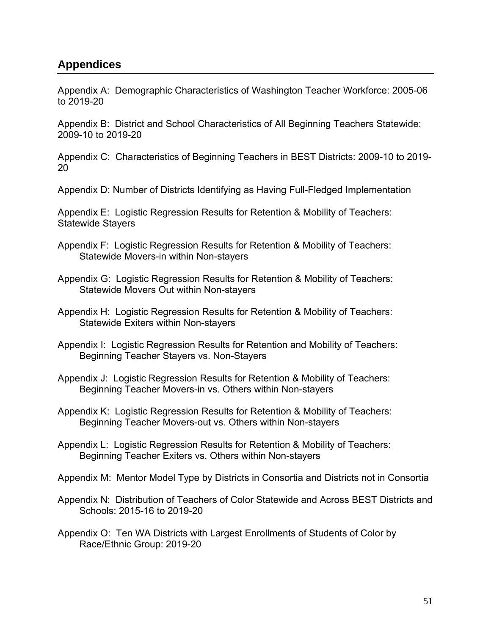# **Appendices**

Appendix A: Demographic Characteristics of Washington Teacher Workforce: 2005-06 to 2019-20

Appendix B: District and School Characteristics of All Beginning Teachers Statewide: 2009-10 to 2019-20

Appendix C: Characteristics of Beginning Teachers in BEST Districts: 2009-10 to 2019- 20

Appendix D: Number of Districts Identifying as Having Full-Fledged Implementation

Appendix E: Logistic Regression Results for Retention & Mobility of Teachers: Statewide Stayers

- Appendix F: Logistic Regression Results for Retention & Mobility of Teachers: Statewide Movers-in within Non-stayers
- Appendix G: Logistic Regression Results for Retention & Mobility of Teachers: Statewide Movers Out within Non-stayers

Appendix H: Logistic Regression Results for Retention & Mobility of Teachers: Statewide Exiters within Non-stayers

- Appendix I: Logistic Regression Results for Retention and Mobility of Teachers: Beginning Teacher Stayers vs. Non-Stayers
- Appendix J: Logistic Regression Results for Retention & Mobility of Teachers: Beginning Teacher Movers-in vs. Others within Non-stayers
- Appendix K: Logistic Regression Results for Retention & Mobility of Teachers: Beginning Teacher Movers-out vs. Others within Non-stayers
- Appendix L: Logistic Regression Results for Retention & Mobility of Teachers: Beginning Teacher Exiters vs. Others within Non-stayers

Appendix M: Mentor Model Type by Districts in Consortia and Districts not in Consortia

- Appendix N: Distribution of Teachers of Color Statewide and Across BEST Districts and Schools: 2015-16 to 2019-20
- Appendix O: Ten WA Districts with Largest Enrollments of Students of Color by Race/Ethnic Group: 2019-20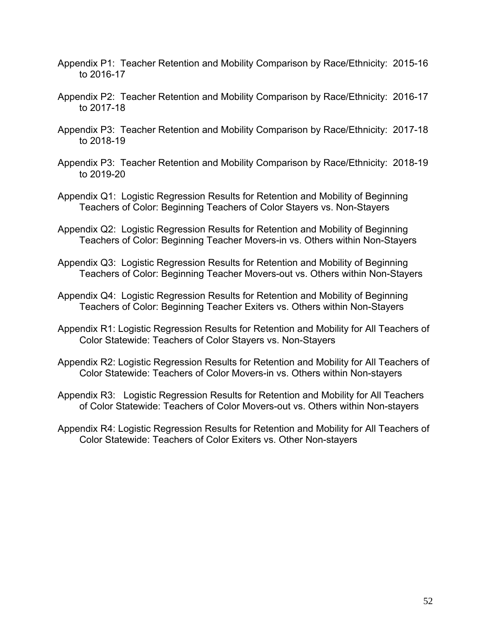- Appendix P1: Teacher Retention and Mobility Comparison by Race/Ethnicity: 2015-16 to 2016-17
- Appendix P2: Teacher Retention and Mobility Comparison by Race/Ethnicity: 2016-17 to 2017-18
- Appendix P3: Teacher Retention and Mobility Comparison by Race/Ethnicity: 2017-18 to 2018-19
- Appendix P3: Teacher Retention and Mobility Comparison by Race/Ethnicity: 2018-19 to 2019-20
- Appendix Q1: Logistic Regression Results for Retention and Mobility of Beginning Teachers of Color: Beginning Teachers of Color Stayers vs. Non-Stayers
- Appendix Q2: Logistic Regression Results for Retention and Mobility of Beginning Teachers of Color: Beginning Teacher Movers-in vs. Others within Non-Stayers
- Appendix Q3: Logistic Regression Results for Retention and Mobility of Beginning Teachers of Color: Beginning Teacher Movers-out vs. Others within Non-Stayers
- Appendix Q4: Logistic Regression Results for Retention and Mobility of Beginning Teachers of Color: Beginning Teacher Exiters vs. Others within Non-Stayers
- Appendix R1: Logistic Regression Results for Retention and Mobility for All Teachers of Color Statewide: Teachers of Color Stayers vs. Non-Stayers
- Appendix R2: Logistic Regression Results for Retention and Mobility for All Teachers of Color Statewide: Teachers of Color Movers-in vs. Others within Non-stayers
- Appendix R3: Logistic Regression Results for Retention and Mobility for All Teachers of Color Statewide: Teachers of Color Movers-out vs. Others within Non-stayers
- Appendix R4: Logistic Regression Results for Retention and Mobility for All Teachers of Color Statewide: Teachers of Color Exiters vs. Other Non-stayers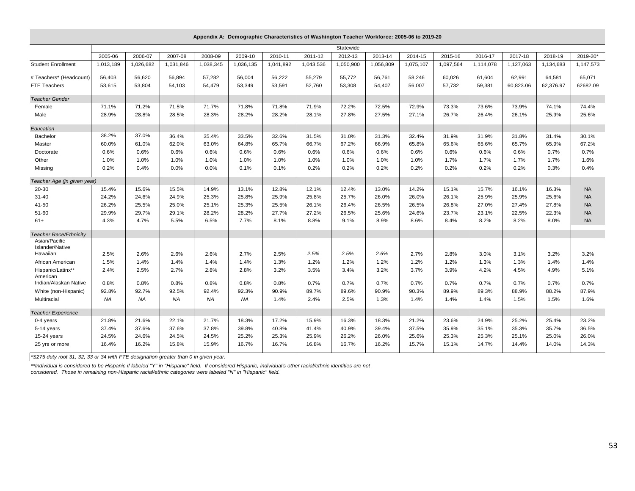|                                  |           |           |           |           |           | Appendix A: Demographic Characteristics of Washington Teacher Workforce: 2005-06 to 2019-20 |           |           |           |           |           |           |           |           |           |
|----------------------------------|-----------|-----------|-----------|-----------|-----------|---------------------------------------------------------------------------------------------|-----------|-----------|-----------|-----------|-----------|-----------|-----------|-----------|-----------|
|                                  |           |           |           |           |           |                                                                                             |           | Statewide |           |           |           |           |           |           |           |
|                                  | 2005-06   | 2006-07   | 2007-08   | 2008-09   | 2009-10   | 2010-11                                                                                     | 2011-12   | 2012-13   | 2013-14   | 2014-15   | 2015-16   | 2016-17   | 2017-18   | 2018-19   | 2019-20*  |
| <b>Student Enrollment</b>        | 1,013,189 | 1,026,682 | 1,031,846 | 1,038,345 | 1,036,135 | 1,041,892                                                                                   | 1,043,536 | 1,050,900 | 1,056,809 | 1,075,107 | 1,097,564 | 1,114,078 | 1,127,063 | 1,134,683 | 1.147.573 |
| # Teachers* (Headcount)          | 56,403    | 56,620    | 56,894    | 57,282    | 56,004    | 56,222                                                                                      | 55,279    | 55,772    | 56,761    | 58,246    | 60,026    | 61,604    | 62,991    | 64,581    | 65,071    |
| FTE Teachers                     | 53,615    | 53,804    | 54.103    | 54,479    | 53,349    | 53,591                                                                                      | 52,760    | 53,308    | 54.407    | 56,007    | 57,732    | 59,381    | 60,823.06 | 62,376.97 | 62682.09  |
| <b>Teacher Gender</b>            |           |           |           |           |           |                                                                                             |           |           |           |           |           |           |           |           |           |
| Female                           | 71.1%     | 71.2%     | 71.5%     | 71.7%     | 71.8%     | 71.8%                                                                                       | 71.9%     | 72.2%     | 72.5%     | 72.9%     | 73.3%     | 73.6%     | 73.9%     | 74.1%     | 74.4%     |
| Male                             | 28.9%     | 28.8%     | 28.5%     | 28.3%     | 28.2%     | 28.2%                                                                                       | 28.1%     | 27.8%     | 27.5%     | 27.1%     | 26.7%     | 26.4%     | 26.1%     | 25.9%     | 25.6%     |
| Education                        |           |           |           |           |           |                                                                                             |           |           |           |           |           |           |           |           |           |
| Bachelor                         | 38.2%     | 37.0%     | 36.4%     | 35.4%     | 33.5%     | 32.6%                                                                                       | 31.5%     | 31.0%     | 31.3%     | 32.4%     | 31.9%     | 31.9%     | 31.8%     | 31.4%     | 30.1%     |
| Master                           | 60.0%     | 61.0%     | 62.0%     | 63.0%     | 64.8%     | 65.7%                                                                                       | 66.7%     | 67.2%     | 66.9%     | 65.8%     | 65.6%     | 65.6%     | 65.7%     | 65.9%     | 67.2%     |
| Doctorate                        | 0.6%      | 0.6%      | 0.6%      | 0.6%      | 0.6%      | 0.6%                                                                                        | 0.6%      | 0.6%      | 0.6%      | 0.6%      | 0.6%      | 0.6%      | 0.6%      | 0.7%      | 0.7%      |
| Other                            | 1.0%      | 1.0%      | 1.0%      | 1.0%      | 1.0%      | 1.0%                                                                                        | 1.0%      | 1.0%      | 1.0%      | 1.0%      | 1.7%      | 1.7%      | 1.7%      | 1.7%      | 1.6%      |
| Missing                          | 0.2%      | 0.4%      | 0.0%      | 0.0%      | 0.1%      | 0.1%                                                                                        | 0.2%      | 0.2%      | 0.2%      | 0.2%      | 0.2%      | 0.2%      | 0.2%      | 0.3%      | 0.4%      |
| Teacher Age (in given year)      |           |           |           |           |           |                                                                                             |           |           |           |           |           |           |           |           |           |
| 20-30                            | 15.4%     | 15.6%     | 15.5%     | 14.9%     | 13.1%     | 12.8%                                                                                       | 12.1%     | 12.4%     | 13.0%     | 14.2%     | 15.1%     | 15.7%     | 16.1%     | 16.3%     | <b>NA</b> |
| $31 - 40$                        | 24.2%     | 24.6%     | 24.9%     | 25.3%     | 25.8%     | 25.9%                                                                                       | 25.8%     | 25.7%     | 26.0%     | 26.0%     | 26.1%     | 25.9%     | 25.9%     | 25.6%     | <b>NA</b> |
| 41-50                            | 26.2%     | 25.5%     | 25.0%     | 25.1%     | 25.3%     | 25.5%                                                                                       | 26.1%     | 26.4%     | 26.5%     | 26.5%     | 26.8%     | 27.0%     | 27.4%     | 27.8%     | <b>NA</b> |
| 51-60                            | 29.9%     | 29.7%     | 29.1%     | 28.2%     | 28.2%     | 27.7%                                                                                       | 27.2%     | 26.5%     | 25.6%     | 24.6%     | 23.7%     | 23.1%     | 22.5%     | 22.3%     | <b>NA</b> |
| $61+$                            | 4.3%      | 4.7%      | 5.5%      | 6.5%      | 7.7%      | 8.1%                                                                                        | 8.8%      | 9.1%      | 8.9%      | 8.6%      | 8.4%      | 8.2%      | 8.2%      | 8.0%      | <b>NA</b> |
| Teacher Race/Ethnicity           |           |           |           |           |           |                                                                                             |           |           |           |           |           |           |           |           |           |
| Asian/Pacific<br>Islander/Native |           |           |           |           |           |                                                                                             |           |           |           |           |           |           |           |           |           |
| Hawaiian                         | 2.5%      | 2.6%      | 2.6%      | 2.6%      | 2.7%      | 2.5%                                                                                        | 2.5%      | 2.5%      | 2.6%      | 2.7%      | 2.8%      | 3.0%      | 3.1%      | 3.2%      | 3.2%      |
| African American                 | 1.5%      | 1.4%      | 1.4%      | 1.4%      | 1.4%      | 1.3%                                                                                        | 1.2%      | 1.2%      | 1.2%      | 1.2%      | 1.2%      | 1.3%      | 1.3%      | 1.4%      | 1.4%      |
| Hispanic/Latinx**                | 2.4%      | 2.5%      | 2.7%      | 2.8%      | 2.8%      | 3.2%                                                                                        | 3.5%      | 3.4%      | 3.2%      | 3.7%      | 3.9%      | 4.2%      | 4.5%      | 4.9%      | 5.1%      |
| American                         |           |           |           |           |           |                                                                                             |           |           |           |           |           |           |           |           |           |
| Indian/Alaskan Native            | 0.8%      | 0.8%      | 0.8%      | 0.8%      | 0.8%      | 0.8%                                                                                        | 0.7%      | 0.7%      | 0.7%      | 0.7%      | 0.7%      | 0.7%      | 0.7%      | 0.7%      | 0.7%      |
| White (non-Hispanic)             | 92.8%     | 92.7%     | 92.5%     | 92.4%     | 92.3%     | 90.9%                                                                                       | 89.7%     | 89.6%     | 90.9%     | 90.3%     | 89.9%     | 89.3%     | 88.9%     | 88.2%     | 87.9%     |
| Multiracial                      | NA        | <b>NA</b> | NA        | <b>NA</b> | <b>NA</b> | 1.4%                                                                                        | 2.4%      | 2.5%      | 1.3%      | 1.4%      | 1.4%      | 1.4%      | 1.5%      | 1.5%      | 1.6%      |
| <b>Teacher Experience</b>        |           |           |           |           |           |                                                                                             |           |           |           |           |           |           |           |           |           |
| 0-4 years                        | 21.8%     | 21.6%     | 22.1%     | 21.7%     | 18.3%     | 17.2%                                                                                       | 15.9%     | 16.3%     | 18.3%     | 21.2%     | 23.6%     | 24.9%     | 25.2%     | 25.4%     | 23.2%     |
| 5-14 years                       | 37.4%     | 37.6%     | 37.6%     | 37.8%     | 39.8%     | 40.8%                                                                                       | 41.4%     | 40.9%     | 39.4%     | 37.5%     | 35.9%     | 35.1%     | 35.3%     | 35.7%     | 36.5%     |
| 15-24 years                      | 24.5%     | 24.6%     | 24.5%     | 24.5%     | 25.2%     | 25.3%                                                                                       | 25.9%     | 26.2%     | 26.0%     | 25.6%     | 25.3%     | 25.3%     | 25.1%     | 25.0%     | 26.0%     |
| 25 yrs or more                   | 16.4%     | 16.2%     | 15.8%     | 15.9%     | 16.7%     | 16.7%                                                                                       | 16.8%     | 16.7%     | 16.2%     | 15.7%     | 15.1%     | 14.7%     | 14.4%     | 14.0%     | 14.3%     |

*\*S275 duty root 31, 32, 33 or 34 with FTE designation greater than 0 in given year.*

*\*\*Individual is considered to be Hispanic if labeled "Y" in "Hispanic" field. If considered Hispanic, individual's other racial/ethnic identities are not* 

*considered. Those in remaining non-Hispanic racial/ethnic categories were labeled "N" in "Hispanic" field.*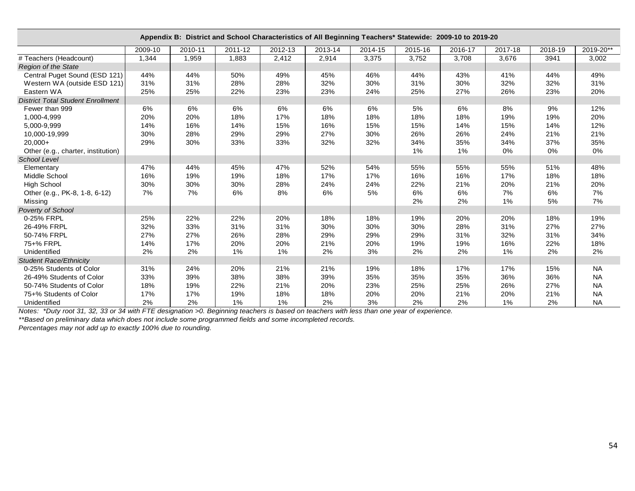|                                          |         |         | Appendix B: District and School Characteristics of All Beginning Teachers* Statewide: 2009-10 to 2019-20 |         |         |         |         |         |         |         |           |
|------------------------------------------|---------|---------|----------------------------------------------------------------------------------------------------------|---------|---------|---------|---------|---------|---------|---------|-----------|
|                                          | 2009-10 | 2010-11 | 2011-12                                                                                                  | 2012-13 | 2013-14 | 2014-15 | 2015-16 | 2016-17 | 2017-18 | 2018-19 | 2019-20** |
| # Teachers (Headcount)                   | 1,344   | 1,959   | 1,883                                                                                                    | 2,412   | 2,914   | 3,375   | 3,752   | 3,708   | 3,676   | 3941    | 3,002     |
| <b>Region of the State</b>               |         |         |                                                                                                          |         |         |         |         |         |         |         |           |
| Central Puget Sound (ESD 121)            | 44%     | 44%     | 50%                                                                                                      | 49%     | 45%     | 46%     | 44%     | 43%     | 41%     | 44%     | 49%       |
| Western WA (outside ESD 121)             | 31%     | 31%     | 28%                                                                                                      | 28%     | 32%     | 30%     | 31%     | 30%     | 32%     | 32%     | 31%       |
| Eastern WA                               | 25%     | 25%     | 22%                                                                                                      | 23%     | 23%     | 24%     | 25%     | 27%     | 26%     | 23%     | 20%       |
| <b>District Total Student Enrollment</b> |         |         |                                                                                                          |         |         |         |         |         |         |         |           |
| Fewer than 999                           | 6%      | 6%      | 6%                                                                                                       | 6%      | 6%      | 6%      | 5%      | 6%      | 8%      | 9%      | 12%       |
| 1,000-4,999                              | 20%     | 20%     | 18%                                                                                                      | 17%     | 18%     | 18%     | 18%     | 18%     | 19%     | 19%     | 20%       |
| 5,000-9,999                              | 14%     | 16%     | 14%                                                                                                      | 15%     | 16%     | 15%     | 15%     | 14%     | 15%     | 14%     | 12%       |
| 10,000-19,999                            | 30%     | 28%     | 29%                                                                                                      | 29%     | 27%     | 30%     | 26%     | 26%     | 24%     | 21%     | 21%       |
| $20,000+$                                | 29%     | 30%     | 33%                                                                                                      | 33%     | 32%     | 32%     | 34%     | 35%     | 34%     | 37%     | 35%       |
| Other (e.g., charter, institution)       |         |         |                                                                                                          |         |         |         | 1%      | 1%      | 0%      | 0%      | 0%        |
| <b>School Level</b>                      |         |         |                                                                                                          |         |         |         |         |         |         |         |           |
| Elementary                               | 47%     | 44%     | 45%                                                                                                      | 47%     | 52%     | 54%     | 55%     | 55%     | 55%     | 51%     | 48%       |
| Middle School                            | 16%     | 19%     | 19%                                                                                                      | 18%     | 17%     | 17%     | 16%     | 16%     | 17%     | 18%     | 18%       |
| <b>High School</b>                       | 30%     | 30%     | 30%                                                                                                      | 28%     | 24%     | 24%     | 22%     | 21%     | 20%     | 21%     | 20%       |
| Other (e.g., PK-8, 1-8, 6-12)            | 7%      | 7%      | 6%                                                                                                       | 8%      | 6%      | 5%      | 6%      | 6%      | 7%      | 6%      | 7%        |
| Missing                                  |         |         |                                                                                                          |         |         |         | 2%      | 2%      | 1%      | 5%      | 7%        |
| Poverty of School                        |         |         |                                                                                                          |         |         |         |         |         |         |         |           |
| 0-25% FRPL                               | 25%     | 22%     | 22%                                                                                                      | 20%     | 18%     | 18%     | 19%     | 20%     | 20%     | 18%     | 19%       |
| 26-49% FRPL                              | 32%     | 33%     | 31%                                                                                                      | 31%     | 30%     | 30%     | 30%     | 28%     | 31%     | 27%     | 27%       |
| 50-74% FRPL                              | 27%     | 27%     | 26%                                                                                                      | 28%     | 29%     | 29%     | 29%     | 31%     | 32%     | 31%     | 34%       |
| 75+% FRPL                                | 14%     | 17%     | 20%                                                                                                      | 20%     | 21%     | 20%     | 19%     | 19%     | 16%     | 22%     | 18%       |
| Unidentified                             | 2%      | 2%      | 1%                                                                                                       | $1\%$   | 2%      | 3%      | 2%      | 2%      | $1\%$   | 2%      | 2%        |
| <b>Student Race/Ethnicity</b>            |         |         |                                                                                                          |         |         |         |         |         |         |         |           |
| 0-25% Students of Color                  | 31%     | 24%     | 20%                                                                                                      | 21%     | 21%     | 19%     | 18%     | 17%     | 17%     | 15%     | <b>NA</b> |
| 26-49% Students of Color                 | 33%     | 39%     | 38%                                                                                                      | 38%     | 39%     | 35%     | 35%     | 35%     | 36%     | 36%     | <b>NA</b> |
| 50-74% Students of Color                 | 18%     | 19%     | 22%                                                                                                      | 21%     | 20%     | 23%     | 25%     | 25%     | 26%     | 27%     | <b>NA</b> |
| 75+% Students of Color                   | 17%     | 17%     | 19%                                                                                                      | 18%     | 18%     | 20%     | 20%     | 21%     | 20%     | 21%     | <b>NA</b> |
| Unidentified                             | 2%      | 2%      | $1\%$                                                                                                    | $1\%$   | 2%      | 3%      | 2%      | 2%      | $1\%$   | 2%      | <b>NA</b> |

*Notes: \*Duty root 31, 32, 33 or 34 with FTE designation >0. Beginning teachers is based on teachers with less than one year of experience.*

*\*\*Based on preliminary data which does not include some programmed fields and some incompleted records.*

*Percentages may not add up to exactly 100% due to rounding.*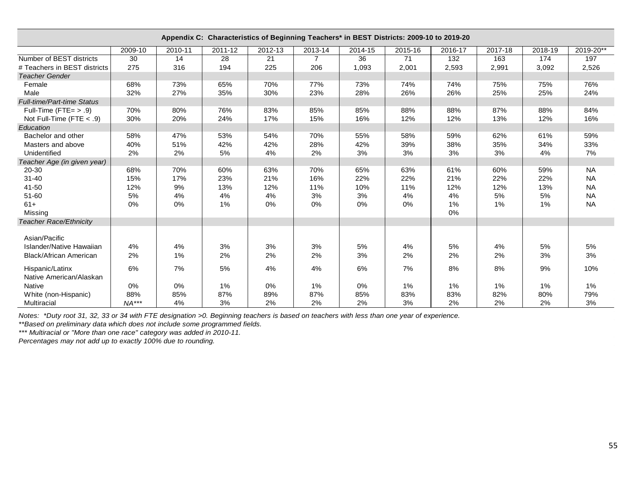| Appendix C: Characteristics of Beginning Teachers* in BEST Districts: 2009-10 to 2019-20<br>2010-11<br>2011-12<br>2012-13<br>2013-14<br>2014-15<br>2015-16<br>2009-10<br>2016-17<br>2017-18<br>2018-19 |         |     |     |     |                |       |       |       |       |       |           |  |  |  |
|--------------------------------------------------------------------------------------------------------------------------------------------------------------------------------------------------------|---------|-----|-----|-----|----------------|-------|-------|-------|-------|-------|-----------|--|--|--|
|                                                                                                                                                                                                        |         |     |     |     |                |       |       |       |       |       | 2019-20** |  |  |  |
| Number of BEST districts                                                                                                                                                                               | 30      | 14  | 28  | 21  | $\overline{7}$ | 36    | 71    | 132   | 163   | 174   | 197       |  |  |  |
| # Teachers in BEST districts                                                                                                                                                                           | 275     | 316 | 194 | 225 | 206            | 1,093 | 2,001 | 2,593 | 2,991 | 3,092 | 2,526     |  |  |  |
| <b>Teacher Gender</b>                                                                                                                                                                                  |         |     |     |     |                |       |       |       |       |       |           |  |  |  |
| Female                                                                                                                                                                                                 | 68%     | 73% | 65% | 70% | 77%            | 73%   | 74%   | 74%   | 75%   | 75%   | 76%       |  |  |  |
| Male                                                                                                                                                                                                   | 32%     | 27% | 35% | 30% | 23%            | 28%   | 26%   | 26%   | 25%   | 25%   | 24%       |  |  |  |
| <b>Full-time/Part-time Status</b>                                                                                                                                                                      |         |     |     |     |                |       |       |       |       |       |           |  |  |  |
| Full-Time (FTE= $> .9$ )                                                                                                                                                                               | 70%     | 80% | 76% | 83% | 85%            | 85%   | 88%   | 88%   | 87%   | 88%   | 84%       |  |  |  |
| Not Full-Time (FTE $< .9$ )                                                                                                                                                                            | 30%     | 20% | 24% | 17% | 15%            | 16%   | 12%   | 12%   | 13%   | 12%   | 16%       |  |  |  |
| Education                                                                                                                                                                                              |         |     |     |     |                |       |       |       |       |       |           |  |  |  |
| Bachelor and other                                                                                                                                                                                     | 58%     | 47% | 53% | 54% | 70%            | 55%   | 58%   | 59%   | 62%   | 61%   | 59%       |  |  |  |
| Masters and above                                                                                                                                                                                      | 40%     | 51% | 42% | 42% | 28%            | 42%   | 39%   | 38%   | 35%   | 34%   | 33%       |  |  |  |
| Unidentified                                                                                                                                                                                           | 2%      | 2%  | 5%  | 4%  | 2%             | 3%    | 3%    | 3%    | 3%    | 4%    | 7%        |  |  |  |
| Teacher Age (in given year)                                                                                                                                                                            |         |     |     |     |                |       |       |       |       |       |           |  |  |  |
| 20-30                                                                                                                                                                                                  | 68%     | 70% | 60% | 63% | 70%            | 65%   | 63%   | 61%   | 60%   | 59%   | <b>NA</b> |  |  |  |
| $31 - 40$                                                                                                                                                                                              | 15%     | 17% | 23% | 21% | 16%            | 22%   | 22%   | 21%   | 22%   | 22%   | <b>NA</b> |  |  |  |
| 41-50                                                                                                                                                                                                  | 12%     | 9%  | 13% | 12% | 11%            | 10%   | 11%   | 12%   | 12%   | 13%   | <b>NA</b> |  |  |  |
| 51-60                                                                                                                                                                                                  | 5%      | 4%  | 4%  | 4%  | 3%             | 3%    | 4%    | 4%    | 5%    | 5%    | <b>NA</b> |  |  |  |
| $61+$                                                                                                                                                                                                  | 0%      | 0%  | 1%  | 0%  | 0%             | 0%    | 0%    | 1%    | 1%    | 1%    | <b>NA</b> |  |  |  |
| Missing                                                                                                                                                                                                |         |     |     |     |                |       |       | 0%    |       |       |           |  |  |  |
| <b>Teacher Race/Ethnicity</b>                                                                                                                                                                          |         |     |     |     |                |       |       |       |       |       |           |  |  |  |
| Asian/Pacific                                                                                                                                                                                          |         |     |     |     |                |       |       |       |       |       |           |  |  |  |
| Islander/Native Hawaiian                                                                                                                                                                               | 4%      | 4%  | 3%  | 3%  | 3%             | 5%    | 4%    | 5%    | 4%    | 5%    | 5%        |  |  |  |
| Black/African American                                                                                                                                                                                 | 2%      | 1%  | 2%  | 2%  | 2%             | 3%    | 2%    | 2%    | 2%    | 3%    | 3%        |  |  |  |
| Hispanic/Latinx                                                                                                                                                                                        | 6%      | 7%  | 5%  | 4%  | 4%             | 6%    | 7%    | 8%    | 8%    | 9%    | 10%       |  |  |  |
| Native American/Alaskan                                                                                                                                                                                |         |     |     |     |                |       |       |       |       |       |           |  |  |  |
| <b>Native</b>                                                                                                                                                                                          | 0%      | 0%  | 1%  | 0%  | 1%             | 0%    | 1%    | 1%    | 1%    | 1%    | $1\%$     |  |  |  |
| White (non-Hispanic)                                                                                                                                                                                   | 88%     | 85% | 87% | 89% | 87%            | 85%   | 83%   | 83%   | 82%   | 80%   | 79%       |  |  |  |
| Multiracial                                                                                                                                                                                            | $NA***$ | 4%  | 3%  | 2%  | 2%             | 2%    | 3%    | 2%    | 2%    | 2%    | 3%        |  |  |  |

*Notes: \*Duty root 31, 32, 33 or 34 with FTE designation >0. Beginning teachers is based on teachers with less than one year of experience.*

*\*\*Based on preliminary data which does not include some programmed fields.*

*\*\*\* Multiracial or "More than one race" category was added in 2010-11.*

*Percentages may not add up to exactly 100% due to rounding.*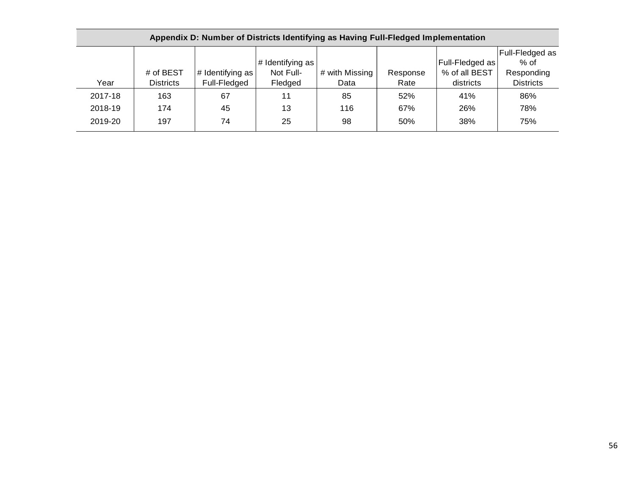|         | Appendix D: Number of Districts Identifying as Having Full-Fledged Implementation |                  |                  |                |          |                         |                  |  |  |  |  |  |  |  |
|---------|-----------------------------------------------------------------------------------|------------------|------------------|----------------|----------|-------------------------|------------------|--|--|--|--|--|--|--|
|         |                                                                                   |                  |                  |                |          |                         | Full-Fledged as  |  |  |  |  |  |  |  |
|         |                                                                                   |                  | # Identifying as |                |          | <b>Full-Fledged as!</b> | $%$ of           |  |  |  |  |  |  |  |
|         | # of BEST                                                                         | # Identifying as | Not Full-        | # with Missing | Response | % of all BEST           | Responding       |  |  |  |  |  |  |  |
| Year    | <b>Districts</b>                                                                  | Full-Fledged     | Fledged          | Data           | Rate     | districts               | <b>Districts</b> |  |  |  |  |  |  |  |
| 2017-18 | 163                                                                               | 67               | 11               | 85             | 52%      | 41%                     | 86%              |  |  |  |  |  |  |  |
| 2018-19 | 174                                                                               | 45               | 13               | 116            | 67%      | 26%                     | 78%              |  |  |  |  |  |  |  |
| 2019-20 | 197                                                                               | 74               | 25               | 98             | 50%      | 38%                     | 75%              |  |  |  |  |  |  |  |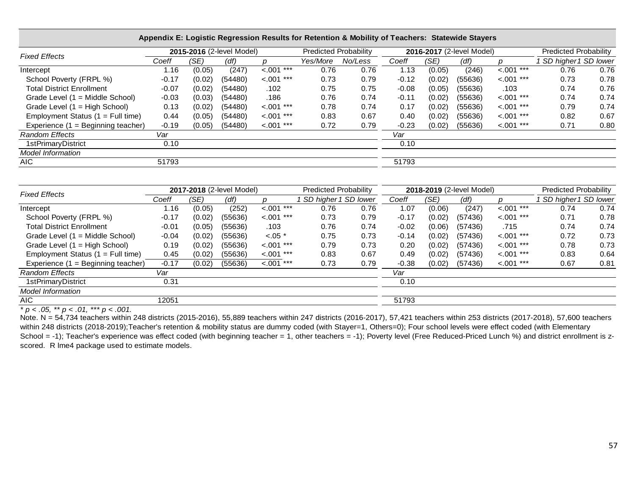| <b>Fixed Effects</b>                |         |        | 2015-2016 (2-level Model) |               | <b>Predicted Probability</b> |         |         |        | 2016-2017 (2-level Model) |               | <b>Predicted Probability</b> |      |
|-------------------------------------|---------|--------|---------------------------|---------------|------------------------------|---------|---------|--------|---------------------------|---------------|------------------------------|------|
|                                     | Coeff   | (SE)   | (df)                      |               | Yes/More                     | No/Less | Coeff   | (SE)   | (df)                      |               | SD higher 1 SD lower         |      |
| Intercept                           | .16     | (0.05) | (247)                     | $< 0.01$ ***  | 0.76                         | 0.76    | 1.13    | (0.05) | (246)                     | $< 0.01$ ***  | 0.76                         | 0.76 |
| School Poverty (FRPL %)             | $-0.17$ | (0.02) | (54480)                   | $< .001$ ***  | 0.73                         | 0.79    | $-0.12$ | (0.02) | (55636)                   | $< .001$ ***  | 0.73                         | 0.78 |
| <b>Total District Enrollment</b>    | $-0.07$ | (0.02) | (54480)                   | .102          | 0.75                         | 0.75    | $-0.08$ | (0.05) | (55636)                   | .103          | 0.74                         | 0.76 |
| Grade Level (1 = Middle School)     | $-0.03$ | (0.03) | (54480)                   | .186          | 0.76                         | 0.74    | $-0.11$ | (0.02) | (55636)                   | $< .001$ ***  | 0.74                         | 0.74 |
| Grade Level (1 = High School)       | 0.13    | (0.02) | (54480)                   | $< 0.001$ *** | 0.78                         | 0.74    | 0.17    | (0.02) | (55636)                   | $< 0.001$ *** | 0.79                         | 0.74 |
| Employment Status $(1 = Full time)$ | 0.44    | (0.05) | (54480)                   | $< 0.001***$  | 0.83                         | 0.67    | 0.40    | (0.02) | (55636)                   | $< 0.01$ ***  | 0.82                         | 0.67 |
| Experience (1 = Beginning teacher)  | $-0.19$ | (0.05) | (54480)                   | $< .001$ ***  | 0.72                         | 0.79    | $-0.23$ | (0.02) | (55636)                   | $< .001$ ***  | 0.71                         | 0.80 |
| <b>Random Effects</b>               | Var     |        |                           |               |                              |         | Var     |        |                           |               |                              |      |
| 1stPrimaryDistrict                  | 0.10    |        |                           |               |                              |         | 0.10    |        |                           |               |                              |      |
| <b>Model Information</b>            |         |        |                           |               |                              |         |         |        |                           |               |                              |      |
| AIC                                 | 51793   |        |                           |               |                              |         | 51793   |        |                           |               |                              |      |

|  |  | Appendix E: Logistic Regression Results for Retention & Mobility of Teachers: Statewide Stayers |  |
|--|--|-------------------------------------------------------------------------------------------------|--|
|  |  |                                                                                                 |  |

| <b>Fixed Effects</b>                |         |        | 2017-2018 (2-level Model) |              | <b>Predicted Probability</b> |      |         |        | 2018-2019 (2-level Model) |              | <b>Predicted Probability</b> |      |  |
|-------------------------------------|---------|--------|---------------------------|--------------|------------------------------|------|---------|--------|---------------------------|--------------|------------------------------|------|--|
|                                     | Coeff   | (SE)   | (df)                      |              | SD higher 1 SD lower         |      | Coeff   | (SE)   | (df)                      |              | SD higher 1 SD lower         |      |  |
| Intercept                           | 1.16    | (0.05) | (252)                     | $< 0.01$ *** | 0.76                         | 0.76 | 1.07    | (0.06) | (247)                     | $< 0.01***$  | 0.74                         | 0.74 |  |
| School Poverty (FRPL %)             | $-0.17$ | (0.02) | (55636)                   | $< .001$ *** | 0.73                         | 0.79 | $-0.17$ | (0.02) | (57436)                   | $< .001$ *** | 0.71                         | 0.78 |  |
| <b>Total District Enrollment</b>    | $-0.01$ | (0.05) | (55636)                   | .103         | 0.76                         | 0.74 | $-0.02$ | (0.06) | (57436)                   | .715         | 0.74                         | 0.74 |  |
| Grade Level (1 = Middle School)     | $-0.04$ | (0.02) | (55636)                   | $< 0.05$ *   | 0.75                         | 0.73 | $-0.14$ | (0.02) | (57436)                   | $< .001$ *** | 0.72                         | 0.73 |  |
| Grade Level (1 = High School)       | 0.19    | (0.02) | (55636)                   | $< .001$ *** | 0.79                         | 0.73 | 0.20    | (0.02) | (57436)                   | $< .001$ *** | 0.78                         | 0.73 |  |
| Employment Status $(1 = Full time)$ | 0.45    | (0.02) | (55636)                   | $< .001$ *** | 0.83                         | 0.67 | 0.49    | (0.02) | (57436)                   | $< .001$ *** | 0.83                         | 0.64 |  |
| Experience (1 = Beginning teacher)  | $-0.17$ | (0.02) | (55636)                   | $< .001$ *** | 0.73                         | 0.79 | $-0.38$ | (0.02) | (57436)                   | $< .001$ *** | 0.67                         | 0.81 |  |
| <b>Random Effects</b>               | Var     |        |                           |              |                              |      | Var     |        |                           |              |                              |      |  |
| 1stPrimaryDistrict                  | 0.31    |        |                           |              |                              |      | 0.10    |        |                           |              |                              |      |  |
| <b>Model Information</b>            |         |        |                           |              |                              |      |         |        |                           |              |                              |      |  |
| AIC                                 | 12051   |        |                           |              |                              |      | 51793   |        |                           |              |                              |      |  |

*\* p < .05, \*\* p < .01, \*\*\* p < .001.*

Note. N = 54,734 teachers within 248 districts (2015-2016), 55,889 teachers within 247 districts (2016-2017), 57,421 teachers within 253 districts (2017-2018), 57,600 teachers within 248 districts (2018-2019);Teacher's retention & mobility status are dummy coded (with Stayer=1, Others=0); Four school levels were effect coded (with Elementary School = -1); Teacher's experience was effect coded (with beginning teacher = 1, other teachers = -1); Poverty level (Free Reduced-Priced Lunch %) and district enrollment is zscored. R lme4 package used to estimate models.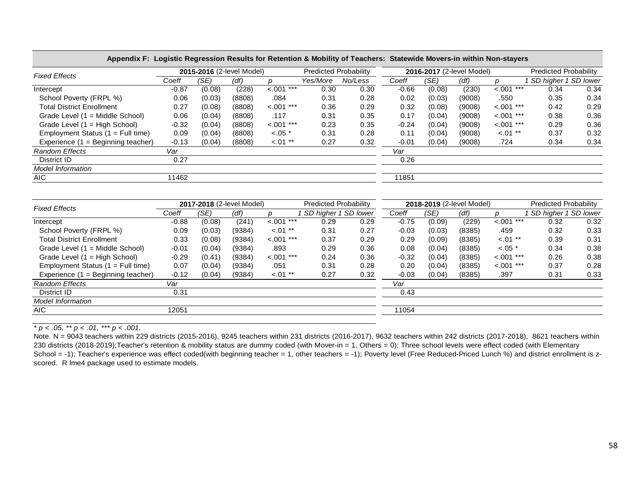|                                     |         | 2015-2016 (2-level Model) |        |               | <b>Predicted Probability</b> |         |         |        | 2016-2017 (2-level Model) |               | Predicted Probability |      |  |
|-------------------------------------|---------|---------------------------|--------|---------------|------------------------------|---------|---------|--------|---------------------------|---------------|-----------------------|------|--|
| <b>Fixed Effects</b>                | Coeff   | (SE)                      | (df)   |               | Yes/More                     | No/Less | Coeff   | (SE)   | (df)                      |               | SD higher 1 SD lower  |      |  |
| Intercept                           | $-0.87$ | (0.08)                    | (228)  | < .001<br>*** | 0.30                         | 0.30    | $-0.66$ | (0.08) | (230)                     | $< 0.001$ *** | 0.34                  | 0.34 |  |
| School Poverty (FRPL %)             | 0.06    | (0.03)                    | (8808) | .084          | 0.31                         | 0.28    | 0.02    | (0.03) | (9008)                    | .550          | 0.35                  | 0.34 |  |
| <b>Total District Enrollment</b>    | 0.27    | (0.08)                    | (8808) | ***<br>< .001 | 0.36                         | 0.29    | 0.32    | (0.08) | (9008)                    | $< .001$ ***  | 0.42                  | 0.29 |  |
| Grade Level (1 = Middle School)     | 0.06    | (0.04)                    | (8808) | .117          | 0.31                         | 0.35    | 0.17    | (0.04) | (9008)                    | $< 0.001$ *** | 0.38                  | 0.36 |  |
| Grade Level (1 = High School)       | $-0.32$ | (0.04)                    | (8808) | < .001<br>*** | 0.23                         | 0.35    | $-0.24$ | (0.04) | (9008)                    | $< 0.001$ *** | 0.29                  | 0.36 |  |
| Employment Status $(1 = Full time)$ | 0.09    | (0.04)                    | (8808) | $< .05$ *     | 0.31                         | 0.28    | 0.11    | (0.04) | (9008)                    | $< 0.01$ **   | 0.37                  | 0.32 |  |
| Experience (1 = Beginning teacher)  | $-0.13$ | (0.04)                    | (8808) | $< 0.01$ **   | 0.27                         | 0.32    | $-0.01$ | (0.04) | (9008)                    | .724          | 0.34                  | 0.34 |  |
| <b>Random Effects</b>               | Var     |                           |        |               |                              |         | Var     |        |                           |               |                       |      |  |
| District ID                         | 0.27    |                           |        |               |                              |         | 0.26    |        |                           |               |                       |      |  |
| <b>Model Information</b>            |         |                           |        |               |                              |         |         |        |                           |               |                       |      |  |
| <b>AIC</b>                          | 11462   |                           |        |               |                              |         | 11851   |        |                           |               |                       |      |  |

| Appendix F: Logistic Regression Results for Retention & Mobility of Teachers: Statewide Movers-in within Non-stayers |  |
|----------------------------------------------------------------------------------------------------------------------|--|
|----------------------------------------------------------------------------------------------------------------------|--|

| <b>Fixed Effects</b>                 |         | 2017-2018 (2-level Model) |        |               | Predicted Probability |      |         |        | 2018-2019 (2-level Model) |               | <b>Predicted Probability</b> |      |
|--------------------------------------|---------|---------------------------|--------|---------------|-----------------------|------|---------|--------|---------------------------|---------------|------------------------------|------|
|                                      | Coeff   | (SE)                      | (df)   |               | SD higher 1 SD lower  |      | Coeff   | (SE)   | (df)                      |               | SD higher 1 SD lower         |      |
| Intercept                            | $-0.88$ | (0.08)                    | (241)  | $< .001$ ***  | 0.29                  | 0.29 | $-0.75$ | (0.09) | (229)                     | $< .001$ ***  | 0.32                         | 0.32 |
| School Poverty (FRPL %)              | 0.09    | (0.03)                    | (9384) | $< 0.01$ **   | 0.31                  | 0.27 | $-0.03$ | (0.03) | (8385)                    | .459          | 0.32                         | 0.33 |
| <b>Total District Enrollment</b>     | 0.33    | (0.08)                    | (9384) | $< 0.001$ *** | 0.37                  | 0.29 | 0.29    | (0.09) | (8385)                    | $< 0.01$ **   | 0.39                         | 0.31 |
| Grade Level (1 = Middle School)      | $-0.01$ | (0.04)                    | (9384) | .893          | 0.29                  | 0.36 | 0.08    | (0.04) | (8385)                    | $< .05$ *     | 0.34                         | 0.38 |
| Grade Level (1 = High School)        | $-0.29$ | (0.41)                    | (9384) | $< 0.001$ *** | 0.24                  | 0.36 | $-0.32$ | (0.04) | (8385)                    | $< .001$ ***  | 0.26                         | 0.38 |
| Employment Status $(1 = Full time)$  | 0.07    | (0.04)                    | (9384) | .051          | 0.31                  | 0.28 | 0.20    | (0.04) | (8385)                    | $< 0.001$ *** | 0.37                         | 0.28 |
| Experience $(1 =$ Beginning teacher) | $-0.12$ | (0.04)                    | (9384) | $< 01$ **     | 0.27                  | 0.32 | $-0.03$ | (0.04) | (8385)                    | .397          | 0.31                         | 0.33 |
| <b>Random Effects</b>                | Var     |                           |        |               |                       |      | Var     |        |                           |               |                              |      |
| District ID                          | 0.31    |                           |        |               |                       |      | 0.43    |        |                           |               |                              |      |
| <b>Model Information</b>             |         |                           |        |               |                       |      |         |        |                           |               |                              |      |
| AIC                                  | 12051   |                           |        |               |                       |      | 11054   |        |                           |               |                              |      |
|                                      |         |                           |        |               |                       |      |         |        |                           |               |                              |      |

 $\frac{}{p}$   $\times$  .05,  $\frac{1}{p}$   $\times$  .01,  $\frac{1}{p}$   $\times$  .001.

Note. N = 9043 teachers within 229 districts (2015-2016), 9245 teachers within 231 districts (2016-2017), 9632 teachers within 242 districts (2017-2018), 8621 teachers within 230 districts (2018-2019);Teacher's retention & mobility status are dummy coded (with Mover-in = 1, Others = 0); Three school levels were effect coded (with Elementary School = -1); Teacher's experience was effect coded(with beginning teacher = 1, other teachers = -1); Poverty level (Free Reduced-Priced Lunch %) and district enrollment is zscored. R lme4 package used to estimate models.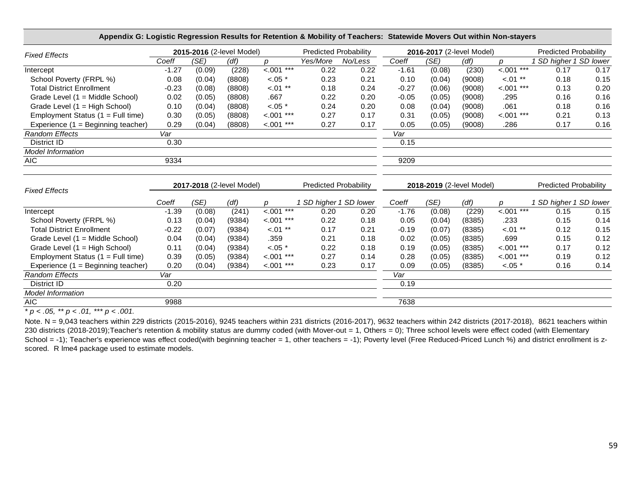| Appendix G: Logistic Regression Results for Retention & Mobility of Teachers: Statewide Movers Out within Non-stayers |         |        |                           |               |                              |         |         |                           |        |                    |                              |      |
|-----------------------------------------------------------------------------------------------------------------------|---------|--------|---------------------------|---------------|------------------------------|---------|---------|---------------------------|--------|--------------------|------------------------------|------|
| <b>Fixed Effects</b>                                                                                                  |         |        | 2015-2016 (2-level Model) |               | <b>Predicted Probability</b> |         |         | 2016-2017 (2-level Model) |        |                    | <b>Predicted Probability</b> |      |
|                                                                                                                       | Coeff   | (SE)   | (df)                      | $\mathbf{r}$  | Yes/More                     | No/Less | Coeff   | (SE)                      | (df)   | $\mathbf{D}$       | 1 SD higher 1 SD lower       |      |
| Intercept                                                                                                             | $-1.27$ | (0.09) | (228)                     | $< .001$ ***  | 0.22                         | 0.22    | $-1.61$ | (0.08)                    | (230)  | $\frac{1}{2}$ .001 | 0.17                         | 0.17 |
| School Poverty (FRPL %)                                                                                               | 0.08    | (0.04) | (8808)                    | $-.05$ *      | 0.23                         | 0.21    | 0.10    | (0.04)                    | (9008) | $< 0.01$ **        | 0.18                         | 0.15 |
| <b>Total District Enrollment</b>                                                                                      | $-0.23$ | (0.08) | (8808)                    | $<.01***$     | 0.18                         | 0.24    | $-0.27$ | (0.06)                    | (9008) | $< .001$ ***       | 0.13                         | 0.20 |
| Grade Level (1 = Middle School)                                                                                       | 0.02    | (0.05) | (8808)                    | .667          | 0.22                         | 0.20    | $-0.05$ | (0.05)                    | (9008) | .295               | 0.16                         | 0.16 |
| Grade Level (1 = High School)                                                                                         | 0.10    | (0.04) | (8808)                    | $-.05$ *      | 0.24                         | 0.20    | 0.08    | (0.04)                    | (9008) | .061               | 0.18                         | 0.16 |
| Employment Status (1 = Full time)                                                                                     | 0.30    | (0.05) | (8808)                    | $< .001$ ***  | 0.27                         | 0.17    | 0.31    | (0.05)                    | (9008) | $< 0.01$ ***       | 0.21                         | 0.13 |
| Experience (1 = Beginning teacher)                                                                                    | 0.29    | (0.04) | (8808)                    | $< .001$ ***  | 0.27                         | 0.17    | 0.05    | (0.05)                    | (9008) | .286               | 0.17                         | 0.16 |
| <b>Random Effects</b>                                                                                                 | Var     |        |                           |               |                              |         | Var     |                           |        |                    |                              |      |
| District ID                                                                                                           | 0.30    |        |                           |               |                              |         | 0.15    |                           |        |                    |                              |      |
| <b>Model Information</b>                                                                                              |         |        |                           |               |                              |         |         |                           |        |                    |                              |      |
| <b>AIC</b>                                                                                                            | 9334    |        |                           |               |                              |         | 9209    |                           |        |                    |                              |      |
|                                                                                                                       |         |        |                           |               |                              |         |         |                           |        |                    |                              |      |
| <b>Fixed Effects</b>                                                                                                  |         |        | 2017-2018 (2-level Model) |               | <b>Predicted Probability</b> |         |         | 2018-2019 (2-level Model) |        |                    | <b>Predicted Probability</b> |      |
|                                                                                                                       | Coeff   | (SE)   | (df)                      | $\mathcal{D}$ | 1 SD higher 1 SD lower       |         | Coeff   | (SE)                      | (df)   | $\mathcal{D}$      | 1 SD higher 1 SD lower       |      |
| Intercept                                                                                                             | $-1.39$ | (0.08) | (241)                     | $-.001$ ***   | 0.20                         | 0.20    | $-1.76$ | (0.08)                    | (229)  | $< .001$ ***       | 0.15                         | 0.15 |
| School Poverty (FRPL %)                                                                                               | 0.13    | (0.04) | (9384)                    | $< 0.001$ *** | 0.22                         | 0.18    | 0.05    | (0.04)                    | (8385) | .233               | 0.15                         | 0.14 |
| <b>Total District Enrollment</b>                                                                                      | $-0.22$ | (0.07) | (9384)                    | $-.01**$      | 0.17                         | 0.21    | $-0.19$ | (0.07)                    | (8385) | $-.01$ **          | 0.12                         | 0.15 |
| Grade Level (1 = Middle School)                                                                                       | 0.04    | (0.04) | (9384)                    | .359          | 0.21                         | 0.18    | 0.02    | (0.05)                    | (8385) | .699               | 0.15                         | 0.12 |
| Grade Level (1 = High School)                                                                                         | 0.11    | (0.04) | (9384)                    | $< .05$ *     | 0.22                         | 0.18    | 0.19    | (0.05)                    | (8385) | $< .001$ ***       | 0.17                         | 0.12 |
| Employment Status (1 = Full time)                                                                                     | 0.39    | (0.05) | (9384)                    | $< .001$ ***  | 0.27                         | 0.14    | 0.28    | (0.05)                    | (8385) | $< 0.01$ ***       | 0.19                         | 0.12 |
| Experience $(1 =$ Beginning teacher)                                                                                  | 0.20    | (0.04) | (9384)                    | $< .001$ ***  | 0.23                         | 0.17    | 0.09    | (0.05)                    | (8385) | $< .05$ *          | 0.16                         | 0.14 |
| <b>Random Effects</b>                                                                                                 | Var     |        |                           |               |                              |         | Var     |                           |        |                    |                              |      |
| District ID                                                                                                           | 0.20    |        |                           |               |                              |         | 0.19    |                           |        |                    |                              |      |
| <b>Model Information</b>                                                                                              |         |        |                           |               |                              |         |         |                           |        |                    |                              |      |
| <b>AIC</b>                                                                                                            | 9988    |        |                           |               |                              |         | 7638    |                           |        |                    |                              |      |

 $\frac{p}{p}$  < .05, \*\* *p* < .01, \*\*\* *p* < .001.

Note. N = 9,043 teachers within 229 districts (2015-2016), 9245 teachers within 231 districts (2016-2017), 9632 teachers within 242 districts (2017-2018), 8621 teachers within 230 districts (2018-2019);Teacher's retention & mobility status are dummy coded (with Mover-out = 1, Others = 0); Three school levels were effect coded (with Elementary School = -1); Teacher's experience was effect coded(with beginning teacher = 1, other teachers = -1); Poverty level (Free Reduced-Priced Lunch %) and district enrollment is zscored. R lme4 package used to estimate models.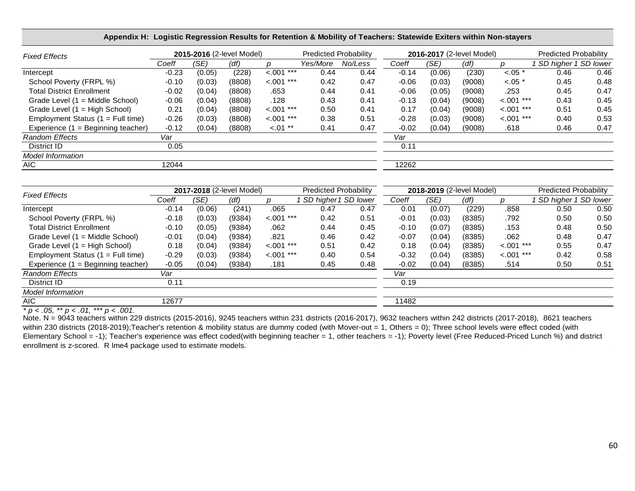| Appendix H: Logistic Regression Results for Retention & Mobility of Teachers: Statewide Exiters within Non-stayers |                           |        |        |               |                              |         |                           |        |        |               |                              |      |
|--------------------------------------------------------------------------------------------------------------------|---------------------------|--------|--------|---------------|------------------------------|---------|---------------------------|--------|--------|---------------|------------------------------|------|
| <b>Fixed Effects</b>                                                                                               | 2015-2016 (2-level Model) |        |        |               | <b>Predicted Probability</b> |         | 2016-2017 (2-level Model) |        |        |               | <b>Predicted Probability</b> |      |
|                                                                                                                    | Coeff                     | (SE)   | (df)   |               | Yes/More                     | No/Less | Coeff                     | (SE)   | (df)   |               | SD higher 1 SD lower         |      |
| Intercept                                                                                                          | $-0.23$                   | (0.05) | (228)  | $< .001$ ***  | 0.44                         | 0.44    | $-0.14$                   | (0.06) | (230)  | $< .05$ *     | 0.46                         | 0.46 |
| School Poverty (FRPL %)                                                                                            | $-0.10$                   | (0.03) | (8808) | $< .001$ ***  | 0.42                         | 0.47    | $-0.06$                   | (0.03) | (9008) | $< .05$ *     | 0.45                         | 0.48 |
| <b>Total District Enrollment</b>                                                                                   | $-0.02$                   | (0.04) | (8808) | .653          | 0.44                         | 0.41    | $-0.06$                   | (0.05) | (9008) | .253          | 0.45                         | 0.47 |
| Grade Level (1 = Middle School)                                                                                    | $-0.06$                   | (0.04) | (8808) | .128          | 0.43                         | 0.41    | $-0.13$                   | (0.04) | (9008) | $< 0.001$ *** | 0.43                         | 0.45 |
| Grade Level (1 = High School)                                                                                      | 0.21                      | (0.04) | (8808) | $< 0.01$ ***  | 0.50                         | 0.41    | 0.17                      | (0.04) | (9008) | $< .001$ ***  | 0.51                         | 0.45 |
| Employment Status $(1 = Full time)$                                                                                | $-0.26$                   | (0.03) | (8808) | $< 0.001$ *** | 0.38                         | 0.51    | $-0.28$                   | (0.03) | (9008) | $< 0.001$ *** | 0.40                         | 0.53 |
| Experience $(1 = \text{Beginning teacher})$                                                                        | $-0.12$                   | (0.04) | (8808) | $-.01**$      | 0.41                         | 0.47    | $-0.02$                   | (0.04) | (9008) | .618          | 0.46                         | 0.47 |
| <b>Random Effects</b>                                                                                              | Var                       |        |        |               |                              |         | Var                       |        |        |               |                              |      |
| District ID                                                                                                        | 0.05                      |        |        |               |                              |         | 0.11                      |        |        |               |                              |      |
| <b>Model Information</b>                                                                                           |                           |        |        |               |                              |         |                           |        |        |               |                              |      |
| AIC                                                                                                                | 12044                     |        |        |               |                              |         | 12262                     |        |        |               |                              |      |

| <b>Fixed Effects</b>                 | 2017-2018 (2-level Model) |        |        |                | <b>Predicted Probability</b> |      | 2018-2019 (2-level Model) |        |        |               | Predicted Probability |      |
|--------------------------------------|---------------------------|--------|--------|----------------|------------------------------|------|---------------------------|--------|--------|---------------|-----------------------|------|
|                                      | Coeff                     | (SE)   | (df)   |                | SD higher 1 SD lower         |      | Coeff                     | (SE)   | (df)   |               | SD higher 1 SD lower  |      |
| Intercept                            | $-0.14$                   | (0.06) | (241)  | .065           | 0.47                         | 0.47 | 0.01                      | (0.07) | (229)  | .858          | 0.50                  | 0.50 |
| School Poverty (FRPL %)              | $-0.18$                   | (0.03) | (9384) | ***<br>$-.001$ | 0.42                         | 0.51 | $-0.01$                   | (0.03) | (8385) | .792          | 0.50                  | 0.50 |
| <b>Total District Enrollment</b>     | $-0.10$                   | (0.05) | (9384) | .062           | 0.44                         | 0.45 | $-0.10$                   | (0.07) | (8385) | .153          | 0.48                  | 0.50 |
| Grade Level $(1 = Middle School)$    | $-0.01$                   | (0.04) | (9384) | .821           | 0.46                         | 0.42 | $-0.07$                   | (0.04) | (8385) | .062          | 0.48                  | 0.47 |
| Grade Level $(1 = High School)$      | 0.18                      | (0.04) | (9384) | $< .001$ ***   | 0.51                         | 0.42 | 0.18                      | (0.04) | (8385) | $< 0.001$ *** | 0.55                  | 0.47 |
| Employment Status $(1 = Full time)$  | $-0.29$                   | (0.03) | (9384) | $< .001$ ***   | 0.40                         | 0.54 | $-0.32$                   | (0.04) | (8385) | $< .001$ ***  | 0.42                  | 0.58 |
| Experience $(1 =$ Beginning teacher) | $-0.05$                   | (0.04) | (9384) | .181           | 0.45                         | 0.48 | $-0.02$                   | (0.04) | (8385) | .514          | 0.50                  | 0.51 |
| <b>Random Effects</b>                | Var                       |        |        |                |                              |      | Var                       |        |        |               |                       |      |
| District ID                          | 0.11                      |        |        |                |                              |      | 0.19                      |        |        |               |                       |      |
| <b>Model Information</b>             |                           |        |        |                |                              |      |                           |        |        |               |                       |      |
| AIC.                                 | 12677                     |        |        |                |                              |      | 11482                     |        |        |               |                       |      |

*\* p < .05, \*\* p < .01, \*\*\* p < .001.*

Note. N = 9043 teachers within 229 districts (2015-2016), 9245 teachers within 231 districts (2016-2017), 9632 teachers within 242 districts (2017-2018), 8621 teachers within 230 districts (2018-2019);Teacher's retention & mobility status are dummy coded (with Mover-out = 1, Others = 0); Three school levels were effect coded (with Elementary School = -1); Teacher's experience was effect coded(with beginning teacher = 1, other teachers = -1); Poverty level (Free Reduced-Priced Lunch %) and district enrollment is z-scored. R lme4 package used to estimate models.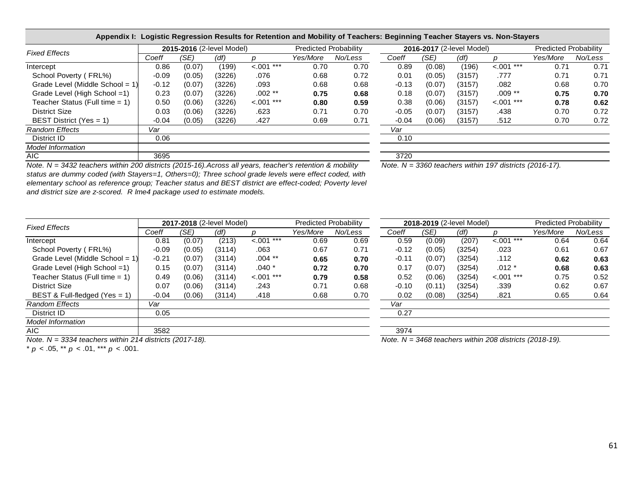|                                   |         |        |                           |              |                              | Appendix I: Logistic Regression Results for Retention and Mobility of Teachers: Beginning Teacher Stayers vs. Non-Stayers |         |        |                           |              |                              |         |  |
|-----------------------------------|---------|--------|---------------------------|--------------|------------------------------|---------------------------------------------------------------------------------------------------------------------------|---------|--------|---------------------------|--------------|------------------------------|---------|--|
|                                   |         |        | 2015-2016 (2-level Model) |              | <b>Predicted Probability</b> |                                                                                                                           |         |        | 2016-2017 (2-level Model) |              | <b>Predicted Probability</b> |         |  |
| <b>Fixed Effects</b>              | Coeff   | (SE)   | (df)                      |              | Yes/More                     | No/Less                                                                                                                   | Coeff   | (SE)   | (df)                      |              | Yes/More                     | No/Less |  |
| Intercept                         | 0.86    | (0.07) | (199)                     | $< .001$ *** | 0.70                         | 0.70                                                                                                                      | 0.89    | (0.08) | (196)                     | $< .001$ *** | 0.71                         | 0.71    |  |
| School Poverty (FRL%)             | $-0.09$ | (0.05) | (3226)                    | .076         | 0.68                         | 0.72                                                                                                                      | 0.01    | (0.05) | (3157)                    | .777         | 0.71                         | 0.71    |  |
| Grade Level (Middle School = 1)   | $-0.12$ | (0.07) | (3226)                    | .093         | 0.68                         | 0.68                                                                                                                      | $-0.13$ | (0.07) | (3157)                    | .082         | 0.68                         | 0.70    |  |
| Grade Level (High School =1)      | 0.23    | (0.07) | (3226)                    | $.002**$     | 0.75                         | 0.68                                                                                                                      | 0.18    | (0.07) | (3157)                    | $.009**$     | 0.75                         | 0.70    |  |
| Teacher Status (Full time $= 1$ ) | 0.50    | (0.06) | (3226)                    | $< .001$ *** | 0.80                         | 0.59                                                                                                                      | 0.38    | (0.06) | (3157)                    | $< 0.01$ *** | 0.78                         | 0.62    |  |
| District Size                     | 0.03    | (0.06) | (3226)                    | .623         | 0.71                         | 0.70                                                                                                                      | $-0.05$ | (0.07) | (3157)                    | .438         | 0.70                         | 0.72    |  |
| BEST District (Yes = 1)           | $-0.04$ | (0.05) | (3226)                    | .427         | 0.69                         | 0.71                                                                                                                      | $-0.04$ | (0.06) | (3157)                    | .512         | 0.70                         | 0.72    |  |
| <b>Random Effects</b>             | Var     |        |                           |              |                              |                                                                                                                           | Var     |        |                           |              |                              |         |  |
| District ID                       | 0.06    |        |                           |              |                              |                                                                                                                           | 0.10    |        |                           |              |                              |         |  |
| <b>Model Information</b>          |         |        |                           |              |                              |                                                                                                                           |         |        |                           |              |                              |         |  |
| AIC.                              | 3695    |        |                           |              |                              |                                                                                                                           | 3720    |        |                           |              |                              |         |  |

*Note. N = 3360 teachers within 197 districts (2016-17). Note. N = 3432 teachers within 200 districts (2015-16).Across all years, teacher's retention & mobility* 

| TWOLG. TV — JILA LOQUTCHS WILLINI ZUU UISTITUS (ZUTJ-TU).ACIUSS AII VOATS, IGACHCHS TOCHIUUH & IHUDIIIIV |
|----------------------------------------------------------------------------------------------------------|
| status are dummy coded (with Stayers=1, Others=0); Three school grade levels were effect coded, with     |
| elementary school as reference group; Teacher status and BEST district are effect-coded; Poverty level   |
| and district size are z-scored. R Ime4 package used to estimate models.                                  |
|                                                                                                          |

AIC 3582 3974

| Fixed Effects                      |         |        | 2017-2018 (2-level Model) |               | Predicted Probability |         |         |        | 2018-2019 (2-level Model) |              | <b>Predicted Probability</b> |         |  |
|------------------------------------|---------|--------|---------------------------|---------------|-----------------------|---------|---------|--------|---------------------------|--------------|------------------------------|---------|--|
|                                    | Coeff   | (SE)   | (df)                      |               | Yes/More              | No/Less | Coeff   | (SE)   | (df)                      |              | Yes/More                     | No/Less |  |
| Intercept                          | 0.81    | (0.07) | (213)                     | $< 0.001$ *** | 0.69                  | 0.69    | 0.59    | (0.09) | (207)                     | $< .001$ *** | 0.64                         | 0.64    |  |
| School Poverty (FRL%)              | $-0.09$ | (0.05) | (3114)                    | .063          | 0.67                  | 0.71    | $-0.12$ | (0.05) | (3254)                    | .023         | 0.61                         | 0.67    |  |
| Grade Level (Middle School = $1$ ) | $-0.21$ | (0.07) | (3114)                    | $.004$ **     | 0.65                  | 0.70    | $-0.11$ | (0.07) | (3254)                    | .112         | 0.62                         | 0.63    |  |
| Grade Level (High School =1)       | 0.15    | (0.07) | (3114)                    | $.040*$       | 0.72                  | 0.70    | 0.17    | (0.07) | (3254)                    | $.012*$      | 0.68                         | 0.63    |  |
| Teacher Status (Full time = 1)     | 0.49    | (0.06) | (3114)                    | $< .001$ ***  | 0.79                  | 0.58    | 0.52    | (0.06) | (3254)                    | $< .001$ *** | 0.75                         | 0.52    |  |
| District Size                      | 0.07    | (0.06) | (3114)                    | .243          | 0.71                  | 0.68    | $-0.10$ | (0.11) | (3254)                    | .339         | 0.62                         | 0.67    |  |
| BEST & Full-fledged (Yes = 1)      | $-0.04$ | (0.06) | (3114)                    | .418          | 0.68                  | 0.70    | 0.02    | (0.08) | (3254)                    | .821         | 0.65                         | 0.64    |  |
| Random Effects                     | Var     |        |                           |               |                       |         | Var     |        |                           |              |                              |         |  |
| District ID                        | 0.05    |        |                           |               |                       |         | 0.27    |        |                           |              |                              |         |  |
| Model Information                  |         |        |                           |               |                       |         |         |        |                           |              |                              |         |  |

*Note. N = 3334 teachers within 214 districts (2017-18).*

\* *p* < .05, \*\* *p* < .01, \*\*\* *p* < .001.

*Model Information*

*Note. N = 3468 teachers within 208 districts (2018-19).*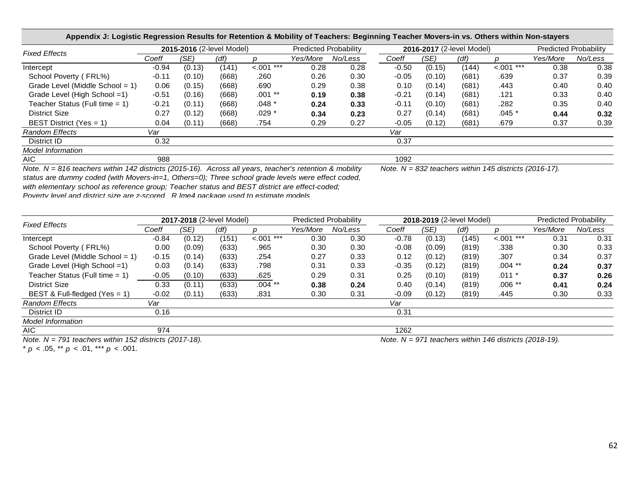| Appendix J: Logistic Regression Results for Retention & Mobility of Teachers: Beginning Teacher Movers-in vs. Others within Non-stayers |         |        |                           |              |                              |         |         |        |                           |              |                              |         |
|-----------------------------------------------------------------------------------------------------------------------------------------|---------|--------|---------------------------|--------------|------------------------------|---------|---------|--------|---------------------------|--------------|------------------------------|---------|
| <b>Fixed Effects</b>                                                                                                                    |         |        | 2015-2016 (2-level Model) |              | <b>Predicted Probability</b> |         |         |        | 2016-2017 (2-level Model) |              | <b>Predicted Probability</b> |         |
|                                                                                                                                         | Coeff   | (SE)   | (df)                      |              | Yes/More                     | No/Less | Coeff   | (SE)   | (df)                      |              | Yes/More                     | No/Less |
| Intercept                                                                                                                               | $-0.94$ | (0.13) | (141)                     | $< .001$ *** | 0.28                         | 0.28    | $-0.50$ | (0.15) | (144)                     | $< 0.01$ *** | 0.38                         | 0.38    |
| School Poverty (FRL%)                                                                                                                   | $-0.11$ | (0.10) | (668)                     | .260         | 0.26                         | 0.30    | $-0.05$ | (0.10) | (681)                     | .639         | 0.37                         | 0.39    |
| Grade Level (Middle School = $1$ )                                                                                                      | 0.06    | (0.15) | (668)                     | .690         | 0.29                         | 0.38    | 0.10    | (0.14) | (681)                     | .443         | 0.40                         | 0.40    |
| Grade Level (High School =1)                                                                                                            | $-0.51$ | (0.16) | (668)                     | $.001**$     | 0.19                         | 0.38    | $-0.21$ | (0.14) | (681)                     | .121         | 0.33                         | 0.40    |
| Teacher Status (Full time $= 1$ )                                                                                                       | $-0.21$ | (0.11) | (668)                     | $.048*$      | 0.24                         | 0.33    | $-0.11$ | (0.10) | (681)                     | .282         | 0.35                         | 0.40    |
| <b>District Size</b>                                                                                                                    | 0.27    | (0.12) | (668)                     | $.029*$      | 0.34                         | 0.23    | 0.27    | (0.14) | (681)                     | .045 *       | 0.44                         | 0.32    |
| BEST District (Yes = 1)                                                                                                                 | 0.04    | (0.11) | (668)                     | .754         | 0.29                         | 0.27    | $-0.05$ | (0.12) | (681)                     | .679         | 0.37                         | 0.39    |
| <b>Random Effects</b>                                                                                                                   | Var     |        |                           |              |                              |         | Var     |        |                           |              |                              |         |
| District ID                                                                                                                             | 0.32    |        |                           |              |                              |         | 0.37    |        |                           |              |                              |         |
| <b>Model Information</b>                                                                                                                |         |        |                           |              |                              |         |         |        |                           |              |                              |         |
| AIC.                                                                                                                                    | 988     |        |                           |              |                              |         | 1092    |        |                           |              |                              |         |

*Note. N = 816 teachers within 142 districts (2015-16). Across all years, teacher's retention & mobility Note. N = 832 teachers within 145 districts (2016-17). status are dummy coded (with Movers-in=1, Others=0); Three school grade levels were effect coded,* 

*with elementary school as reference group; Teacher status and BEST district are effect-coded;* 

Poverty level and district size are z-scored R Ime4 nackage used to estimate models

| <b>Fixed Effects</b>               |         |        | 2017-2018 (2-level Model) |              | <b>Predicted Probability</b> |         | 2018-2019 (2-level Model) |        |       |              | Predicted Probability |         |
|------------------------------------|---------|--------|---------------------------|--------------|------------------------------|---------|---------------------------|--------|-------|--------------|-----------------------|---------|
|                                    | Coeff   | (SE)   | (df)                      |              | Yes/More                     | No/Less | Coeff                     | (SE)   | (df)  |              | Yes/More              | No/Less |
| Intercept                          | $-0.84$ | (0.12) | (151)                     | $< .001$ *** | 0.30                         | 0.30    | $-0.78$                   | (0.13) | (145) | $< 0.01$ *** | 0.31                  | 0.31    |
| School Poverty (FRL%)              | 0.00    | (0.09) | (633)                     | .965         | 0.30                         | 0.30    | $-0.08$                   | (0.09) | (819) | .338         | 0.30                  | 0.33    |
| Grade Level (Middle School = $1$ ) | $-0.15$ | (0.14) | (633)                     | .254         | 0.27                         | 0.33    | 0.12                      | (0.12) | (819) | .307         | 0.34                  | 0.37    |
| Grade Level (High School =1)       | 0.03    | (0.14) | (633)                     | .798         | 0.31                         | 0.33    | $-0.35$                   | (0.12) | (819) | $.004$ **    | 0.24                  | 0.37    |
| Teacher Status (Full time $= 1$ )  | $-0.05$ | (0.10) | (633)                     | .625         | 0.29                         | 0.31    | 0.25                      | (0.10) | (819) | $.011 *$     | 0.37                  | 0.26    |
| <b>District Size</b>               | 0.33    | (0.11) | (633)                     | $.004$ **    | 0.38                         | 0.24    | 0.40                      | (0.14) | (819) | $.006**$     | 0.41                  | 0.24    |
| BEST & Full-fledged (Yes = 1)      | $-0.02$ | (0.11) | (633)                     | .831         | 0.30                         | 0.31    | $-0.09$                   | (0.12) | (819) | .445         | 0.30                  | 0.33    |
| <b>Random Effects</b>              | Var     |        |                           |              |                              |         | Var                       |        |       |              |                       |         |
| District ID                        | 0.16    |        |                           |              |                              |         | 0.31                      |        |       |              |                       |         |
| <b>Model Information</b>           |         |        |                           |              |                              |         |                           |        |       |              |                       |         |
| AIC.                               | 974     |        |                           |              |                              |         | 1262                      |        |       |              |                       |         |

*Note. N = 791 teachers within 152 districts (2017-18).*

*Note. N = 971 teachers within 146 districts (2018-19).*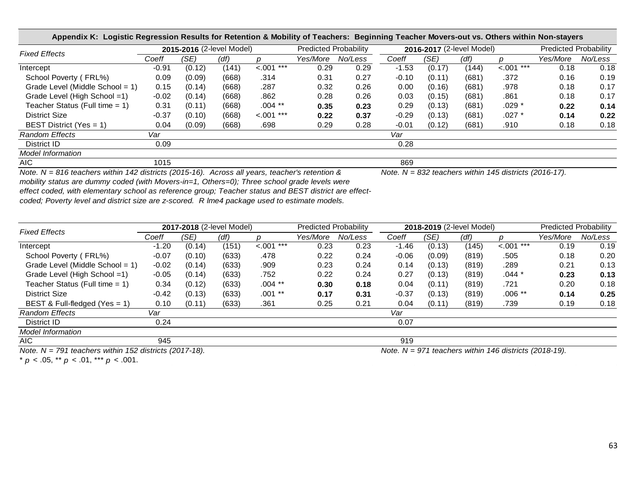| Appendix K: Logistic Regression Results for Retention & Mobility of Teachers: Beginning Teacher Movers-out vs. Others within Non-stayers |         |        |                           |               |                              |         |         |        |                           |                |                              |         |
|------------------------------------------------------------------------------------------------------------------------------------------|---------|--------|---------------------------|---------------|------------------------------|---------|---------|--------|---------------------------|----------------|------------------------------|---------|
| <b>Fixed Effects</b>                                                                                                                     |         |        | 2015-2016 (2-level Model) |               | <b>Predicted Probability</b> |         |         |        | 2016-2017 (2-level Model) |                | <b>Predicted Probability</b> |         |
|                                                                                                                                          | Coeff   | (SE)   | (df)                      |               | Yes/More                     | No/Less | Coeff   | (SE)   | (df)                      |                | Yes/More                     | No/Less |
| Intercept                                                                                                                                | $-0.91$ | (0.12) | (141)                     | $< 0.001$ *** | 0.29                         | 0.29    | $-1.53$ | (0.17) | (144)                     | ***<br>$-.001$ | 0.18                         | 0.18    |
| School Poverty (FRL%)                                                                                                                    | 0.09    | (0.09) | (668)                     | .314          | 0.31                         | 0.27    | $-0.10$ | (0.11) | (681)                     | .372           | 0.16                         | 0.19    |
| Grade Level (Middle School = 1)                                                                                                          | 0.15    | (0.14) | (668)                     | .287          | 0.32                         | 0.26    | 0.00    | (0.16) | (681)                     | .978           | 0.18                         | 0.17    |
| Grade Level (High School =1)                                                                                                             | $-0.02$ | (0.14) | (668)                     | .862          | 0.28                         | 0.26    | 0.03    | (0.15) | (681)                     | .861           | 0.18                         | 0.17    |
| Teacher Status (Full time $= 1$ )                                                                                                        | 0.31    | (0.11) | (668)                     | $.004$ **     | 0.35                         | 0.23    | 0.29    | (0.13) | (681)                     | $.029*$        | 0.22                         | 0.14    |
| <b>District Size</b>                                                                                                                     | $-0.37$ | (0.10) | (668)                     | $< .001$ ***  | 0.22                         | 0.37    | $-0.29$ | (0.13) | (681)                     | $.027$ $*$     | 0.14                         | 0.22    |
| BEST District (Yes = 1)                                                                                                                  | 0.04    | (0.09) | (668)                     | .698          | 0.29                         | 0.28    | $-0.01$ | (0.12) | (681)                     | .910           | 0.18                         | 0.18    |
| <b>Random Effects</b>                                                                                                                    | Var     |        |                           |               |                              |         | Var     |        |                           |                |                              |         |
| District ID                                                                                                                              | 0.09    |        |                           |               |                              |         | 0.28    |        |                           |                |                              |         |
| <b>Model Information</b>                                                                                                                 |         |        |                           |               |                              |         |         |        |                           |                |                              |         |
| AIC.                                                                                                                                     | 1015    |        |                           |               |                              |         | 869     |        |                           |                |                              |         |

*Note. N = 816 teachers within 142 districts (2015-16). Across all years, teacher's retention & mobility status are dummy coded (with Movers-in=1, Others=0); Three school grade levels were effect coded, with elementary school as reference group; Teacher status and BEST district are effectcoded; Poverty level and district size are z-scored. R lme4 package used to estimate models.*

| <b>Fixed Effects</b>              |         |        | 2017-2018 (2-level Model) |              | <b>Predicted Probability</b> |         | 2018-2019 (2-level Model) |        |       |              | <b>Predicted Probability</b> |         |
|-----------------------------------|---------|--------|---------------------------|--------------|------------------------------|---------|---------------------------|--------|-------|--------------|------------------------------|---------|
|                                   | Coeff   | (SE)   | (df)                      |              | Yes/More                     | No/Less | Coeff                     | (SE)   | (df)  |              | Yes/More                     | No/Less |
| Intercept                         | $-1.20$ | (0.14) | (151)                     | $< .001$ *** | 0.23                         | 0.23    | $-1.46$                   | (0.13) | (145) | $< .001$ *** | 0.19                         | 0.19    |
| School Poverty (FRL%)             | $-0.07$ | (0.10) | (633)                     | .478         | 0.22                         | 0.24    | $-0.06$                   | (0.09) | (819) | .505         | 0.18                         | 0.20    |
| Grade Level (Middle School = 1)   | $-0.02$ | (0.14) | (633)                     | .909         | 0.23                         | 0.24    | 0.14                      | (0.13) | (819) | .289         | 0.21                         | 0.13    |
| Grade Level (High School =1)      | $-0.05$ | (0.14) | (633)                     | .752         | 0.22                         | 0.24    | 0.27                      | (0.13) | (819) | $.044 *$     | 0.23                         | 0.13    |
| Teacher Status (Full time $= 1$ ) | 0.34    | (0.12) | (633)                     | $.004$ **    | 0.30                         | 0.18    | 0.04                      | (0.11) | (819) | .721         | 0.20                         | 0.18    |
| <b>District Size</b>              | $-0.42$ | (0.13) | (633)                     | $.001**$     | 0.17                         | 0.31    | $-0.37$                   | (0.13) | (819) | $.006**$     | 0.14                         | 0.25    |
| BEST & Full-fledged (Yes = $1$ )  | 0.10    | (0.11) | (633)                     | .361         | 0.25                         | 0.21    | 0.04                      | (0.11) | (819) | .739         | 0.19                         | 0.18    |
| <b>Random Effects</b>             | Var     |        |                           |              |                              |         | Var                       |        |       |              |                              |         |
| District ID                       | 0.24    |        |                           |              |                              |         | 0.07                      |        |       |              |                              |         |
| <b>Model Information</b>          |         |        |                           |              |                              |         |                           |        |       |              |                              |         |
| AIC.                              | 945     |        |                           |              |                              |         | 919                       |        |       |              |                              |         |

*Note. N = 791 teachers within 152 districts (2017-18). Note. N = 971 teachers within 146 districts (2018-19).*

*Note. N = 832 teachers within 145 districts (2016-17).*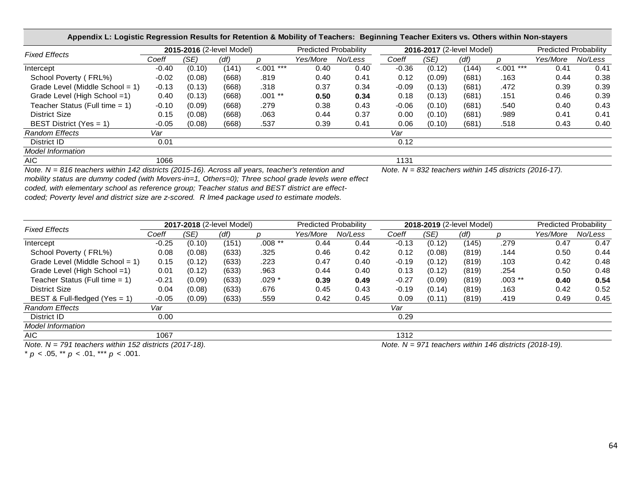| Appendix L: Logistic Regression Results for Retention & Mobility of Teachers: Beginning Teacher Exiters vs. Others within Non-stayers |         |        |                           |               |          |                              |         |        |                           |              |                              |         |
|---------------------------------------------------------------------------------------------------------------------------------------|---------|--------|---------------------------|---------------|----------|------------------------------|---------|--------|---------------------------|--------------|------------------------------|---------|
| <b>Fixed Effects</b>                                                                                                                  |         |        | 2015-2016 (2-level Model) |               |          | <b>Predicted Probability</b> |         |        | 2016-2017 (2-level Model) |              | <b>Predicted Probability</b> |         |
|                                                                                                                                       | Coeff   | (SE)   | (df)                      |               | Yes/More | No/Less                      | Coeff   | (SE)   | (df)                      |              | Yes/More                     | No/Less |
| Intercept                                                                                                                             | $-0.40$ | (0.10) | (141)                     | $< 0.001$ *** | 0.40     | 0.40                         | $-0.36$ | (0.12) | (144)                     | $< .001$ *** | 0.41                         | 0.41    |
| School Poverty (FRL%)                                                                                                                 | $-0.02$ | (0.08) | (668)                     | .819          | 0.40     | 0.41                         | 0.12    | (0.09) | (681)                     | .163         | 0.44                         | 0.38    |
| Grade Level (Middle School = $1$ )                                                                                                    | $-0.13$ | (0.13) | (668)                     | .318          | 0.37     | 0.34                         | $-0.09$ | (0.13) | (681)                     | .472         | 0.39                         | 0.39    |
| Grade Level (High School =1)                                                                                                          | 0.40    | (0.13) | (668)                     | $.001**$      | 0.50     | 0.34                         | 0.18    | (0.13) | (681)                     | .151         | 0.46                         | 0.39    |
| Teacher Status (Full time $= 1$ )                                                                                                     | $-0.10$ | (0.09) | (668)                     | .279          | 0.38     | 0.43                         | $-0.06$ | (0.10) | (681)                     | .540         | 0.40                         | 0.43    |
| <b>District Size</b>                                                                                                                  | 0.15    | (0.08) | (668)                     | .063          | 0.44     | 0.37                         | 0.00    | (0.10) | (681)                     | .989         | 0.41                         | 0.41    |
| BEST District (Yes = $1$ )                                                                                                            | $-0.05$ | (0.08) | (668)                     | .537          | 0.39     | 0.41                         | 0.06    | (0.10) | (681)                     | .518         | 0.43                         | 0.40    |
| <b>Random Effects</b>                                                                                                                 | Var     |        |                           |               |          |                              | Var     |        |                           |              |                              |         |
| District ID                                                                                                                           | 0.01    |        |                           |               |          |                              | 0.12    |        |                           |              |                              |         |
| <b>Model Information</b>                                                                                                              |         |        |                           |               |          |                              |         |        |                           |              |                              |         |
| AIC.                                                                                                                                  | 1066    |        |                           |               |          |                              | 1131    |        |                           |              |                              |         |

*Note. N = 816 teachers within 142 districts (2015-16). Across all years, teacher's retention and Note. N = 832 teachers within 145 districts (2016-17). mobility status are dummy coded (with Movers-in=1, Others=0); Three school grade levels were effect coded, with elementary school as reference group; Teacher status and BEST district are effect-*

*coded; Poverty level and district size are z-scored. R lme4 package used to estimate models.*

| <b>Fixed Effects</b>              |         |        | 2017-2018 (2-level Model) |          | <b>Predicted Probability</b> |         | 2018-2019 (2-level Model) |        |       |          | Predicted Probability |         |
|-----------------------------------|---------|--------|---------------------------|----------|------------------------------|---------|---------------------------|--------|-------|----------|-----------------------|---------|
|                                   | Coeff   | (SE)   | (df)                      |          | Yes/More                     | No/Less | Coeff                     | (SE)   | (df)  |          | Yes/More              | No/Less |
| Intercept                         | $-0.25$ | (0.10) | (151)                     | $.008**$ | 0.44                         | 0.44    | $-0.13$                   | (0.12) | (145) | .279     | 0.47                  | 0.47    |
| School Poverty (FRL%)             | 0.08    | (0.08) | (633)                     | .325     | 0.46                         | 0.42    | 0.12                      | (0.08) | (819) | .144     | 0.50                  | 0.44    |
| Grade Level (Middle School = 1)   | 0.15    | (0.12) | (633)                     | .223     | 0.47                         | 0.40    | $-0.19$                   | (0.12) | (819) | .103     | 0.42                  | 0.48    |
| Grade Level (High School =1)      | 0.01    | (0.12) | (633)                     | .963     | 0.44                         | 0.40    | 0.13                      | (0.12) | (819) | .254     | 0.50                  | 0.48    |
| Teacher Status (Full time $= 1$ ) | $-0.21$ | (0.09) | (633)                     | $.029*$  | 0.39                         | 0.49    | $-0.27$                   | (0.09) | (819) | $.003**$ | 0.40                  | 0.54    |
| <b>District Size</b>              | 0.04    | (0.08) | (633)                     | .676     | 0.45                         | 0.43    | $-0.19$                   | (0.14) | (819) | .163     | 0.42                  | 0.52    |
| BEST & Full-fledged (Yes = 1)     | $-0.05$ | (0.09) | (633)                     | .559     | 0.42                         | 0.45    | 0.09                      | (0.11) | (819) | .419     | 0.49                  | 0.45    |
| <b>Random Effects</b>             | Var     |        |                           |          |                              |         | Var                       |        |       |          |                       |         |
| District ID                       | 0.00    |        |                           |          |                              |         | 0.29                      |        |       |          |                       |         |
| <b>Model Information</b>          |         |        |                           |          |                              |         |                           |        |       |          |                       |         |
| AIC                               | 1067    |        |                           |          |                              |         | 1312                      |        |       |          |                       |         |

*Note. N = 791 teachers within 152 districts (2017-18). Note. N = 971 teachers within 146 districts (2018-19).*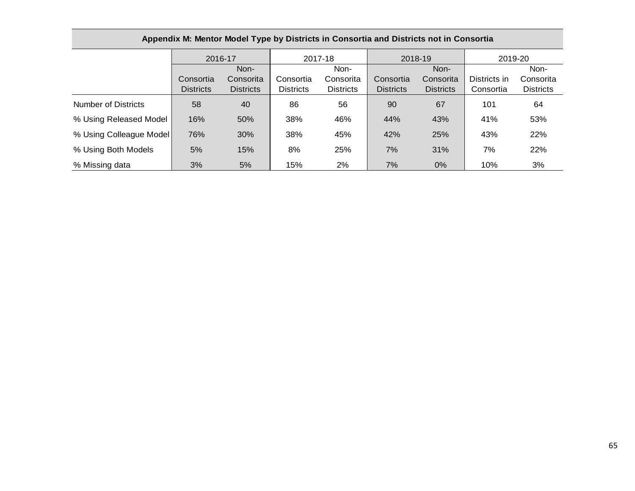|                            | 2016-17          |                  |                  | 2017-18          |                  | 2018-19          | 2019-20   |                  |
|----------------------------|------------------|------------------|------------------|------------------|------------------|------------------|-----------|------------------|
|                            |                  | Non-             |                  | Non-             |                  | Non-             |           | Non-             |
|                            | Consortia        | Consorita        | Consortia        | Consorita        | Consortia        | Consorita        |           | Consorita        |
|                            | <b>Districts</b> | <b>Districts</b> | <b>Districts</b> | <b>Districts</b> | <b>Districts</b> | <b>Districts</b> | Consortia | <b>Districts</b> |
| <b>Number of Districts</b> | 58               | 40               | 86               | 56               | 90               | 67               | 101       | 64               |
| % Using Released Model     | 16%              | 50%              | 38%              | 46%              | 44%              | 43%              | 41%       | 53%              |
| % Using Colleague Model    | 76%              | 30%              | 38%              | 45%              | 42%              | 25%              | 43%       | 22%              |
| % Using Both Models        | 5%               | 15%              | 8%               | 25%              | 7%               | 31%              | 7%        | 22%              |
| % Missing data             | 3%               | 5%               | 15%              | 2%               | 7%               | 0%               | 10%       | 3%               |

# **Appendix M: Mentor Model Type by Districts in Consortia and Districts not in Consortia**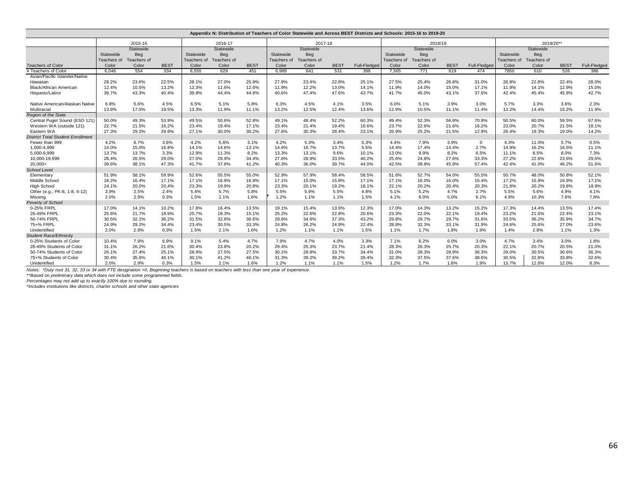| Appendix N: Distribution of Teachers of Color Statewide and Across BEST Districts and Schools: 2015-16 to 2019-20 |             |             |             |             |             |             |             |             |             |              |             |             |             |              |             |             |             |              |
|-------------------------------------------------------------------------------------------------------------------|-------------|-------------|-------------|-------------|-------------|-------------|-------------|-------------|-------------|--------------|-------------|-------------|-------------|--------------|-------------|-------------|-------------|--------------|
|                                                                                                                   |             | 2015-16     |             |             | 2016-17     |             |             | 2017-18     |             |              |             | 2018/19     |             |              |             | 2019/20**   |             |              |
|                                                                                                                   |             | Statewide   |             |             | Statewide   |             |             | Statewide   |             |              |             | Statewide   |             |              |             | Statewide   |             |              |
|                                                                                                                   | Statewide   | Beg         |             | Statewide   | Beg         |             | Statewide   | Beg         |             |              | Statewide   | Beg         |             |              | Statewide   | Beg         |             |              |
|                                                                                                                   | Teachers of | Teachers of |             | Teachers of | Teachers of |             | Teachers of | Teachers of |             |              | Teachers of | Teachers of |             |              | Teachers of | Teachers of |             |              |
| <b>Teachers of Color</b>                                                                                          | Color       | Color       | <b>BEST</b> | Color       | Color       | <b>BEST</b> | Color       | Color       | <b>BEST</b> | Full-Fledged | Color       | Color       | <b>BEST</b> | Full-Fledged | Color       | Color       | <b>BEST</b> | Full-Fledged |
| # Teachers of Color                                                                                               | 6,046       | 554         | 334         | 6,555       | 629         | 451         | 6,989       | 641         | 531         | 398          | 7,565       | 771         | 619         | 474          | 7850        | 610         | 526         | 386          |
| Asian/Pacific Islander/Native                                                                                     |             |             |             |             |             |             |             |             |             |              |             |             |             |              |             |             |             |              |
| Hawaiian                                                                                                          | 28.2%       | 23.6%       | 22.5%       | 28.1%       | 27.0%       | 25.9%       | 27.9%       | 23.4%       | 22.8%       | 25.1%        | 27.5%       | 25.4%       | 26.8%       | 31.0%        | 26.8%       | 22.8%       | 22.4%       | 28.0%        |
| <b>Black/African American</b>                                                                                     | 12.4%       | 10.5%       | 13.2%       | 12.3%       | 11.6%       | 12.6%       | 11.9%       | 12.2%       | 13.0%       | 14.1%        | 11.9%       | 14.0%       | 15.0%       | 17.1%        | 11.9%       | 14.1%       | 12.9%       | 15.0%        |
| Hispanic/Latinx                                                                                                   | 38.7%       | 43.3%       | 40.4%       | 39.8%       | 44.4%       | 44.6%       | 40.6%       | 47.4%       | 47.6%       | 43.7%        | 41.7%       | 45.0%       | 43.1%       | 37.6%        | 42.4%       | 45.4%       | 45.8%       | 42.7%        |
| Native American/Alaskan Native                                                                                    | 6.8%        | 5.6%        | 4.5%        | 6.5%        | 5.1%        | 5.8%        | 6.3%        | 4.5%        | 4.1%        | 3.5%         | 6.0%        | 5.1%        | 3.9%        | 3.0%         | 5.7%        | 3.3%        | 3.6%        | 2.3%         |
| Multiracial                                                                                                       | 13.9%       | 17.0%       | 19.5%       | 13.3%       | 11.9%       | 11.1%       | 13.2%       | 12.5%       | 12.4%       | 13.6%        | 12.9%       | 10.5%       | 11.1%       | 11.4%        | 13.2%       | 14.4%       | 15.2%       | 11.9%        |
| <b>Region of the State</b>                                                                                        |             |             |             |             |             |             |             |             |             |              |             |             |             |              |             |             |             |              |
| Central Puget Sound (ESD 121)                                                                                     | 50.0%       | 49.3%       | 53.9%       | 49.5%       | 50.6%       | 52.8%       | 49.1%       | 48.4%       | 52.2%       | 60.3%        | 49.4%       | 52.3%       | 56.9%       | 70.9%        | 50.5%       | 60.0%       | 59.5%       | 67.6%        |
| Western WA (outside 121)                                                                                          | 22.7%       | 21.5%       | 16.2%       | 23.4%       | 19.4%       | 17.1%       | 23.4%       | 21.4%       | 19.4%       | 16.6%        | 23.7%       | 22.6%       | 21.6%       | 16.2%        | 23.0%       | 20.7%       | 21.5%       | 18.1%        |
| Eastern WA                                                                                                        | 27.3%       | 29.2%       | 29.9%       | 27.1%       | 30.0%       | 30.2%       | 27.6%       | 30.3%       | 28.4%       | 23.1%        | 26.9%       | 25.2%       | 21.5%       | 12.9%        | 26.4%       | 19.3%       | 19.0%       | 14.2%        |
| <b>District Total Student Enrollment</b>                                                                          |             |             |             |             |             |             |             |             |             |              |             |             |             |              |             |             |             |              |
| Fewer than 999                                                                                                    | 4.2%        | 6.7%        | 3.6%        | 4.2%        | 5.6%        | 3.1%        | 4.2%        | 5.3%        | 3.4%        | 0.3%         | 4.4%        | 7.9%        | 3.9%        | $^{\circ}$   | 4.3%        | 11.0%       | 5.7%        | 0.5%         |
| 1.000-4.999                                                                                                       | 14.0%       | 15.0%       | 16.8%       | 14.1%       | 14.6%       | 13.1%       | 14.6%       | 16.7%       | 13.7%       | 5.5%         | 14.4%       | 17.4%       | 14.4%       | 2.7%         | 14.9%       | 16.2%       | 16.5%       | 11.1%        |
| 5,000-9,999                                                                                                       | 13.7%       | 13.7%       | 3.3%        | 12.9%       | 11.3%       | 8.2%        | 13.3%       | 13.1%       | 9.6%        | 10.1%        | 13.0%       | 9.9%        | 8.2%        | 6.5%         | 11.1%       | 8.5%        | 8.0%        | 7.3%         |
| 10,000-19,999                                                                                                     | 28.4%       | 26.5%       | 29.0%       | 27.0%       | 29.9%       | 34.4%       | 27.6%       | 28.9%       | 33.5%       | 40.2%        | 25.6%       | 24.8%       | 27.6%       | 33.3%        | 27.2%       | 22.8%       | 23.6%       | 29.5%        |
| $20.000+$                                                                                                         | 39.6%       | 38.1%       | 47.3%       | 41.7%       | 37.8%       | 41.2%       | 40.3%       | 36.0%       | 39.7%       | 44.0%        | 42.5%       | 39.8%       | 45.9%       | 57.4%        | 42.4%       | 41.0%       | 46.2%       | 51.6%        |
| <b>School Level</b>                                                                                               |             |             |             |             |             |             |             |             |             |              |             |             |             |              |             |             |             |              |
| Elementary                                                                                                        | 51.9%       | 58.1%       | 59.9%       | 52.6%       | 55.5%       | 55.0%       | 52.9%       | 57.9%       | 58.4%       | 58.5%        | 51.6%       | 52.7%       | 54.0%       | 55.5%        | 50.7%       | 48.0%       | 50.8%       | 52.1%        |
| Middle School                                                                                                     | 18.2%       | 16.4%       | 17.1%       | 17.1%       | 16.9%       | 16.9%       | 17.1%       | 15.0%       | 15.8%       | 17.1%        | 17.1%       | 16.0%       | 16.0%       | 15.4%        | 17.2%       | 15.9%       | 16.9%       | 17.1%        |
| <b>High School</b>                                                                                                | 24.1%       | 20.0%       | 20.4%       | 23.3%       | 19.9%       | 20.8%       | 23.3%       | 20.1%       | 19.2%       | 18.1%        | 22.1%       | 20.2%       | 20.4%       | 20.3%        | 21.8%       | 20.2%       | 19.8%       | 18.9%        |
| Other (e.g., PK-8, 1-8, 6-12)                                                                                     | 3.9%        | 2.5%        | 2.4%        | 5.4%        | 5.7%        | 5.8%        | 5.5%        | 5.9%        | 5.5%        | 4.8%         | 5.1%        | 5.2%        | 4.7%        | 2.7%         | 5.5%        | 5.6%        | 4.9%        | 4.1%         |
| Missing                                                                                                           | 2.0%        | 2.9%        | 0.3%        | 1.5%        | 2.1%        | 1.6%        | 1.2%        | 1.1%        | 1.1%        | 1.5%         | 4.1%        | 6.0%        | 5.0%        | 6.1%         | 4.9%        | 10.3%       | 7.6%        | 7.8%         |
| Poverty of School                                                                                                 |             |             |             |             |             |             |             |             |             |              |             |             |             |              |             |             |             |              |
| 0-25% FRPL                                                                                                        | 17.0%       | 14.1%       | 10.2%       | 17.8%       | 16.4%       | 13.5%       | 19.1%       | 15.4%       | 13.9%       | 12.3%        | 17.0%       | 14.3%       | 13.2%       | 15.2%        | 17.3%       | 14.4%       | 13.5%       | 17.4%        |
| 26-49% FRPL                                                                                                       | 25.6%       | 21.7%       | 18.9%       | 25.7%       | 18.3%       | 15.1%       | 25.2%       | 22.6%       | 22.8%       | 20.6%        | 23.3%       | 22.0%       | 22.1%       | 19.4%        | 23.2%       | 21.0%       | 22.4%       | 23.1%        |
| 50-74% FRPL                                                                                                       | 30.5%       | 32.1%       | 36.2%       | 31.5%       | 32.8%       | 36.6%       | 29.6%       | 34.6%       | 37.3%       | 43.2%        | 29.8%       | 29.7%       | 29.7%       | 31.6%        | 33.5%       | 36.2%       | 35.9%       | 34.7%        |
| 75+% FRPL                                                                                                         | 24.9%       | 29.2%       | 34.4%       | 23.4%       | 30.5%       | 33.3%       | 24.8%       | 26.2%       | 24.9%       | 22.4%        | 28.8%       | 32.3%       | 33.1%       | 31.9%        | 24.6%       | 25.6%       | 27.0%       | 23.6%        |
| Unidentified                                                                                                      | 2.0%        | 2.9%        | 0.3%        | 1.5%        | 2.1%        | 1.6%        | 1.2%        | 1.1%        | 1.1%        | 1.5%         | 1.1%        | 1.7%        | 1.8%        | 1.9%         | 1.4%        | 2.8%        | 1.1%        | 1.3%         |
| <b>Student Race/Ethnicity</b>                                                                                     |             |             |             |             |             |             |             |             |             |              |             |             |             |              |             |             |             |              |
| 0-25% Students of Color                                                                                           | 10.4%       | 7.9%        | 6.9%        | 9.1%        | 5.4%        | 4.7%        | 7.9%        | 4.7%        | 4.0%        | 3.3%         | 7.1%        | 6.2%        | 6.0%        | 3.0%         | 4.7%        | 3.4%        | 3.0%        | 1.8%         |
| 26-49% Students of Color                                                                                          | 31.1%       | 26.2%       | 21.6%       | 30.4%       | 23.8%       | 20.2%       | 29.4%       | 25.3%       | 23.7%       | 21.4%        | 28.3%       | 26.3%       | 25.7%       | 20.3%        | 22.1%       | 20.7%       | 20.5%       | 21.0%        |
| 50-74% Students of Color                                                                                          | 26.1%       | 27.4%       | 25.1%       | 28.9%       | 27.5%       | 27.5%       | 30.1%       | 29.8%       | 33.7%       | 34.4%        | 31.0%       | 28.3%       | 28.9%       | 36.3%        | 29.0%       | 30.5%       | 30.6%       | 36.3%        |
| 75+% Students of Color                                                                                            | 30.4%       | 35.6%       | 46.1%       | 30.1%       | 41.2%       | 46.1%       | 31.3%       | 39.2%       | 39.2%       | 39.4%        | 32.3%       | 37.5%       | 37.6%       | 38.6%        | 30.5%       | 32.8%       | 33.8%       | 32.6%        |
| Unidentified                                                                                                      | 2.0%        | 2.9%        | 0.3%        | 1.5%        | 2.1%        | 1.6%        | 1.2%        | 1.1%        | 1.1%        | 1.5%         | 1.2%        | 1.7%        | 1.8%        | 1.9%         | 13.7%       | 12.6%       | 12.0%       | 8.3%         |

*Notes: \*Duty root 31, 32, 33 or 34 with FTE designation >0. Beginning teachers is based on teachers with less than one year of experience.*

\*\*Based on preliminary data which does not include some programmed fields.<br>Percentages may not add up to exactly 100% due to rounding.<br>\*Includes institutions like districts, charter schools and other state agencies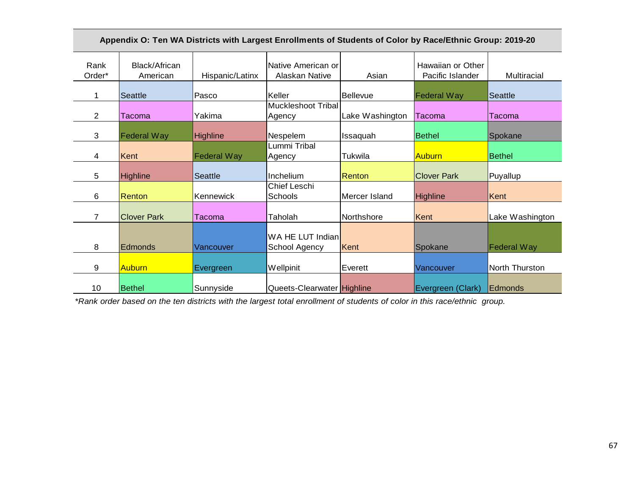|                |                           |                    | Appendix O: Ten WA Districts with Largest Enrollments of Students of Color by Race/Ethnic Group: 2019-20 |                 |                                       |                    |
|----------------|---------------------------|--------------------|----------------------------------------------------------------------------------------------------------|-----------------|---------------------------------------|--------------------|
| Rank<br>Order* | Black/African<br>American | Hispanic/Latinx    | Native American or<br>Alaskan Native                                                                     | Asian           | Hawaiian or Other<br>Pacific Islander | Multiracial        |
|                | Seattle                   | Pasco              | Keller                                                                                                   | <b>Bellevue</b> | <b>Federal Way</b>                    | Seattle            |
| $\overline{2}$ | <b>Tacoma</b>             | Yakima             | Muckleshoot Tribal<br>Agency                                                                             | Lake Washington | Tacoma                                | Tacoma             |
| 3              | <b>Federal Way</b>        | <b>Highline</b>    | Nespelem                                                                                                 | Issaquah        | <b>Bethel</b>                         | Spokane            |
| 4              | Kent                      | <b>Federal Way</b> | Lummi Tribal<br>Agency                                                                                   | Tukwila         | <b>Auburn</b>                         | <b>Bethel</b>      |
| 5              | <b>Highline</b>           | <b>Seattle</b>     | Inchelium                                                                                                | Renton          | <b>Clover Park</b>                    | Puyallup           |
| 6              | Renton                    | Kennewick          | Chief Leschi<br>Schools                                                                                  | Mercer Island   | <b>Highline</b>                       | Kent               |
| $\overline{7}$ | <b>Clover Park</b>        | Tacoma             | Taholah                                                                                                  | Northshore      | Kent                                  | Lake Washington    |
| 8              | <b>Edmonds</b>            | Vancouver          | WA HE LUT Indian<br>School Agency                                                                        | Kent            | Spokane                               | <b>Federal Way</b> |
| 9              | <b>Auburn</b>             | Evergreen          | Wellpinit                                                                                                | Everett         | Vancouver                             | North Thurston     |
| 10             | <b>Bethel</b>             | Sunnyside          | Queets-Clearwater Highline                                                                               |                 | Evergreen (Clark)                     | Edmonds            |

*\*Rank order based on the ten districts with the largest total enrollment of students of color in this race/ethnic group.*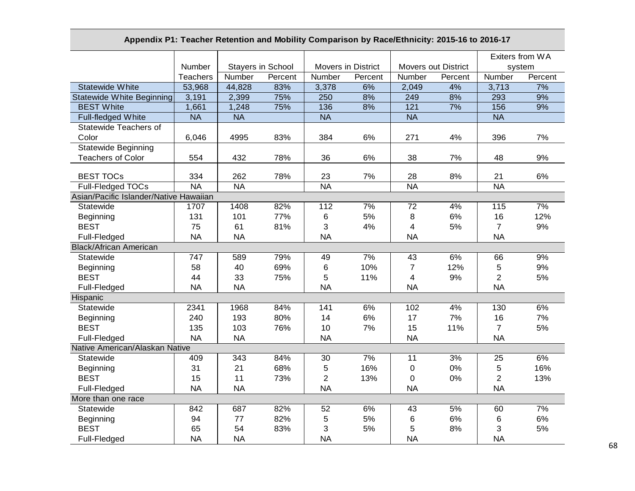# **Appendix P1: Teacher Retention and Mobility Comparison by Race/Ethnicity: 2015-16 to 2016-17**

|                                        |                          |                          |         |                    |         |                            |         | Exiters from WA          |         |
|----------------------------------------|--------------------------|--------------------------|---------|--------------------|---------|----------------------------|---------|--------------------------|---------|
|                                        | Number                   | <b>Stayers in School</b> |         | Movers in District |         | <b>Movers out District</b> |         | system                   |         |
|                                        | <b>Teachers</b>          | Number                   | Percent | Number             | Percent | Number                     | Percent | Number                   | Percent |
| <b>Statewide White</b>                 | 53,968                   | 44,828                   | 83%     | 3,378              | 6%      | 2,049                      | 4%      | 3,713                    | 7%      |
| <b>Statewide White Beginning</b>       | 3,191                    | 2,399                    | 75%     | 250                | 8%      | 249                        | 8%      | 293                      | 9%      |
| <b>BEST White</b>                      | 1,661                    | 1,248                    | 75%     | 136                | 8%      | 121                        | 7%      | 156                      | 9%      |
| Full-fledged White                     | $\overline{\mathsf{NA}}$ | <b>NA</b>                |         | <b>NA</b>          |         | $\overline{\mathsf{NA}}$   |         | $\overline{\mathsf{NA}}$ |         |
| Statewide Teachers of                  |                          |                          |         |                    |         |                            |         |                          |         |
| Color                                  | 6,046                    | 4995                     | 83%     | 384                | 6%      | 271                        | 4%      | 396                      | 7%      |
| <b>Statewide Beginning</b>             |                          |                          |         |                    |         |                            |         |                          |         |
| <b>Teachers of Color</b>               | 554                      | 432                      | 78%     | 36                 | 6%      | 38                         | 7%      | 48                       | 9%      |
|                                        |                          |                          |         |                    |         |                            |         |                          |         |
| <b>BEST TOCs</b>                       | 334                      | 262                      | 78%     | 23                 | 7%      | 28                         | 8%      | 21                       | 6%      |
| Full-Fledged TOCs                      | <b>NA</b>                | <b>NA</b>                |         | <b>NA</b>          |         | <b>NA</b>                  |         | <b>NA</b>                |         |
| Asian/Pacific Islander/Native Hawaiian |                          |                          |         |                    |         |                            |         |                          |         |
| Statewide                              | 1707                     | 1408                     | 82%     | 112                | 7%      | 72                         | 4%      | 115                      | 7%      |
| Beginning                              | 131                      | 101                      | 77%     | 6                  | 5%      | 8                          | 6%      | 16                       | 12%     |
| <b>BEST</b>                            | 75                       | 61                       | 81%     | 3                  | 4%      | 4                          | 5%      | $\overline{7}$           | 9%      |
| Full-Fledged                           | <b>NA</b>                | <b>NA</b>                |         | <b>NA</b>          |         | <b>NA</b>                  |         | <b>NA</b>                |         |
| <b>Black/African American</b>          |                          |                          |         |                    |         |                            |         |                          |         |
| Statewide                              | 747                      | 589                      | 79%     | 49                 | 7%      | 43                         | 6%      | 66                       | 9%      |
| Beginning                              | 58                       | 40                       | 69%     | 6                  | 10%     | $\overline{7}$             | 12%     | 5                        | 9%      |
| <b>BEST</b>                            | 44                       | 33                       | 75%     | 5                  | 11%     | 4                          | 9%      | $\overline{2}$           | 5%      |
| Full-Fledged                           | <b>NA</b>                | <b>NA</b>                |         | <b>NA</b>          |         | <b>NA</b>                  |         | <b>NA</b>                |         |
| Hispanic                               |                          |                          |         |                    |         |                            |         |                          |         |
| Statewide                              | 2341                     | 1968                     | 84%     | 141                | 6%      | 102                        | 4%      | 130                      | 6%      |
| Beginning                              | 240                      | 193                      | 80%     | 14                 | 6%      | 17                         | 7%      | 16                       | 7%      |
| <b>BEST</b>                            | 135                      | 103                      | 76%     | 10                 | 7%      | 15                         | 11%     | $\overline{7}$           | 5%      |
| Full-Fledged                           | <b>NA</b>                | <b>NA</b>                |         | <b>NA</b>          |         | <b>NA</b>                  |         | <b>NA</b>                |         |
| Native American/Alaskan Native         |                          |                          |         |                    |         |                            |         |                          |         |
| Statewide                              | 409                      | 343                      | 84%     | 30                 | 7%      | 11                         | 3%      | 25                       | 6%      |
| Beginning                              | 31                       | 21                       | 68%     | 5                  | 16%     | $\pmb{0}$                  | $0\%$   | 5                        | 16%     |
| <b>BEST</b>                            | 15                       | 11                       | 73%     | $\overline{2}$     | 13%     | $\mathbf 0$                | 0%      | $\overline{2}$           | 13%     |
| Full-Fledged                           | <b>NA</b>                | <b>NA</b>                |         | <b>NA</b>          |         | <b>NA</b>                  |         | <b>NA</b>                |         |
| More than one race                     |                          |                          |         |                    |         |                            |         |                          |         |
| Statewide                              | 842                      | 687                      | 82%     | 52                 | 6%      | 43                         | 5%      | 60                       | 7%      |
| Beginning                              | 94                       | 77                       | 82%     | 5                  | 5%      | 6                          | 6%      | 6                        | 6%      |
| <b>BEST</b>                            | 65                       | 54                       | 83%     | 3                  | 5%      | 5                          | 8%      | 3                        | $5%$    |
| Full-Fledged                           | <b>NA</b>                | <b>NA</b>                |         | <b>NA</b>          |         | <b>NA</b>                  |         | <b>NA</b>                |         |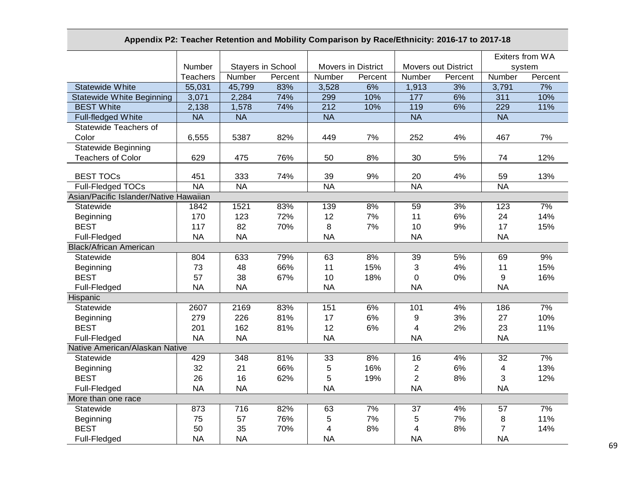# **Appendix P2: Teacher Retention and Mobility Comparison by Race/Ethnicity: 2016-17 to 2017-18**

|                                        |                 |                          |         |             |                    |                            |         | Exiters from WA         |         |
|----------------------------------------|-----------------|--------------------------|---------|-------------|--------------------|----------------------------|---------|-------------------------|---------|
|                                        | Number          | <b>Stayers in School</b> |         |             | Movers in District | <b>Movers out District</b> |         | system                  |         |
|                                        | <b>Teachers</b> | Number                   | Percent | Number      | Percent            | Number                     | Percent | Number                  | Percent |
| <b>Statewide White</b>                 | 55,031          | 45,799                   | 83%     | 3,528       | 6%                 | 1,913                      | 3%      | 3,791                   | 7%      |
| <b>Statewide White Beginning</b>       | 3,071           | 2,284                    | 74%     | 299         | 10%                | 177                        | 6%      | 311                     | 10%     |
| <b>BEST White</b>                      | 2,138           | 1,578                    | 74%     | 212         | 10%                | 119                        | 6%      | 229                     | 11%     |
| Full-fledged White                     | <b>NA</b>       | <b>NA</b>                |         | <b>NA</b>   |                    | <b>NA</b>                  |         | <b>NA</b>               |         |
| Statewide Teachers of                  |                 |                          |         |             |                    |                            |         |                         |         |
| Color                                  | 6,555           | 5387                     | 82%     | 449         | 7%                 | 252                        | 4%      | 467                     | 7%      |
| <b>Statewide Beginning</b>             |                 |                          |         |             |                    |                            |         |                         |         |
| <b>Teachers of Color</b>               | 629             | 475                      | 76%     | 50          | 8%                 | 30                         | 5%      | 74                      | 12%     |
| <b>BEST TOCs</b>                       | 451             | 333                      | 74%     | 39          | 9%                 | 20                         | 4%      | 59                      | 13%     |
| Full-Fledged TOCs                      | <b>NA</b>       | <b>NA</b>                |         | <b>NA</b>   |                    | <b>NA</b>                  |         | <b>NA</b>               |         |
| Asian/Pacific Islander/Native Hawaiian |                 |                          |         |             |                    |                            |         |                         |         |
| Statewide                              | 1842            | 1521                     | 83%     | 139         | 8%                 | 59                         | 3%      | 123                     | 7%      |
| Beginning                              | 170             | 123                      | 72%     | 12          | 7%                 | 11                         | 6%      | 24                      | 14%     |
| <b>BEST</b>                            | 117             | 82                       | 70%     | 8           | 7%                 | 10                         | 9%      | 17                      | 15%     |
| Full-Fledged                           | <b>NA</b>       | <b>NA</b>                |         | <b>NA</b>   |                    | <b>NA</b>                  |         | <b>NA</b>               |         |
| <b>Black/African American</b>          |                 |                          |         |             |                    |                            |         |                         |         |
| Statewide                              | 804             | 633                      | 79%     | 63          | 8%                 | 39                         | 5%      | 69                      | 9%      |
| Beginning                              | 73              | 48                       | 66%     | 11          | 15%                | 3                          | 4%      | 11                      | 15%     |
| <b>BEST</b>                            | 57              | 38                       | 67%     | 10          | 18%                | 0                          | 0%      | 9                       | 16%     |
| Full-Fledged                           | <b>NA</b>       | <b>NA</b>                |         | <b>NA</b>   |                    | <b>NA</b>                  |         | <b>NA</b>               |         |
| Hispanic                               |                 |                          |         |             |                    |                            |         |                         |         |
| Statewide                              | 2607            | 2169                     | 83%     | 151         | 6%                 | 101                        | 4%      | 186                     | 7%      |
| Beginning                              | 279             | 226                      | 81%     | 17          | 6%                 | 9                          | 3%      | 27                      | 10%     |
| <b>BEST</b>                            | 201             | 162                      | 81%     | 12          | 6%                 | 4                          | 2%      | 23                      | 11%     |
| Full-Fledged                           | <b>NA</b>       | <b>NA</b>                |         | <b>NA</b>   |                    | <b>NA</b>                  |         | <b>NA</b>               |         |
| Native American/Alaskan Native         |                 |                          |         |             |                    |                            |         |                         |         |
| Statewide                              | 429             | 348                      | 81%     | 33          | 8%                 | 16                         | 4%      | 32                      | 7%      |
| Beginning                              | 32              | 21                       | 66%     | $\mathbf 5$ | 16%                | $\overline{c}$             | 6%      | $\overline{\mathbf{4}}$ | 13%     |
| <b>BEST</b>                            | 26              | 16                       | 62%     | 5           | 19%                | $\overline{c}$             | 8%      | 3                       | 12%     |
| Full-Fledged                           | <b>NA</b>       | <b>NA</b>                |         | <b>NA</b>   |                    | <b>NA</b>                  |         | <b>NA</b>               |         |
| More than one race                     |                 |                          |         |             |                    |                            |         |                         |         |
| Statewide                              | 873             | 716                      | 82%     | 63          | 7%                 | 37                         | 4%      | 57                      | 7%      |
| Beginning                              | 75              | 57                       | 76%     | 5           | 7%                 | 5                          | 7%      | 8                       | 11%     |
| <b>BEST</b>                            | 50              | 35                       | 70%     | 4           | 8%                 | 4                          | 8%      | $\overline{7}$          | 14%     |
| Full-Fledged                           | <b>NA</b>       | <b>NA</b>                |         | <b>NA</b>   |                    | <b>NA</b>                  |         | <b>NA</b>               |         |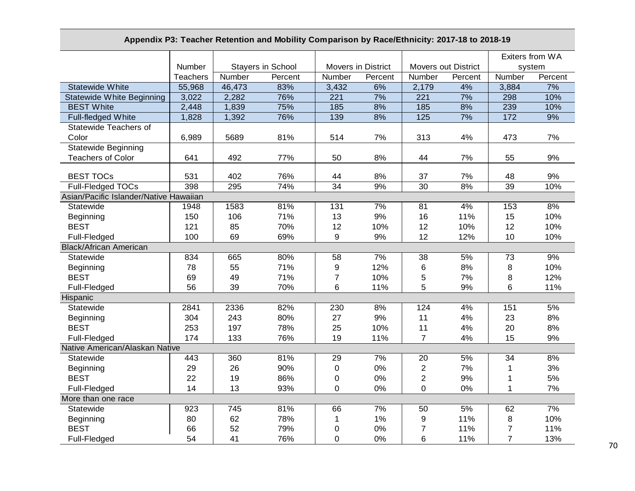# **Appendix P3: Teacher Retention and Mobility Comparison by Race/Ethnicity: 2017-18 to 2018-19**

|                                        |                 |        |                          |                |                           |                            |         | Exiters from WA |         |
|----------------------------------------|-----------------|--------|--------------------------|----------------|---------------------------|----------------------------|---------|-----------------|---------|
|                                        | Number          |        | <b>Stayers in School</b> |                | <b>Movers in District</b> | <b>Movers out District</b> |         |                 | system  |
|                                        | <b>Teachers</b> | Number | Percent                  | Number         | Percent                   | Number                     | Percent | Number          | Percent |
| <b>Statewide White</b>                 | 55,968          | 46,473 | 83%                      | 3,432          | 6%                        | 2,179                      | 4%      | 3,884           | 7%      |
| <b>Statewide White Beginning</b>       | 3,022           | 2,282  | 76%                      | 221            | 7%                        | 221                        | 7%      | 298             | 10%     |
| <b>BEST White</b>                      | 2,448           | 1,839  | 75%                      | 185            | 8%                        | 185                        | 8%      | 239             | 10%     |
| Full-fledged White                     | 1,828           | 1,392  | 76%                      | 139            | 8%                        | 125                        | 7%      | 172             | 9%      |
| Statewide Teachers of                  |                 |        |                          |                |                           |                            |         |                 |         |
| Color                                  | 6,989           | 5689   | 81%                      | 514            | 7%                        | 313                        | 4%      | 473             | 7%      |
| <b>Statewide Beginning</b>             |                 |        |                          |                |                           |                            |         |                 |         |
| <b>Teachers of Color</b>               | 641             | 492    | 77%                      | 50             | 8%                        | 44                         | 7%      | 55              | 9%      |
| <b>BEST TOCs</b>                       | 531             | 402    | 76%                      | 44             | 8%                        | 37                         | 7%      | 48              | 9%      |
| Full-Fledged TOCs                      | 398             | 295    | 74%                      | 34             | 9%                        | 30                         | 8%      | 39              | 10%     |
| Asian/Pacific Islander/Native Hawaiian |                 |        |                          |                |                           |                            |         |                 |         |
| Statewide                              | 1948            | 1583   | 81%                      | 131            | 7%                        | 81                         | 4%      | 153             | 8%      |
| Beginning                              | 150             | 106    | 71%                      | 13             | 9%                        | 16                         | 11%     | 15              | 10%     |
| <b>BEST</b>                            | 121             | 85     | 70%                      | 12             | 10%                       | 12                         | 10%     | 12              | 10%     |
| Full-Fledged                           | 100             | 69     | 69%                      | 9              | 9%                        | 12                         | 12%     | 10              | 10%     |
| <b>Black/African American</b>          |                 |        |                          |                |                           |                            |         |                 |         |
| Statewide                              | 834             | 665    | 80%                      | 58             | 7%                        | 38                         | 5%      | 73              | 9%      |
| Beginning                              | 78              | 55     | 71%                      | 9              | 12%                       | 6                          | 8%      | 8               | 10%     |
| <b>BEST</b>                            | 69              | 49     | 71%                      | $\overline{7}$ | 10%                       | 5                          | 7%      | $\,8\,$         | 12%     |
|                                        | 56              | 39     |                          | 6              |                           | 5                          | 9%      | $6\phantom{1}$  |         |
| Full-Fledged                           |                 |        | 70%                      |                | 11%                       |                            |         |                 | 11%     |
| Hispanic<br>Statewide                  |                 |        |                          |                |                           |                            |         |                 |         |
|                                        | 2841            | 2336   | 82%                      | 230            | 8%                        | 124                        | 4%      | 151             | 5%      |
| Beginning                              | 304             | 243    | 80%                      | 27             | 9%                        | 11                         | 4%      | 23              | 8%      |
| <b>BEST</b>                            | 253             | 197    | 78%                      | 25             | 10%                       | 11                         | 4%      | 20              | 8%      |
| Full-Fledged                           | 174             | 133    | 76%                      | 19             | 11%                       | $\overline{7}$             | 4%      | 15              | 9%      |
| Native American/Alaskan Native         |                 |        |                          |                |                           |                            |         |                 |         |
| Statewide                              | 443             | 360    | 81%                      | 29             | 7%                        | 20                         | 5%      | 34              | 8%      |
| Beginning                              | 29              | 26     | 90%                      | $\pmb{0}$      | 0%                        | $\sqrt{2}$                 | 7%      | $\mathbf{1}$    | 3%      |
| <b>BEST</b>                            | 22              | 19     | 86%                      | 0              | 0%                        | $\overline{2}$             | 9%      | 1               | 5%      |
| Full-Fledged                           | 14              | 13     | 93%                      | 0              | 0%                        | $\mathbf 0$                | 0%      | $\mathbf{1}$    | 7%      |
| More than one race                     |                 |        |                          |                |                           |                            |         |                 |         |
| Statewide                              | 923             | 745    | 81%                      | 66             | 7%                        | 50                         | 5%      | 62              | 7%      |
| Beginning                              | 80              | 62     | 78%                      | $\mathbf 1$    | 1%                        | 9                          | 11%     | $\bf 8$         | 10%     |
| <b>BEST</b>                            | 66              | 52     | 79%                      | 0              | 0%                        | $\overline{7}$             | 11%     | $\overline{7}$  | 11%     |
| Full-Fledged                           | 54              | 41     | 76%                      | 0              | 0%                        | 6                          | 11%     | $\overline{7}$  | 13%     |

70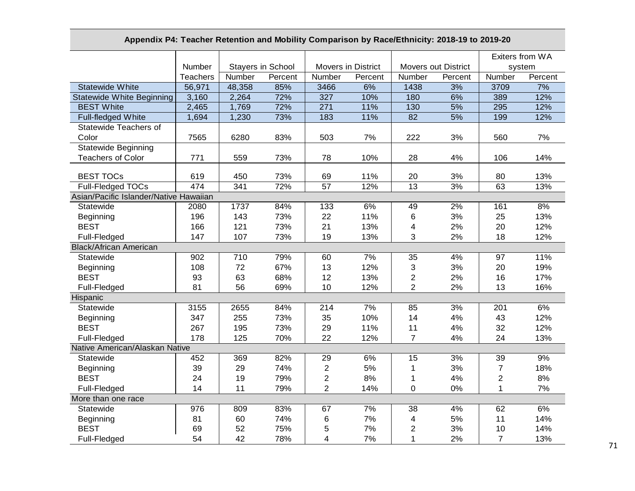# **Appendix P4: Teacher Retention and Mobility Comparison by Race/Ethnicity: 2018-19 to 2019-20**

|                                        |                 |                   |         |                           |         |                |                            | Exiters from WA |         |
|----------------------------------------|-----------------|-------------------|---------|---------------------------|---------|----------------|----------------------------|-----------------|---------|
|                                        | Number          | Stayers in School |         | <b>Movers in District</b> |         |                | <b>Movers out District</b> | system          |         |
|                                        | <b>Teachers</b> | Number            | Percent | Number                    | Percent | Number         | Percent                    | Number          | Percent |
| <b>Statewide White</b>                 | 56,971          | 48,358            | 85%     | 3466                      | 6%      | 1438           | 3%                         | 3709            | 7%      |
| <b>Statewide White Beginning</b>       | 3,160           | 2,264             | 72%     | 327                       | 10%     | 180            | 6%                         | 389             | 12%     |
| <b>BEST White</b>                      | 2,465           | 1,769             | 72%     | 271                       | 11%     | 130            | 5%                         | 295             | 12%     |
| Full-fledged White                     | 1,694           | 1,230             | 73%     | 183                       | 11%     | 82             | 5%                         | 199             | 12%     |
| Statewide Teachers of                  |                 |                   |         |                           |         |                |                            |                 |         |
| Color                                  | 7565            | 6280              | 83%     | 503                       | 7%      | 222            | 3%                         | 560             | 7%      |
| <b>Statewide Beginning</b>             |                 |                   |         |                           |         |                |                            |                 |         |
| <b>Teachers of Color</b>               | 771             | 559               | 73%     | 78                        | 10%     | 28             | 4%                         | 106             | 14%     |
| <b>BEST TOCs</b>                       | 619             | 450               | 73%     | 69                        | 11%     | 20             | 3%                         | 80              | 13%     |
| Full-Fledged TOCs                      | 474             | 341               | 72%     | 57                        | 12%     | 13             | 3%                         | 63              | 13%     |
| Asian/Pacific Islander/Native Hawaiian |                 |                   |         |                           |         |                |                            |                 |         |
| Statewide                              | 2080            | 1737              | 84%     | 133                       | 6%      | 49             | 2%                         | 161             | 8%      |
| Beginning                              | 196             | 143               | 73%     | 22                        | 11%     | 6              | 3%                         | 25              | 13%     |
| <b>BEST</b>                            | 166             | 121               | 73%     | 21                        | 13%     | 4              | 2%                         | 20              | 12%     |
| Full-Fledged                           | 147             | 107               | 73%     | 19                        | 13%     | 3              | 2%                         | 18              | 12%     |
| <b>Black/African American</b>          |                 |                   |         |                           |         |                |                            |                 |         |
| Statewide                              | 902             | 710               | 79%     | 60                        | 7%      | 35             | 4%                         | 97              | 11%     |
| Beginning                              | 108             | 72                | 67%     | 13                        | 12%     | 3              | 3%                         | 20              | 19%     |
| <b>BEST</b>                            | 93              | 63                | 68%     | 12                        | 13%     | $\overline{c}$ | 2%                         | 16              | 17%     |
| Full-Fledged                           | 81              | 56                | 69%     | 10                        | 12%     | $\overline{2}$ | 2%                         | 13              | 16%     |
| Hispanic                               |                 |                   |         |                           |         |                |                            |                 |         |
| Statewide                              | 3155            | 2655              | 84%     | 214                       | 7%      | 85             | 3%                         | 201             | 6%      |
| Beginning                              | 347             | 255               | 73%     | 35                        | 10%     | 14             | 4%                         | 43              | 12%     |
| <b>BEST</b>                            | 267             | 195               | 73%     | 29                        | 11%     | 11             | 4%                         | 32              | 12%     |
| Full-Fledged                           | 178             | 125               | 70%     | 22                        | 12%     | $\overline{7}$ | 4%                         | 24              | 13%     |
| Native American/Alaskan Native         |                 |                   |         |                           |         |                |                            |                 |         |
| Statewide                              | 452             | 369               | 82%     | 29                        | 6%      | 15             | 3%                         | 39              | 9%      |
| Beginning                              | 39              | 29                | 74%     | $\overline{2}$            | 5%      | 1              | 3%                         | $\overline{7}$  | 18%     |
| <b>BEST</b>                            | 24              | 19                | 79%     | $\overline{2}$            | 8%      | 1              | 4%                         | $\overline{2}$  | 8%      |
| Full-Fledged                           | 14              | 11                | 79%     | $\overline{2}$            | 14%     | $\mathbf 0$    | 0%                         | $\mathbf{1}$    | 7%      |
| More than one race                     |                 |                   |         |                           |         |                |                            |                 |         |
| Statewide                              | 976             | 809               | 83%     | 67                        | 7%      | 38             | 4%                         | 62              | 6%      |
| Beginning                              | 81              | 60                | 74%     | 6                         | 7%      | 4              | 5%                         | 11              | 14%     |
| <b>BEST</b>                            | 69              | 52                | 75%     | 5                         | 7%      | $\overline{c}$ | 3%                         | 10              | 14%     |
| Full-Fledged                           | 54              | 42                | 78%     | 4                         | 7%      | 1              | 2%                         | $\overline{7}$  | 13%     |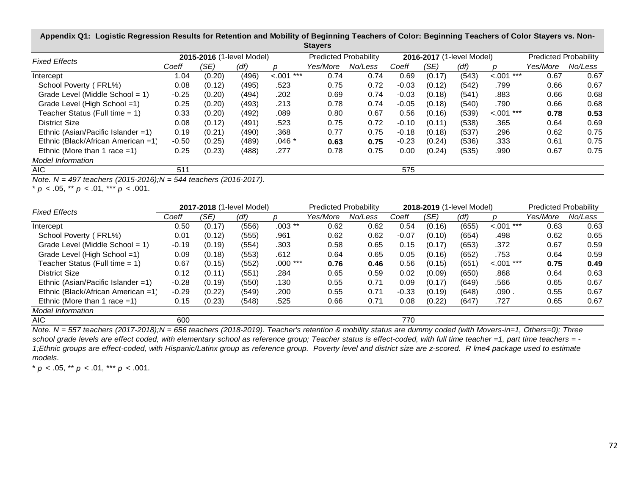| <b>Slayers</b>                      |         |                           |       |                |                              |         |         |                           |       |                |                              |         |  |
|-------------------------------------|---------|---------------------------|-------|----------------|------------------------------|---------|---------|---------------------------|-------|----------------|------------------------------|---------|--|
| <b>Fixed Effects</b>                |         | 2015-2016 (1-level Model) |       |                | <b>Predicted Probability</b> |         |         | 2016-2017 (1-level Model) |       |                | <b>Predicted Probability</b> |         |  |
|                                     | Coeff   | (SE)                      | (df)  | n              | Yes/More                     | No/Less | Coeff   | (SE)                      | (dt)  | n              | Yes/More                     | No/Less |  |
| Intercept                           | 1.04    | (0.20)                    | (496) | ***<br>$-.001$ | 0.74                         | 0.74    | 0.69    | (0.17)                    | (543) | ***<br>$-.001$ | 0.67                         | 0.67    |  |
| School Poverty (FRL%)               | 0.08    | (0.12)                    | (495) | .523           | 0.75                         | 0.72    | $-0.03$ | (0.12)                    | (542) | .799           | 0.66                         | 0.67    |  |
| Grade Level (Middle School = $1$ )  | $-0.25$ | (0.20)                    | (494) | .202           | 0.69                         | 0.74    | $-0.03$ | (0.18)                    | (541) | .883           | 0.66                         | 0.68    |  |
| Grade Level (High School =1)        | 0.25    | (0.20)                    | (493) | .213           | 0.78                         | 0.74    | $-0.05$ | (0.18)                    | (540) | .790           | 0.66                         | 0.68    |  |
| Teacher Status (Full time $= 1$ )   | 0.33    | (0.20)                    | (492) | .089           | 0.80                         | 0.67    | 0.56    | (0.16)                    | (539) | $< .001$ ***   | 0.78                         | 0.53    |  |
| <b>District Size</b>                | 0.08    | (0.12)                    | (491) | .523           | 0.75                         | 0.72    | $-0.10$ | (0.11)                    | (538) | .365           | 0.64                         | 0.69    |  |
| Ethnic (Asian/Pacific Islander = 1) | 0.19    | (0.21)                    | (490) | .368           | 0.77                         | 0.75    | $-0.18$ | (0.18)                    | (537) | .296           | 0.62                         | 0.75    |  |
| Ethnic (Black/African American =1)  | $-0.50$ | (0.25)                    | (489) | $.046*$        | 0.63                         | 0.75    | $-0.23$ | (0.24)                    | (536) | .333           | 0.61                         | 0.75    |  |
| Ethnic (More than 1 race $=1$ )     | 0.25    | (0.23)                    | (488) | .277           | 0.78                         | 0.75    | 0.00    | (0.24)                    | (535) | .990           | 0.67                         | 0.75    |  |
| Model Information                   |         |                           |       |                |                              |         |         |                           |       |                |                              |         |  |
| AIC.                                | 511     |                           |       |                |                              |         | 575     |                           |       |                |                              |         |  |

**Appendix Q1: Logistic Regression Results for Retention and Mobility of Beginning Teachers of Color: Beginning Teachers of Color Stayers vs. Non-Stayers**

*Note. N = 497 teachers (2015-2016);N = 544 teachers (2016-2017).*

\* *p* < .05, \*\* *p* < .01, \*\*\* *p* < .001.

| <b>Fixed Effects</b>               |         |        | 2017-2018 (1-level Model) |           | <b>Predicted Probability</b> |         |         |        | 2018-2019 (1-level Model) |                | <b>Predicted Probability</b><br>Yes/More<br>0.63<br>0.62<br>0.67<br>0.64<br>0.75<br>0.64<br>0.65<br>0.55<br>0.65 |         |
|------------------------------------|---------|--------|---------------------------|-----------|------------------------------|---------|---------|--------|---------------------------|----------------|------------------------------------------------------------------------------------------------------------------|---------|
|                                    | Coeff   | (SE)   | (df)                      |           | Yes/More                     | No/Less | Coeff   | (SE)   | (df)                      |                |                                                                                                                  | No/Less |
| Intercept                          | 0.50    | (0.17) | (556)                     | $.003$ ** | 0.62                         | 0.62    | 0.54    | (0.16) | (655)                     | ***<br>$-.001$ |                                                                                                                  | 0.63    |
| School Poverty (FRL%)              | 0.01    | (0.12) | (555)                     | .961      | 0.62                         | 0.62    | $-0.07$ | (0.10) | (654)                     | .498           |                                                                                                                  | 0.65    |
| Grade Level (Middle School = $1$ ) | $-0.19$ | (0.19) | (554)                     | .303      | 0.58                         | 0.65    | 0.15    | (0.17) | (653)                     | .372           |                                                                                                                  | 0.59    |
| Grade Level (High School =1)       | 0.09    | (0.18) | (553)                     | .612      | 0.64                         | 0.65    | 0.05    | (0.16) | (652)                     | .753           |                                                                                                                  | 0.59    |
| Teacher Status (Full time = 1)     | 0.67    | (0.15) | (552)                     | $.000***$ | 0.76                         | 0.46    | 0.56    | (0.15) | (651)                     | $< .001$ ***   |                                                                                                                  | 0.49    |
| District Size                      | 0.12    | (0.11) | (551)                     | .284      | 0.65                         | 0.59    | 0.02    | (0.09) | (650)                     | .868           |                                                                                                                  | 0.63    |
| Ethnic (Asian/Pacific Islander =1) | $-0.28$ | (0.19) | (550)                     | .130      | 0.55                         | 0.71    | 0.09    | (0.17) | (649)                     | .566           |                                                                                                                  | 0.67    |
| Ethnic (Black/African American =1) | $-0.29$ | (0.22) | (549)                     | .200      | 0.55                         | 0.71    | $-0.33$ | (0.19) | (648)                     | .090.          |                                                                                                                  | 0.67    |
| Ethnic (More than 1 race $=1$ )    | 0.15    | (0.23) | (548)                     | .525      | 0.66                         | 0.71    | 0.08    | (0.22) | (647)                     | .727           |                                                                                                                  | 0.67    |
| <b>Model Information</b>           |         |        |                           |           |                              |         |         |        |                           |                |                                                                                                                  |         |
| AIC                                | 600     |        |                           |           |                              |         | 770     |        |                           |                |                                                                                                                  |         |

*Note. N = 557 teachers (2017-2018);N = 656 teachers (2018-2019). Teacher's retention & mobility status are dummy coded (with Movers-in=1, Others=0); Three school grade levels are effect coded, with elementary school as reference group; Teacher status is effect-coded, with full time teacher =1, part time teachers = - 1;Ethnic groups are effect-coded, with Hispanic/Latinx group as reference group. Poverty level and district size are z-scored. R lme4 package used to estimate models.*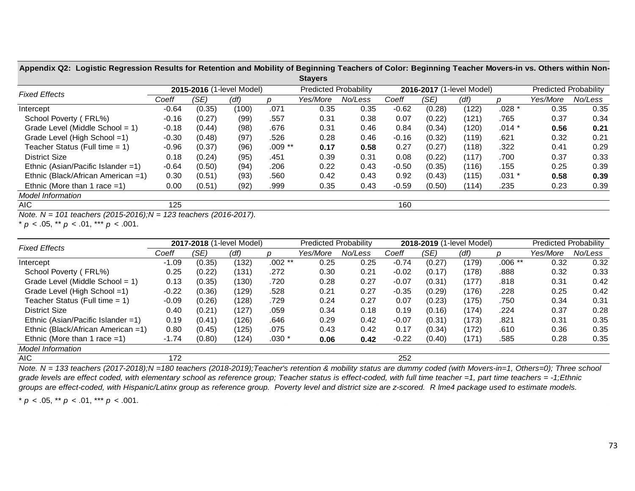Appendix Q2: Logistic Regression Results for Retention and Mobility of Beginning Teachers of Color: Beginning Teacher Movers-in vs. Others within Non-**Stayers**

|                                    |         |                           |       |          | <b>Uldyti</b> s |                              |         |                           |       |            |                              |         |
|------------------------------------|---------|---------------------------|-------|----------|-----------------|------------------------------|---------|---------------------------|-------|------------|------------------------------|---------|
| <b>Fixed Effects</b>               |         | 2015-2016 (1-level Model) |       |          |                 | <b>Predicted Probability</b> |         | 2016-2017 (1-level Model) |       |            | <b>Predicted Probability</b> |         |
|                                    | Coeff   | (SE)                      | (df)  | D        | Yes/More        | No/Less                      | Coeff   | (SE)                      | (df)  | n          | Yes/More                     | No/Less |
| Intercept                          | $-0.64$ | (0.35)                    | (100) | .071     | 0.35            | 0.35                         | $-0.62$ | (0.28)                    | (122) | $.028*$    | 0.35                         | 0.35    |
| School Poverty (FRL%)              | $-0.16$ | (0.27)                    | (99)  | .557     | 0.31            | 0.38                         | 0.07    | (0.22)                    | (121) | .765       | 0.37                         | 0.34    |
| Grade Level (Middle School = 1)    | $-0.18$ | (0.44)                    | (98)  | .676     | 0.31            | 0.46                         | 0.84    | (0.34)                    | (120) | $.014$ $*$ | 0.56                         | 0.21    |
| Grade Level (High School =1)       | $-0.30$ | (0.48)                    | (97)  | .526     | 0.28            | 0.46                         | $-0.16$ | (0.32)                    | (119) | .621       | 0.32                         | 0.21    |
| Teacher Status (Full time = 1)     | $-0.96$ | (0.37)                    | (96)  | $.009**$ | 0.17            | 0.58                         | 0.27    | (0.27)                    | (118) | .322       | 0.41                         | 0.29    |
| District Size                      | 0.18    | (0.24)                    | (95)  | .451     | 0.39            | 0.31                         | 0.08    | (0.22)                    | (117) | .700       | 0.37                         | 0.33    |
| Ethnic (Asian/Pacific Islander =1) | $-0.64$ | (0.50)                    | (94)  | .206     | 0.22            | 0.43                         | $-0.50$ | (0.35)                    | (116) | .155       | 0.25                         | 0.39    |
| Ethnic (Black/African American =1) | 0.30    | (0.51)                    | (93)  | .560     | 0.42            | 0.43                         | 0.92    | (0.43)                    | (115) | $.031 *$   | 0.58                         | 0.39    |
| Ethnic (More than 1 race $=1$ )    | 0.00    | (0.51)                    | (92)  | .999     | 0.35            | 0.43                         | $-0.59$ | (0.50)                    | (114) | .235       | 0.23                         | 0.39    |
| <b>Model Information</b>           |         |                           |       |          |                 |                              |         |                           |       |            |                              |         |
| AIC.                               | 125     |                           |       |          |                 |                              | 160     |                           |       |            |                              |         |

*Note. N = 101 teachers (2015-2016);N = 123 teachers (2016-2017).*

\* *p* < .05, \*\* *p* < .01, \*\*\* *p* < .001.

| <b>Fixed Effects</b>                |         | 2017-2018 (1-level Model) |       |          | <b>Predicted Probability</b> |         |         |        | 2018-2019 (1-level Model) |          | <b>Predicted Probability</b> |         |
|-------------------------------------|---------|---------------------------|-------|----------|------------------------------|---------|---------|--------|---------------------------|----------|------------------------------|---------|
|                                     | Coeff   | (SE)                      | (df)  |          | Yes/More                     | No/Less | Coeff   | (SE)   | (df)                      |          | Yes/More                     | No/Less |
| Intercept                           | $-1.09$ | (0.35)                    | (132) | $.002**$ | 0.25                         | 0.25    | $-0.74$ | (0.27) | (179)                     | $.006**$ | 0.32                         | 0.32    |
| School Poverty (FRL%)               | 0.25    | (0.22)                    | (131) | .272     | 0.30                         | 0.21    | $-0.02$ | (0.17) | (178)                     | .888     | 0.32                         | 0.33    |
| Grade Level (Middle School = $1$ )  | 0.13    | (0.35)                    | (130) | .720     | 0.28                         | 0.27    | $-0.07$ | (0.31) | (177)                     | .818     | 0.31                         | 0.42    |
| Grade Level (High School =1)        | $-0.22$ | (0.36)                    | 129)  | .528     | 0.21                         | 0.27    | $-0.35$ | (0.29) | (176)                     | .228     | 0.25                         | 0.42    |
| Teacher Status (Full time $= 1$ )   | $-0.09$ | (0.26)                    | (128) | .729     | 0.24                         | 0.27    | 0.07    | (0.23) | (175)                     | .750     | 0.34                         | 0.31    |
| District Size                       | 0.40    | (0.21)                    | (127) | .059     | 0.34                         | 0.18    | 0.19    | (0.16) | (174)                     | .224     | 0.37                         | 0.28    |
| Ethnic (Asian/Pacific Islander = 1) | 0.19    | (0.41)                    | (126) | .646     | 0.29                         | 0.42    | $-0.07$ | (0.31) | (173)                     | .821     | 0.31                         | 0.35    |
| Ethnic (Black/African American =1)  | 0.80    | (0.45)                    | (125) | .075     | 0.43                         | 0.42    | 0.17    | (0.34) | (172)                     | .610     | 0.36                         | 0.35    |
| Ethnic (More than 1 race $=1$ )     | $-1.74$ | (0.80)                    | (124) | $.030*$  | 0.06                         | 0.42    | $-0.22$ | (0.40) | (171)                     | .585     | 0.28                         | 0.35    |
| <b>Model Information</b>            |         |                           |       |          |                              |         |         |        |                           |          |                              |         |
| AIC                                 | 172     |                           |       |          |                              |         | 252     |        |                           |          |                              |         |

*Note. N = 133 teachers (2017-2018);N =180 teachers (2018-2019);Teacher's retention & mobility status are dummy coded (with Movers-in=1, Others=0); Three school grade levels are effect coded, with elementary school as reference group; Teacher status is effect-coded, with full time teacher =1, part time teachers = -1;Ethnic groups are effect-coded, with Hispanic/Latinx group as reference group. Poverty level and district size are z-scored. R lme4 package used to estimate models.*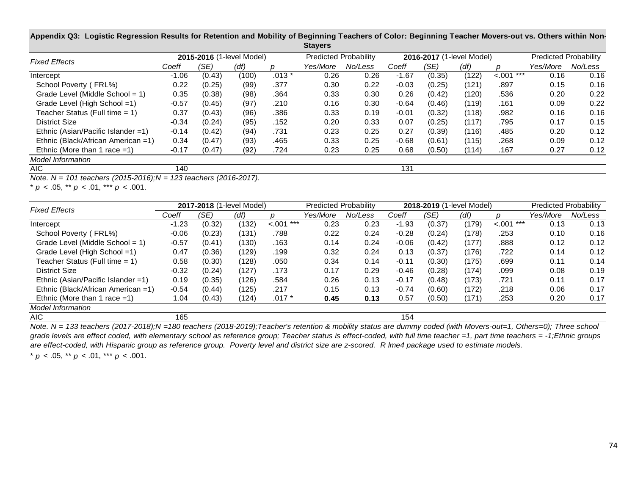| $\sim$ . $\sim$ , $\sim$ . $\sim$   |         |                           |       |         |                              |         |         |                           |       |              |                              |         |
|-------------------------------------|---------|---------------------------|-------|---------|------------------------------|---------|---------|---------------------------|-------|--------------|------------------------------|---------|
| <b>Fixed Effects</b>                |         | 2015-2016 (1-level Model) |       |         | <b>Predicted Probability</b> |         |         | 2016-2017 (1-level Model) |       |              | <b>Predicted Probability</b> |         |
|                                     | Coeff   | (SE)                      | (df)  |         | Yes/More                     | No/Less | Coeff   | (SE)                      | (df)  |              | Yes/More                     | No/Less |
| Intercept                           | $-1.06$ | (0.43)                    | (100) | $.013*$ | 0.26                         | 0.26    | $-1.67$ | (0.35)                    | (122) | $< .001$ *** | 0.16                         | 0.16    |
| School Poverty (FRL%)               | 0.22    | (0.25)                    | (99)  | .377    | 0.30                         | 0.22    | $-0.03$ | (0.25)                    | (121) | .897         | 0.15                         | 0.16    |
| Grade Level (Middle School = $1$ )  | 0.35    | (0.38)                    | (98)  | .364    | 0.33                         | 0.30    | 0.26    | (0.42)                    | (120) | .536         | 0.20                         | 0.22    |
| Grade Level (High School =1)        | $-0.57$ | (0.45)                    | (97)  | .210    | 0.16                         | 0.30    | $-0.64$ | (0.46)                    | (119) | .161         | 0.09                         | 0.22    |
| Teacher Status (Full time $= 1$ )   | 0.37    | (0.43)                    | (96)  | .386    | 0.33                         | 0.19    | $-0.01$ | (0.32)                    | (118) | .982         | 0.16                         | 0.16    |
| <b>District Size</b>                | $-0.34$ | (0.24)                    | (95)  | .152    | 0.20                         | 0.33    | 0.07    | (0.25)                    | (117) | .795         | 0.17                         | 0.15    |
| Ethnic (Asian/Pacific Islander = 1) | $-0.14$ | (0.42)                    | (94)  | .731    | 0.23                         | 0.25    | 0.27    | (0.39)                    | (116) | .485         | 0.20                         | 0.12    |
| Ethnic (Black/African American =1)  | 0.34    | (0.47)                    | (93)  | .465    | 0.33                         | 0.25    | $-0.68$ | (0.61)                    | (115) | .268         | 0.09                         | 0.12    |
| Ethnic (More than 1 race $=1$ )     | $-0.17$ | (0.47)                    | (92)  | .724    | 0.23                         | 0.25    | 0.68    | (0.50)                    | (114) | .167         | 0.27                         | 0.12    |
| <b>Model Information</b>            |         |                           |       |         |                              |         |         |                           |       |              |                              |         |
| AIC                                 | 140     |                           |       |         |                              |         | 131     |                           |       |              |                              |         |

Appendix Q3: Logistic Regression Results for Retention and Mobility of Beginning Teachers of Color: Beginning Teacher Movers-out vs. Others within Non-**Stayers**

*Note. N = 101 teachers (2015-2016);N = 123 teachers (2016-2017).*

\* *p* < .05, \*\* *p* < .01, \*\*\* *p* < .001.

| <b>Fixed Effects</b>                             |         | 2017-2018 (1-level Model) |       |              | <b>Predicted Probability</b> |                                                                                                                               |         | 2018-2019 (1-level Model) |       |              | <b>Predicted Probability</b><br>Yes/More<br>0.13<br>0.10<br>0.12<br>0.14<br>0.11<br>0.08<br>0.11<br>0.06<br>0.20 |         |
|--------------------------------------------------|---------|---------------------------|-------|--------------|------------------------------|-------------------------------------------------------------------------------------------------------------------------------|---------|---------------------------|-------|--------------|------------------------------------------------------------------------------------------------------------------|---------|
|                                                  | Coeff   | (SE)                      | (df)  |              | Yes/More                     | No/Less                                                                                                                       | Coeff   | (SE)                      | (df)  |              |                                                                                                                  | No/Less |
| Intercept                                        | $-1.23$ | (0.32)                    | (132) | $< .001$ *** | 0.23                         | 0.23                                                                                                                          | $-1.93$ | (0.37)                    | (179) | $< .001$ *** |                                                                                                                  | 0.13    |
| School Poverty (FRL%)                            | $-0.06$ | (0.23)                    | (131) | .788         | 0.22                         | 0.24                                                                                                                          | $-0.28$ | (0.24)                    | (178) | .253         |                                                                                                                  | 0.16    |
| Grade Level (Middle School = $1$ )               | $-0.57$ | (0.41)                    | (130) | .163         | 0.14                         | 0.24                                                                                                                          | $-0.06$ | (0.42)                    | (177) | .888         |                                                                                                                  | 0.12    |
| Grade Level (High School = 1)                    | 0.47    | (0.36)                    | (129) | .199         | 0.32                         | 0.24                                                                                                                          | 0.13    | (0.37)                    | (176) | .722         |                                                                                                                  | 0.12    |
| Teacher Status (Full time = 1)                   | 0.58    | (0.30)                    | (128) | .050         | 0.34                         | 0.14                                                                                                                          | $-0.11$ | (0.30)                    | (175) | .699         |                                                                                                                  | 0.14    |
| <b>District Size</b>                             | $-0.32$ | (0.24)                    | (127) | .173         | 0.17                         | 0.29                                                                                                                          | $-0.46$ | (0.28)                    | (174) | .099         |                                                                                                                  | 0.19    |
| Ethnic (Asian/Pacific Islander = 1)              | 0.19    | (0.35)                    | (126) | .584         | 0.26                         | 0.13                                                                                                                          | $-0.17$ | (0.48)                    | (173) | .721         |                                                                                                                  | 0.17    |
| Ethnic (Black/African American =1)               | $-0.54$ | (0.44)                    | (125) | .217         | 0.15                         | 0.13                                                                                                                          | $-0.74$ | (0.60)                    | (172) | .218         |                                                                                                                  | 0.17    |
| Ethnic (More than 1 race $=1$ )                  | 1.04    | (0.43)                    | (124) | $.017 *$     | 0.45                         | 0.13                                                                                                                          | 0.57    | (0.50)                    | (171) | .253         |                                                                                                                  | 0.17    |
| <b>Model Information</b>                         |         |                           |       |              |                              |                                                                                                                               |         |                           |       |              |                                                                                                                  |         |
| AIC.                                             | 165     |                           |       |              |                              |                                                                                                                               | 154     |                           |       |              |                                                                                                                  |         |
| $100$ to calculate $(0.017, 0.010)$ .<br>$N = 1$ |         |                           |       |              |                              | 100 togethers (0010 0010). Togethers retaction 8 mobility atatus are dummy coded (with Mayamo aut. 1. Others O), Three ochool |         |                           |       |              |                                                                                                                  |         |

*Note. N = 133 teachers (2017-2018);N =180 teachers (2018-2019);Teacher's retention & mobility status are dummy coded (with Movers-out=1, Others=0); Three school grade levels are effect coded, with elementary school as reference group; Teacher status is effect-coded, with full time teacher =1, part time teachers = -1;Ethnic groups are effect-coded, with Hispanic group as reference group. Poverty level and district size are z-scored. R lme4 package used to estimate models.*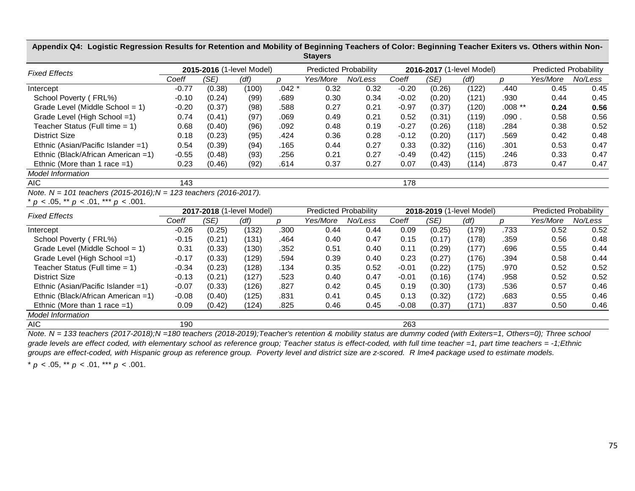| <b>Fixed Effects</b>                                              |         |        | 2015-2016 (1-level Model) |               | <b>Predicted Probability</b> |         |         |                           | 2016-2017 (1-level Model) |          | <b>Predicted Probability</b> |                              |
|-------------------------------------------------------------------|---------|--------|---------------------------|---------------|------------------------------|---------|---------|---------------------------|---------------------------|----------|------------------------------|------------------------------|
|                                                                   | Coeff   | (SE)   | (df)                      | $\mathcal{D}$ | Yes/More                     | No/Less | Coeff   | (SE)                      | (df)                      | D        | Yes/More                     | No/Less                      |
| Intercept                                                         | $-0.77$ | (0.38) | (100)                     | $.042*$       | 0.32                         | 0.32    | $-0.20$ | (0.26)                    | (122)                     | .440     | 0.45                         | 0.45                         |
| School Poverty (FRL%)                                             | $-0.10$ | (0.24) | (99)                      | .689          | 0.30                         | 0.34    | $-0.02$ | (0.20)                    | (121)                     | .930     | 0.44                         | 0.45                         |
| Grade Level (Middle School = 1)                                   | $-0.20$ | (0.37) | (98)                      | .588          | 0.27                         | 0.21    | $-0.97$ | (0.37)                    | (120)                     | $.008**$ | 0.24                         | 0.56                         |
| Grade Level (High School =1)                                      | 0.74    | (0.41) | (97)                      | .069          | 0.49                         | 0.21    | 0.52    | (0.31)                    | (119)                     | .090.    | 0.58                         | 0.56                         |
| Teacher Status (Full time $= 1$ )                                 | 0.68    | (0.40) | (96)                      | .092          | 0.48                         | 0.19    | $-0.27$ | (0.26)                    | (118)                     | .284     | 0.38                         | 0.52                         |
| <b>District Size</b>                                              | 0.18    | (0.23) | (95)                      | .424          | 0.36                         | 0.28    | $-0.12$ | (0.20)                    | (117)                     | .569     | 0.42                         | 0.48                         |
| Ethnic (Asian/Pacific Islander = 1)                               | 0.54    | (0.39) | (94)                      | .165          | 0.44                         | 0.27    | 0.33    | (0.32)                    | (116)                     | .301     | 0.53                         | 0.47                         |
| Ethnic (Black/African American =1)                                | $-0.55$ | (0.48) | (93)                      | .256          | 0.21                         | 0.27    | $-0.49$ | (0.42)                    | (115)                     | .246     | 0.33                         | 0.47                         |
| Ethnic (More than 1 race $=1$ )                                   | 0.23    | (0.46) | (92)                      | .614          | 0.37                         | 0.27    | 0.07    | (0.43)                    | (114)                     | .873     | 0.47                         | 0.47                         |
| <b>Model Information</b>                                          |         |        |                           |               |                              |         |         |                           |                           |          |                              |                              |
| <b>AIC</b>                                                        | 143     |        |                           |               |                              |         | 178     |                           |                           |          |                              |                              |
| Note. N = 101 teachers (2015-2016); N = 123 teachers (2016-2017). |         |        |                           |               |                              |         |         |                           |                           |          |                              |                              |
| * $p < .05$ , ** $p < .01$ , *** $p < .001$ .                     |         |        |                           |               |                              |         |         |                           |                           |          |                              |                              |
| <b>Fixed Effects</b>                                              |         |        | 2017-2018 (1-level Model) |               | <b>Predicted Probability</b> |         |         | 2018-2019 (1-level Model) |                           |          |                              | <b>Predicted Probability</b> |
|                                                                   | Coeff   | (SE)   | (df)                      | p             | Yes/More                     | No/Less | Coeff   | (SE)                      | (df)                      | р        | Yes/More                     | No/Less                      |
| Intercept                                                         | $-0.26$ | (0.25) | (132)                     | .300          | 0.44                         | 0.44    | 0.09    | (0.25)                    | (179)                     | .733     | 0.52                         | 0.52                         |
| School Poverty (FRL%)                                             | $-0.15$ | (0.21) | (131)                     | .464          | 0.40                         | 0.47    | 0.15    | (0.17)                    | (178)                     | .359     | 0.56                         | 0.48                         |
| Grade Level (Middle School = 1)                                   | 0.31    | (0.33) | (130)                     | .352          | 0.51                         | 0.40    | 0.11    | (0.29)                    | (177)                     | .696     | 0.55                         | 0.44                         |
| Grade Level (High School =1)                                      | $-0.17$ | (0.33) | (129)                     | .594          | 0.39                         | 0.40    | 0.23    | (0.27)                    | (176)                     | .394     | 0.58                         | 0.44                         |
| Teacher Status (Full time $= 1$ )                                 | $-0.34$ | (0.23) | (128)                     | .134          | 0.35                         | 0.52    | $-0.01$ | (0.22)                    | (175)                     | .970     | 0.52                         | 0.52                         |
| <b>District Size</b>                                              | $-0.13$ | (0.21) | (127)                     | .523          | 0.40                         | 0.47    | $-0.01$ | (0.16)                    | (174)                     | .958     | 0.52                         | 0.52                         |
| Ethnic (Asian/Pacific Islander =1)                                | $-0.07$ | (0.33) | (126)                     | .827          | 0.42                         | 0.45    | 0.19    | (0.30)                    | (173)                     | .536     | 0.57                         | 0.46                         |
| Ethnic (Black/African American =1)                                | $-0.08$ | (0.40) | (125)                     | .831          | 0.41                         | 0.45    | 0.13    | (0.32)                    | (172)                     | .683     | 0.55                         | 0.46                         |
| Ethnic (More than 1 race $=1$ )                                   | 0.09    | (0.42) | (124)                     | .825          | 0.46                         | 0.45    | $-0.08$ | (0.37)                    | (171)                     | .837     | 0.50                         | 0.46                         |
| Model Information                                                 |         |        |                           |               |                              |         |         |                           |                           |          |                              |                              |
| <b>AIC</b>                                                        | 190     |        |                           |               |                              |         | 263     |                           |                           |          |                              |                              |

Appendix Q4: Logistic Regression Results for Retention and Mobility of Beginning Teachers of Color: Beginning Teacher Exiters vs. Others within Non-**Stayers**

*Note. N = 133 teachers (2017-2018);N =180 teachers (2018-2019);Teacher's retention & mobility status are dummy coded (with Exiters=1, Others=0); Three school grade levels are effect coded, with elementary school as reference group; Teacher status is effect-coded, with full time teacher =1, part time teachers = -1;Ethnic groups are effect-coded, with Hispanic group as reference group. Poverty level and district size are z-scored. R lme4 package used to estimate models.*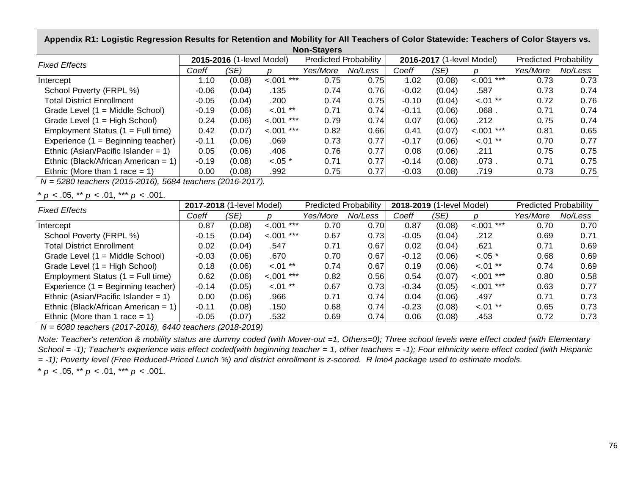**Appendix R1: Logistic Regression Results for Retention and Mobility for All Teachers of Color Statewide: Teachers of Color Stayers vs. Non-Stayers**

| <b>11011-טנמ</b>                       |         |                           |                |                              |         |         |                           |              |                              |         |  |  |  |
|----------------------------------------|---------|---------------------------|----------------|------------------------------|---------|---------|---------------------------|--------------|------------------------------|---------|--|--|--|
| <b>Fixed Effects</b>                   |         | 2015-2016 (1-level Model) |                | <b>Predicted Probability</b> |         |         | 2016-2017 (1-level Model) |              | <b>Predicted Probability</b> |         |  |  |  |
|                                        | Coeff   | (SE)                      |                | Yes/More                     | No/Less | Coeff   | (SE)                      |              | Yes/More                     | No/Less |  |  |  |
| Intercept                              | 1.10    | (0.08)                    | < .001<br>***  | 0.75                         | 0.75    | 1.02    | (0.08)                    | $< .001$ *** | 0.73                         | 0.73    |  |  |  |
| School Poverty (FRPL %)                | $-0.06$ | (0.04)                    | .135           | 0.74                         | 0.76    | $-0.02$ | (0.04)                    | .587         | 0.73                         | 0.74    |  |  |  |
| <b>Total District Enrollment</b>       | $-0.05$ | (0.04)                    | .200           | 0.74                         | 0.75    | $-0.10$ | (0.04)                    | $< 01$ **    | 0.72                         | 0.76    |  |  |  |
| Grade Level (1 = Middle School)        | $-0.19$ | (0.06)                    | $< 01$ **      | 0.71                         | 0.74    | $-0.11$ | (0.06)                    | .068.        | 0.71                         | 0.74    |  |  |  |
| Grade Level $(1 = High School)$        | 0.24    | (0.06)                    | ***<br>$-.001$ | 0.79                         | 0.74    | 0.07    | (0.06)                    | .212         | 0.75                         | 0.74    |  |  |  |
| Employment Status $(1 = Full time)$    | 0.42    | (0.07)                    | ***<br>< .001  | 0.82                         | 0.66    | 0.41    | (0.07)                    | $< 001$ ***  | 0.81                         | 0.65    |  |  |  |
| Experience $(1 =$ Beginning teacher)   | $-0.11$ | (0.06)                    | .069           | 0.73                         | 0.77    | $-0.17$ | (0.06)                    | $< 01$ **    | 0.70                         | 0.77    |  |  |  |
| Ethnic (Asian/Pacific Islander = $1$ ) | 0.05    | (0.06)                    | .406           | 0.76                         | 0.77    | 0.08    | (0.06)                    | .211         | 0.75                         | 0.75    |  |  |  |
| Ethnic (Black/African American = $1$ ) | $-0.19$ | (0.08)                    | $< .05$ *      | 0.71                         | 0.77    | $-0.14$ | (0.08)                    | .073.        | 0.71                         | 0.75    |  |  |  |
| Ethnic (More than 1 race $= 1$ )       | 0.00    | (0.08)                    | .992           | 0.75                         | 0.77    | $-0.03$ | (0.08)                    | .719         | 0.73                         | 0.75    |  |  |  |

 *N = 5280 teachers (2015-2016), 5684 teachers (2016-2017).*

\* *p* < .05, \*\* *p* < .01, \*\*\* *p* < .001.

| <b>Fixed Effects</b>                   | 2017-2018 (1-level Model) |        |              | <b>Predicted Probability</b> |         | 2018-2019 (1-level Model) |        | <b>Predicted Probability</b> |          |         |
|----------------------------------------|---------------------------|--------|--------------|------------------------------|---------|---------------------------|--------|------------------------------|----------|---------|
|                                        | Coeff                     | (SE)   |              | Yes/More                     | No/Less | Coeff                     | (SE)   |                              | Yes/More | No/Less |
| Intercept                              | 0.87                      | (0.08) | $< .001$ *** | 0.70                         | 0.70    | 0.87                      | (0.08) | $< .001$ ***                 | 0.70     | 0.70    |
| School Poverty (FRPL %)                | $-0.15$                   | (0.04) | $< .001$ *** | 0.67                         | 0.73    | $-0.05$                   | (0.04) | .212                         | 0.69     | 0.71    |
| <b>Total District Enrollment</b>       | 0.02                      | (0.04) | .547         | 0.71                         | 0.67    | 0.02                      | (0.04) | .621                         | 0.71     | 0.69    |
| Grade Level (1 = Middle School)        | $-0.03$                   | (0.06) | .670         | 0.70                         | 0.67    | $-0.12$                   | (0.06) | $< .05$ *                    | 0.68     | 0.69    |
| Grade Level $(1 = High School)$        | 0.18                      | (0.06) | $< 01$ **    | 0.74                         | 0.67    | 0.19                      | (0.06) | $< 01$ **                    | 0.74     | 0.69    |
| Employment Status $(1 = Full time)$    | 0.62                      | (0.06) | $< .001$ *** | 0.82                         | 0.56    | 0.54                      | (0.07) | $< 001$ ***                  | 0.80     | 0.58    |
| Experience $(1 =$ Beginning teacher)   | $-0.14$                   | (0.05) | $< 01$ **    | 0.67                         | 0.73    | $-0.34$                   | (0.05) | $< 0.01$ ***                 | 0.63     | 0.77    |
| Ethnic (Asian/Pacific Islander = $1$ ) | 0.00                      | (0.06) | .966         | 0.71                         | 0.74    | 0.04                      | (0.06) | .497                         | 0.71     | 0.73    |
| Ethnic (Black/African American = 1)    | $-0.11$                   | (0.08) | .150         | 0.68                         | 0.74    | $-0.23$                   | (0.08) | $< .01$ **                   | 0.65     | 0.73    |
| Ethnic (More than 1 race $= 1$ )       | $-0.05$                   | (0.07) | .532         | 0.69                         | 0.74    | 0.06                      | (0.08) | .453                         | 0.72     | 0.73    |

 *N = 6080 teachers (2017-2018), 6440 teachers (2018-2019)*

*Note: Teacher's retention & mobility status are dummy coded (with Mover-out =1, Others=0); Three school levels were effect coded (with Elementary School = -1); Teacher's experience was effect coded(with beginning teacher = 1, other teachers = -1); Four ethnicity were effect coded (with Hispanic = -1); Poverty level (Free Reduced-Priced Lunch %) and district enrollment is z-scored. R lme4 package used to estimate models.*

\* 
$$
p < .05
$$
, \*\*  $p < .01$ , \*\*\*  $p < .001$ .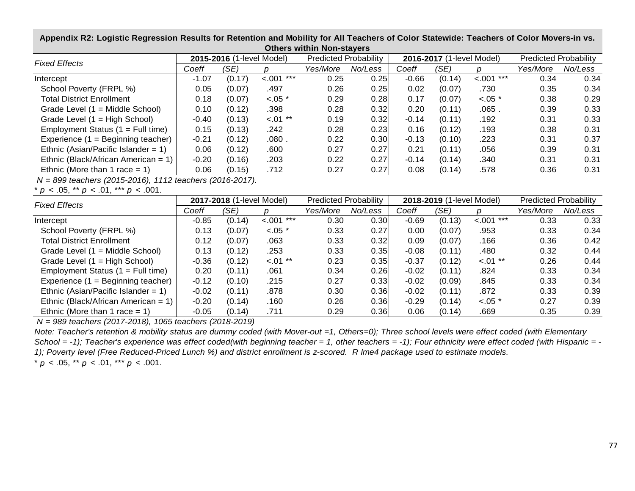**Appendix R2: Logistic Regression Results for Retention and Mobility for All Teachers of Color Statewide: Teachers of Color Movers-in vs. Others within Non-stayers**

| <b>Fixed Effects</b>                   | 2015-2016 (1-level Model) |        |              | <b>Predicted Probability</b> |         |         | 2016-2017 (1-level Model) | <b>Predicted Probability</b> |          |         |  |
|----------------------------------------|---------------------------|--------|--------------|------------------------------|---------|---------|---------------------------|------------------------------|----------|---------|--|
|                                        | Coeff                     | (SE)   |              | Yes/More                     | No/Less | Coeff   | (SE)                      |                              | Yes/More | No/Less |  |
| Intercept                              | $-1.07$                   | (0.17) | $< 0.01$ *** | 0.25                         | 0.25    | $-0.66$ | (0.14)                    | $< 0.01$ ***                 | 0.34     | 0.34    |  |
| School Poverty (FRPL %)                | 0.05                      | (0.07) | .497         | 0.26                         | 0.25    | 0.02    | (0.07)                    | .730                         | 0.35     | 0.34    |  |
| <b>Total District Enrollment</b>       | 0.18                      | (0.07) | $< .05$ *    | 0.29                         | 0.28    | 0.17    | (0.07)                    | $< .05$ *                    | 0.38     | 0.29    |  |
| Grade Level (1 = Middle School)        | 0.10                      | (0.12) | .398         | 0.28                         | 0.32    | 0.20    | (0.11)                    | .065.                        | 0.39     | 0.33    |  |
| Grade Level (1 = High School)          | $-0.40$                   | (0.13) | $< .01$ **   | 0.19                         | 0.32    | $-0.14$ | (0.11)                    | .192                         | 0.31     | 0.33    |  |
| Employment Status $(1 = Full time)$    | 0.15                      | (0.13) | .242         | 0.28                         | 0.23    | 0.16    | (0.12)                    | .193                         | 0.38     | 0.31    |  |
| Experience $(1 =$ Beginning teacher)   | $-0.21$                   | (0.12) | .080.        | 0.22                         | 0.30    | $-0.13$ | (0.10)                    | .223                         | 0.31     | 0.37    |  |
| Ethnic (Asian/Pacific Islander = $1$ ) | 0.06                      | (0.12) | .600         | 0.27                         | 0.27    | 0.21    | (0.11)                    | .056                         | 0.39     | 0.31    |  |
| Ethnic (Black/African American = 1)    | $-0.20$                   | (0.16) | .203         | 0.22                         | 0.27    | $-0.14$ | (0.14)                    | .340                         | 0.31     | 0.31    |  |
| Ethnic (More than 1 race $= 1$ )       | 0.06                      | (0.15) | .712         | 0.27                         | 0.27    | 0.08    | (0.14)                    | .578                         | 0.36     | 0.31    |  |

 *N = 899 teachers (2015-2016), 1112 teachers (2016-2017).*

\* *p* < .05, \*\* *p* < .01, \*\*\* *p* < .001.

| <b>Fixed Effects</b>                   | 2017-2018 (1-level Model) |        |              | <b>Predicted Probability</b> |         |         | 2018-2019 (1-level Model) | <b>Predicted Probability</b> |          |         |
|----------------------------------------|---------------------------|--------|--------------|------------------------------|---------|---------|---------------------------|------------------------------|----------|---------|
|                                        | Coeff                     | (SE)   |              | Yes/More                     | No/Less | Coeff   | (SE)                      |                              | Yes/More | No/Less |
| Intercept                              | $-0.85$                   | (0.14) | $< .001$ *** | 0.30                         | 0.30    | $-0.69$ | (0.13)                    | $< 001$ ***                  | 0.33     | 0.33    |
| School Poverty (FRPL %)                | 0.13                      | (0.07) | $< .05$ *    | 0.33                         | 0.27    | 0.00    | (0.07)                    | .953                         | 0.33     | 0.34    |
| <b>Total District Enrollment</b>       | 0.12                      | (0.07) | .063         | 0.33                         | 0.32    | 0.09    | (0.07)                    | .166                         | 0.36     | 0.42    |
| Grade Level (1 = Middle School)        | 0.13                      | (0.12) | .253         | 0.33                         | 0.35    | $-0.08$ | (0.11)                    | .480                         | 0.32     | 0.44    |
| Grade Level $(1 = High School)$        | $-0.36$                   | (0.12) | $< 01$ **    | 0.23                         | 0.35    | $-0.37$ | (0.12)                    | $< 0.01$ **                  | 0.26     | 0.44    |
| Employment Status $(1 = Full time)$    | 0.20                      | (0.11) | .061         | 0.34                         | 0.26    | $-0.02$ | (0.11)                    | .824                         | 0.33     | 0.34    |
| Experience $(1 =$ Beginning teacher)   | $-0.12$                   | (0.10) | .215         | 0.27                         | 0.33    | $-0.02$ | (0.09)                    | .845                         | 0.33     | 0.34    |
| Ethnic (Asian/Pacific Islander = $1$ ) | $-0.02$                   | (0.11) | .878         | 0.30                         | 0.36    | $-0.02$ | (0.11)                    | .872                         | 0.33     | 0.39    |
| Ethnic (Black/African American = 1)    | $-0.20$                   | (0.14) | .160         | 0.26                         | 0.36    | $-0.29$ | (0.14)                    | $< .05$ *                    | 0.27     | 0.39    |
| Ethnic (More than 1 race $= 1$ )       | $-0.05$                   | (0.14) | .711         | 0.29                         | 0.36    | 0.06    | (0.14)                    | .669                         | 0.35     | 0.39    |

 *N = 989 teachers (2017-2018), 1065 teachers (2018-2019)*

*Note: Teacher's retention & mobility status are dummy coded (with Mover-out =1, Others=0); Three school levels were effect coded (with Elementary School = -1); Teacher's experience was effect coded(with beginning teacher = 1, other teachers = -1); Four ethnicity were effect coded (with Hispanic = - 1); Poverty level (Free Reduced-Priced Lunch %) and district enrollment is z-scored. R lme4 package used to estimate models.*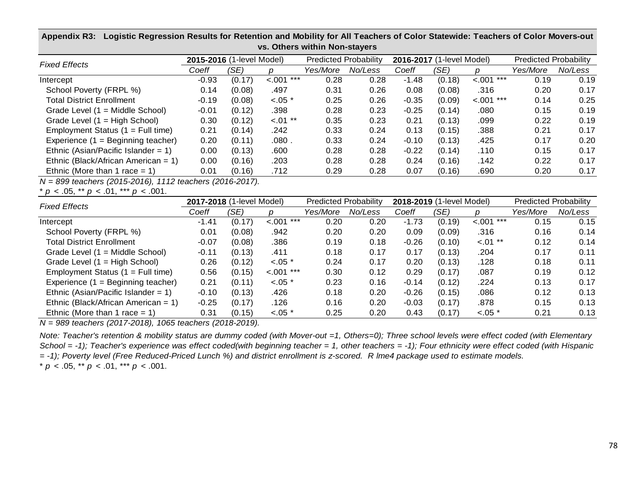| <b>Fixed Effects</b>                   | 2015-2016 (1-level Model) |        |               | <b>Predicted Probability</b> |         |         | 2016-2017 (1-level Model) | <b>Predicted Probability</b> |          |         |  |  |
|----------------------------------------|---------------------------|--------|---------------|------------------------------|---------|---------|---------------------------|------------------------------|----------|---------|--|--|
|                                        | Coeff                     | (SE)   |               | Yes/More                     | No/Less | Coeff   | (SE)                      |                              | Yes/More | No/Less |  |  |
| Intercept                              | $-0.93$                   | (0.17) | < .001<br>*** | 0.28                         | 0.28    | $-1.48$ | (0.18)                    | $< .001$ ***                 | 0.19     | 0.19    |  |  |
| School Poverty (FRPL %)                | 0.14                      | (0.08) | .497          | 0.31                         | 0.26    | 0.08    | (0.08)                    | .316                         | 0.20     | 0.17    |  |  |
| <b>Total District Enrollment</b>       | $-0.19$                   | (0.08) | $< .05$ *     | 0.25                         | 0.26    | $-0.35$ | (0.09)                    | $< 001$ ***                  | 0.14     | 0.25    |  |  |
| Grade Level $(1 = Middle School)$      | $-0.01$                   | (0.12) | .398          | 0.28                         | 0.23    | $-0.25$ | (0.14)                    | .080                         | 0.15     | 0.19    |  |  |
| Grade Level (1 = High School)          | 0.30                      | (0.12) | $< 01$ **     | 0.35                         | 0.23    | 0.21    | (0.13)                    | .099                         | 0.22     | 0.19    |  |  |
| Employment Status $(1 = Full time)$    | 0.21                      | (0.14) | .242          | 0.33                         | 0.24    | 0.13    | (0.15)                    | .388                         | 0.21     | 0.17    |  |  |
| Experience $(1 =$ Beginning teacher)   | 0.20                      | (0.11) | .080.         | 0.33                         | 0.24    | $-0.10$ | (0.13)                    | .425                         | 0.17     | 0.20    |  |  |
| Ethnic (Asian/Pacific Islander = $1$ ) | 0.00                      | (0.13) | .600          | 0.28                         | 0.28    | $-0.22$ | (0.14)                    | .110                         | 0.15     | 0.17    |  |  |
| Ethnic (Black/African American = $1$ ) | 0.00                      | (0.16) | .203          | 0.28                         | 0.28    | 0.24    | (0.16)                    | .142                         | 0.22     | 0.17    |  |  |
| Ethnic (More than 1 race $= 1$ )       | 0.01                      | (0.16) | .712          | 0.29                         | 0.28    | 0.07    | (0.16)                    | .690                         | 0.20     | 0.17    |  |  |

### **Appendix R3: Logistic Regression Results for Retention and Mobility for All Teachers of Color Statewide: Teachers of Color Movers-out vs. Others within Non-stayers**

*N = 899 teachers (2015-2016), 1112 teachers (2016-2017).*

\* *p* < .05, \*\* *p* < .01, \*\*\* *p* < .001.

| <b>Fixed Effects</b>                   | 2017-2018 (1-level Model) |        |                | <b>Predicted Probability</b> |         |         | 2018-2019 (1-level Model) | <b>Predicted Probability</b> |          |         |
|----------------------------------------|---------------------------|--------|----------------|------------------------------|---------|---------|---------------------------|------------------------------|----------|---------|
|                                        | Coeff                     | (SE)   |                | Yes/More                     | No/Less | Coeff   | (SE)                      |                              | Yes/More | No/Less |
| Intercept                              | $-1.41$                   | (0.17) | $-.001$<br>*** | 0.20                         | 0.20    | $-1.73$ | (0.19)                    | $< .001$ ***                 | 0.15     | 0.15    |
| School Poverty (FRPL %)                | 0.01                      | (0.08) | .942           | 0.20                         | 0.20    | 0.09    | (0.09)                    | .316                         | 0.16     | 0.14    |
| <b>Total District Enrollment</b>       | $-0.07$                   | (0.08) | .386           | 0.19                         | 0.18    | $-0.26$ | (0.10)                    | $-.01$ **                    | 0.12     | 0.14    |
| Grade Level (1 = Middle School)        | $-0.11$                   | (0.13) | .411           | 0.18                         | 0.17    | 0.17    | (0.13)                    | .204                         | 0.17     | 0.11    |
| Grade Level (1 = High School)          | 0.26                      | (0.12) | $< .05$ *      | 0.24                         | 0.17    | 0.20    | (0.13)                    | .128                         | 0.18     | 0.11    |
| Employment Status $(1 = Full time)$    | 0.56                      | (0.15) | ***<br>< .001  | 0.30                         | 0.12    | 0.29    | (0.17)                    | .087                         | 0.19     | 0.12    |
| Experience (1 = Beginning teacher)     | 0.21                      | (0.11) | $< 0.05$ *     | 0.23                         | 0.16    | $-0.14$ | (0.12)                    | .224                         | 0.13     | 0.17    |
| Ethnic (Asian/Pacific Islander = $1$ ) | $-0.10$                   | (0.13) | .426           | 0.18                         | 0.20    | $-0.26$ | (0.15)                    | .086                         | 0.12     | 0.13    |
| Ethnic (Black/African American = 1)    | $-0.25$                   | (0.17) | .126           | 0.16                         | 0.20    | $-0.03$ | (0.17)                    | .878                         | 0.15     | 0.13    |
| Ethnic (More than 1 race = 1)          | 0.31                      | (0.15) | $< .05$ *      | 0.25                         | 0.20    | 0.43    | (0.17)                    | $< .05$ *                    | 0.21     | 0.13    |

*N = 989 teachers (2017-2018), 1065 teachers (2018-2019).*

\* *p* < .05, \*\* *p* < .01, \*\*\* *p* < .001. *Note: Teacher's retention & mobility status are dummy coded (with Mover-out =1, Others=0); Three school levels were effect coded (with Elementary School = -1); Teacher's experience was effect coded(with beginning teacher = 1, other teachers = -1); Four ethnicity were effect coded (with Hispanic = -1); Poverty level (Free Reduced-Priced Lunch %) and district enrollment is z-scored. R lme4 package used to estimate models.*